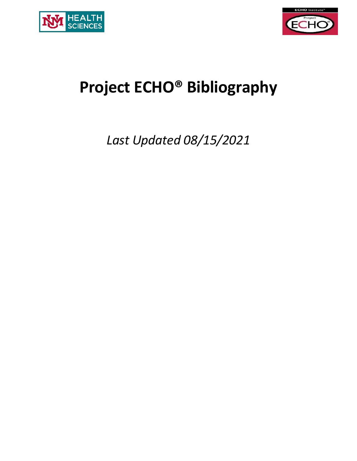



# **Project ECHO® Bibliography**

*Last Updated 08/15/2021*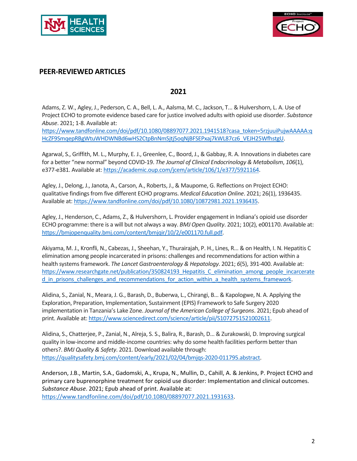



#### **PEER-REVIEWED ARTICLES**

#### **2021**

Adams, Z. W., Agley, J., Pederson, C. A., Bell, L. A., Aalsma, M. C., Jackson, T... & Hulvershorn, L. A. Use of Project ECHO to promote evidence based care for justice involved adults with opioid use disorder. *Substance Abuse*. 2021; 1-8. Available at:

[https://www.tandfonline.com/doi/pdf/10.1080/08897077.2021.1941518?casa\\_token=5rzjuuiPujwAAAAA:q](https://www.tandfonline.com/doi/pdf/10.1080/08897077.2021.1941518?casa_token=5rzjuuiPujwAAAAA:qHcZF9SmqepRBgWtuWHDWNBd6wHS2CtpBnNmSjtj5oqNjBFSEPxaj7kWL87cz6_VEJH25WfhstgU) [HcZF9SmqepRBgWtuWHDWNBd6wHS2CtpBnNmSjtj5oqNjBFSEPxaj7kWL87cz6\\_VEJH25WfhstgU.](https://www.tandfonline.com/doi/pdf/10.1080/08897077.2021.1941518?casa_token=5rzjuuiPujwAAAAA:qHcZF9SmqepRBgWtuWHDWNBd6wHS2CtpBnNmSjtj5oqNjBFSEPxaj7kWL87cz6_VEJH25WfhstgU)

Agarwal, S., Griffith, M. L., Murphy, E. J., Greenlee, C., Boord, J., & Gabbay, R. A. Innovations in diabetes care for a better "new normal" beyond COVID-19. *The Journal of Clinical Endocrinology & Metabolism*, *106*(1), e377-e381. Available at[: https://academic.oup.com/jcem/article/106/1/e377/5921164.](https://academic.oup.com/jcem/article/106/1/e377/5921164)

Agley, J., Delong, J., Janota, A., Carson, A., Roberts, J., & Maupome, G. Reflections on Project ECHO: qualitative findings from five different ECHO programs. *Medical Education Online*. 2021; 26(1), 1936435. Available at: [https://www.tandfonline.com/doi/pdf/10.1080/10872981.2021.1936435.](https://www.tandfonline.com/doi/pdf/10.1080/10872981.2021.1936435)

Agley, J., Henderson, C., Adams, Z., & Hulvershorn, L. Provider engagement in Indiana's opioid use disorder ECHO programme: there is a will but not always a way. *BMJ Open Quality*. 2021; 10(2), e001170. Available at: [https://bmjopenquality.bmj.com/content/bmjqir/10/2/e001170.full.pdf.](https://bmjopenquality.bmj.com/content/bmjqir/10/2/e001170.full.pdf)

Akiyama, M. J., Kronfli, N., Cabezas, J., Sheehan, Y., Thurairajah, P. H., Lines, R... & on Health, I. N. Hepatitis C elimination among people incarcerated in prisons: challenges and recommendations for action within a health systems framework. *The Lancet Gastroenterology & Hepatology*. 2021; *6*(5), 391-400. Available at: https://www.researchgate.net/publication/350824193 Hepatitis C elimination among people incarcerate d in prisons challenges and recommendations for action within a health systems framework.

Alidina, S., Zanial, N., Meara, J. G., Barash, D., Buberwa, L., Chirangi, B... & Kapologwe, N. A. Applying the Exploration, Preparation, Implementation, Sustainment (EPIS) Framework to Safe Surgery 2020 implementation in Tanzania's Lake Zone. *Journal of the American College of Surgeons*. 2021; Epub ahead of print. Available at[: https://www.sciencedirect.com/science/article/pii/S1072751521002611.](https://www.sciencedirect.com/science/article/pii/S1072751521002611)

Alidina, S., Chatterjee, P., Zanial, N., Alreja, S. S., Balira, R., Barash, D... & Zurakowski, D. Improving surgical quality in low-income and middle-income countries: why do some health facilities perform better than others?. *BMJ Quality & Safety*. 2021. Download available through: [https://qualitysafety.bmj.com/content/early/2021/02/04/bmjqs-2020-011795.abstract.](https://qualitysafety.bmj.com/content/early/2021/02/04/bmjqs-2020-011795.abstract)

Anderson, J.B., Martin, S.A., Gadomski, A., Krupa, N., Mullin, D., Cahill, A. & Jenkins, P. Project ECHO and primary care buprenorphine treatment for opioid use disorder: Implementation and clinical outcomes. *Substance Abuse*. 2021; Epub ahead of print. Available at:

[https://www.tandfonline.com/doi/pdf/10.1080/08897077.2021.1931633.](https://www.tandfonline.com/doi/pdf/10.1080/08897077.2021.1931633)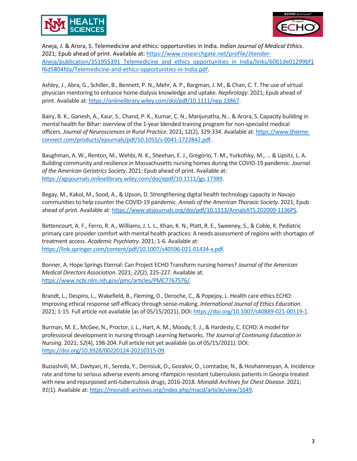



Aneja, J. & Arora, S. Telemedicine and ethics: opportunities in India. *Indian Journal of Medical Ethics*. 2021; Epub ahead of print. Available at: [https://www.researchgate.net/profile/Jitender-](https://www.researchgate.net/profile/Jitender-Aneja/publication/351955391_Telemedicine_and_ethics_opportunities_in_India/links/60b1de01299bf1f6d5804fda/Telemedicine-and-ethics-opportunities-in-India.pdf)Aneja/publication/351955391 Telemedicine and ethics opportunities in India/links/60b1de01299bf1 [f6d5804fda/Telemedicine-and-ethics-opportunities-in-India.pdf.](https://www.researchgate.net/profile/Jitender-Aneja/publication/351955391_Telemedicine_and_ethics_opportunities_in_India/links/60b1de01299bf1f6d5804fda/Telemedicine-and-ethics-opportunities-in-India.pdf)

Ashley, J., Abra, G., Schiller, B., Bennett, P. N., Mehr, A. P., Bargman, J. M., & Chan, C. T. The use of virtual physician mentoring to enhance home dialysis knowledge and uptake. *Nephrology*. 2021; Epub ahead of print. Available at[: https://onlinelibrary.wiley.com/doi/pdf/10.1111/nep.13867.](https://onlinelibrary.wiley.com/doi/pdf/10.1111/nep.13867)

Bairy, B. K., Ganesh, A., Kaur, S., Chand, P. K., Kumar, C. N., Manjunatha, N... & Arora, S. Capacity building in mental health for Bihar: overview of the 1-year blended training program for non-specialist medical officers. *Journal of Neurosciences in Rural Practice*. 2021; 12(2), 329-334. Available at: [https://www.thieme](https://www.thieme-connect.com/products/ejournals/pdf/10.1055/s-0041-1722842.pdf)[connect.com/products/ejournals/pdf/10.1055/s-0041-1722842.pdf.](https://www.thieme-connect.com/products/ejournals/pdf/10.1055/s-0041-1722842.pdf)

Baughman, A. W., Renton, M., Wehbi, N. K., Sheehan, E. J., Gregorio, T. M., Yurkofsky, M., ... & Lipsitz, L. A. Building community and resilience in Massachusetts nursing homes during the COVID-19 pandemic. *Journal of the American Geriatrics Society*. 2021; Epub ahead of print. Available at: [https://agsjournals.onlinelibrary.wiley.com/doi/epdf/10.1111/jgs.17389.](https://agsjournals.onlinelibrary.wiley.com/doi/epdf/10.1111/jgs.17389)

Begay, M., Kakol, M., Sood, A., & Upson, D. Strengthening digital health technology capacity in Navajo communities to help counter the COVID-19 pandemic. *Annals of the American Thoracic Society*. 2021; Epub ahead of print. Available at: [https://www.atsjournals.org/doi/pdf/10.1513/AnnalsATS.202009-1136PS.](https://www.atsjournals.org/doi/pdf/10.1513/AnnalsATS.202009-1136PS)

Bettencourt, A. F., Ferro, R. A., Williams, J. L. L., Khan, K. N., Platt, R. E., Sweeney, S., & Coble, K. Pediatric primary care provider comfort with mental health practices: A needs assessment of regions with shortages of treatment access. *Academic Psychiatry*. 2021; 1-6. Available at: [https://link.springer.com/content/pdf/10.1007/s40596-021-01434-x.pdf.](https://link.springer.com/content/pdf/10.1007/s40596-021-01434-x.pdf)

Bonner, A. Hope Springs Eternal: Can Project ECHO Transform nursing homes? *Journal of the American Medical Directors Association*. 2021; *22*(2), 225-227. Available at: [https://www.ncbi.nlm.nih.gov/pmc/articles/PMC7767576/.](https://www.ncbi.nlm.nih.gov/pmc/articles/PMC7767576/)

Brandt, L., Despins, L., Wakefield, B., Fleming, D., Deroche, C., & Popejoy, L. Health care ethics ECHO: Improving ethical response self-efficacy through sense-making. *International Journal of Ethics Education*. 2021; 1-15. Full article not available (as of 05/15/2021). DOI: [https://doi.org/10.1007/s40889-021-00119-1.](https://doi.org/10.1007/s40889-021-00119-1)

Burman, M. E., McGee, N., Proctor, J. L., Hart, A. M., Moody, E. J., & Hardesty, C. ECHO: A model for professional development in nursing through Learning Networks. *The Journal of Continuing Education in Nursing*. 2021; *52*(4), 198-204. Full article not yet available (as of 05/15/2021). DOI: [https://doi.org/10.3928/00220124-20210315-09.](https://doi.org/10.3928/00220124-20210315-09)

Buziashvili, M., Davtyan, H., Sereda, Y., Denisiuk, O., Gozalov, O., Lomtadze, N., & Hovhannesyan, A. Incidence rate and time to serious adverse events among rifampicin resistant tuberculosis patients in Georgia treated with new and repurposed anti-tuberculosis drugs, 2016-2018. *Monaldi Archives for Chest Disease*. 2021; *91*(1). Available at: [https://monaldi-archives.org/index.php/macd/article/view/1649.](https://monaldi-archives.org/index.php/macd/article/view/1649)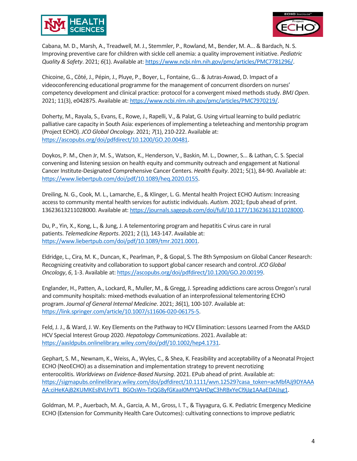



Cabana, M. D., Marsh, A., Treadwell, M. J., Stemmler, P., Rowland, M., Bender, M. A... & Bardach, N. S. Improving preventive care for children with sickle cell anemia: a quality improvement initiative. *Pediatric Quality & Safety*. 2021; *6*(1). Available at[: https://www.ncbi.nlm.nih.gov/pmc/articles/PMC7781296/.](https://www.ncbi.nlm.nih.gov/pmc/articles/PMC7781296/)

Chicoine, G., Côté, J., Pépin, J., Pluye, P., Boyer, L., Fontaine, G... & Jutras-Aswad, D. Impact of a videoconferencing educational programme for the management of concurrent disorders on nurses' competency development and clinical practice: protocol for a convergent mixed methods study. *BMJ Open*. 2021; 11(3), e042875. Available at: [https://www.ncbi.nlm.nih.gov/pmc/articles/PMC7970219/.](https://www.ncbi.nlm.nih.gov/pmc/articles/PMC7970219/)

Doherty, M., Rayala, S., Evans, E., Rowe, J., Rapelli, V., & Palat, G. Using virtual learning to build pediatric palliative care capacity in South Asia: experiences of implementing a teleteaching and mentorship program (Project ECHO). *JCO Global Oncology*. 2021; *7*(1), 210-222. Available at: [https://ascopubs.org/doi/pdfdirect/10.1200/GO.20.00481.](https://ascopubs.org/doi/pdfdirect/10.1200/GO.20.00481)

Doykos, P. M., Chen Jr, M. S., Watson, K., Henderson, V., Baskin, M. L., Downer, S... & Lathan, C. S. Special convening and listening session on health equity and community outreach and engagement at National Cancer Institute-Designated Comprehensive Cancer Centers. *Health Equity*. 2021; 5(1), 84-90. Available at: [https://www.liebertpub.com/doi/pdf/10.1089/heq.2020.0155.](https://www.liebertpub.com/doi/pdf/10.1089/heq.2020.0155)

Dreiling, N. G., Cook, M. L., Lamarche, E., & Klinger, L. G. Mental health Project ECHO Autism: Increasing access to community mental health services for autistic individuals. *Autism*. 2021; Epub ahead of print. 13623613211028000. Available at: [https://journals.sagepub.com/doi/full/10.1177/13623613211028000.](https://journals.sagepub.com/doi/full/10.1177/13623613211028000)

Du, P., Yin, X., Kong, L., & Jung, J. A telementoring program and hepatitis C virus care in rural patients. *Telemedicine Reports*. 2021; 2 (1), 143-147. Available at: [https://www.liebertpub.com/doi/pdf/10.1089/tmr.2021.0001.](https://www.liebertpub.com/doi/pdf/10.1089/tmr.2021.0001)

Eldridge, L., Cira, M. K., Duncan, K., Pearlman, P., & Gopal, S. The 8th Symposium on Global Cancer Research: Recognizing creativity and collaboration to support global cancer research and control. *JCO Global Oncology*, *6*, 1-3. Available at: [https://ascopubs.org/doi/pdfdirect/10.1200/GO.20.00199.](https://ascopubs.org/doi/pdfdirect/10.1200/GO.20.00199)

Englander, H., Patten, A., Lockard, R., Muller, M., & Gregg, J. Spreading addictions care across Oregon's rural and community hospitals: mixed-methods evaluation of an interprofessional telementoring ECHO program. *Journal of General Internal Medicine*. 2021; *36*(1), 100-107. Available at: [https://link.springer.com/article/10.1007/s11606-020-06175-5.](https://link.springer.com/article/10.1007/s11606-020-06175-5)

Feld, J. J., & Ward, J. W. Key Elements on the Pathway to HCV Elimination: Lessons Learned From the AASLD HCV Special Interest Group 2020. *Hepatology Communications*. 2021. Available at: [https://aasldpubs.onlinelibrary.wiley.com/doi/pdf/10.1002/hep4.1731.](https://aasldpubs.onlinelibrary.wiley.com/doi/pdf/10.1002/hep4.1731)

Gephart, S. M., Newnam, K., Weiss, A., Wyles, C., & Shea, K. Feasibility and acceptability of a Neonatal Project ECHO (NeoECHO) as a dissemination and implementation strategy to prevent necrotizing enterocolitis. *Worldviews on Evidence‐Based Nursing*. 2021. EPub ahead of print. Available at: [https://sigmapubs.onlinelibrary.wiley.com/doi/pdfdirect/10.1111/wvn.12529?casa\\_token=acMbfAJj9DYAAA](https://sigmapubs.onlinelibrary.wiley.com/doi/pdfdirect/10.1111/wvn.12529?casa_token=acMbfAJj9DYAAAAA:ciHeKAjB2KUMKEs8VLhVT1_BGOsWn-TzQG8yfGKaaI0MYQAHDgC3hRBxYeCl9jJg1AAaEDAIJsg1) [AA:ciHeKAjB2KUMKEs8VLhVT1\\_BGOsWn-TzQG8yfGKaaI0MYQAHDgC3hRBxYeCl9jJg1AAaEDAIJsg1.](https://sigmapubs.onlinelibrary.wiley.com/doi/pdfdirect/10.1111/wvn.12529?casa_token=acMbfAJj9DYAAAAA:ciHeKAjB2KUMKEs8VLhVT1_BGOsWn-TzQG8yfGKaaI0MYQAHDgC3hRBxYeCl9jJg1AAaEDAIJsg1)

Goldman, M. P., Auerbach, M. A., Garcia, A. M., Gross, I. T., & Tiyyagura, G. K. Pediatric Emergency Medicine ECHO (Extension for Community Health Care Outcomes): cultivating connections to improve pediatric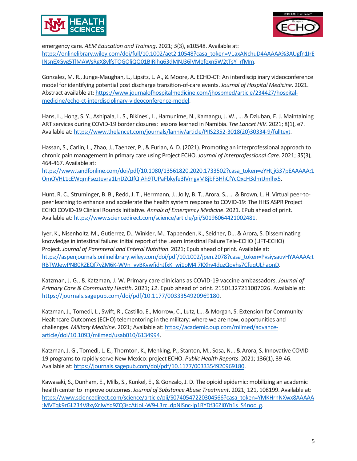



emergency care. *AEM Education and Training*. 2021; *5*(3), e10548. Available at: [https://onlinelibrary.wiley.com/doi/full/10.1002/aet2.10548?casa\\_token=V1axANchuD4AAAAA%3AUgfn1IrE](https://onlinelibrary.wiley.com/doi/full/10.1002/aet2.10548?casa_token=V1axANchuD4AAAAA%3AUgfn1IrEINsnEXGvg5TlMAWsRgX8vlfsTOGOljQQ01BIRihq63dMNJ36lVMefexn5W2tTsY_rfMm) [INsnEXGvg5TlMAWsRgX8vlfsTOGOljQQ01BIRihq63dMNJ36lVMefexn5W2tTsY\\_rfMm.](https://onlinelibrary.wiley.com/doi/full/10.1002/aet2.10548?casa_token=V1axANchuD4AAAAA%3AUgfn1IrEINsnEXGvg5TlMAWsRgX8vlfsTOGOljQQ01BIRihq63dMNJ36lVMefexn5W2tTsY_rfMm)

Gonzalez, M. R., Junge-Maughan, L., Lipsitz, L. A., & Moore, A. ECHO-CT: An interdisciplinary videoconference model for identifying potential post discharge transition-of-care events. *Journal of Hospital Medicine*. 2021. Abstract available at: [https://www.journalofhospitalmedicine.com/jhospmed/article/234427/hospital](https://www.journalofhospitalmedicine.com/jhospmed/article/234427/hospital-medicine/echo-ct-interdisciplinary-videoconference-model)[medicine/echo-ct-interdisciplinary-videoconference-model.](https://www.journalofhospitalmedicine.com/jhospmed/article/234427/hospital-medicine/echo-ct-interdisciplinary-videoconference-model)

Hans, L., Hong, S. Y., Ashipala, L. S., Bikinesi, L., Hamunime, N., Kamangu, J. W., ... & Dziuban, E. J. Maintaining ART services during COVID-19 border closures: lessons learned in Namibia. *The Lancet HIV*. 2021; 8(1), e7. Available at: [https://www.thelancet.com/journals/lanhiv/article/PIIS2352-3018\(20\)30334-9/fulltext.](https://www.thelancet.com/journals/lanhiv/article/PIIS2352-3018(20)30334-9/fulltext)

Hassan, S., Carlin, L., Zhao, J., Taenzer, P., & Furlan, A. D. (2021). Promoting an interprofessional approach to chronic pain management in primary care using Project ECHO. *Journal of Interprofessional Care*. 2021; *35*(3), 464-467. Available at:

[https://www.tandfonline.com/doi/pdf/10.1080/13561820.2020.1733502?casa\\_token=eYHtjjG37pEAAAAA:1](https://www.tandfonline.com/doi/pdf/10.1080/13561820.2020.1733502?casa_token=eYHtjjG37pEAAAAA:1OmOVHL1cEWqmFseztevra1LnDZQJfQIAh9TUPaFbkyfe3IVmgvM8jbFBHhCfYcQxcH3dmUmlhx5) [OmOVHL1cEWqmFseztevra1LnDZQJfQIAh9TUPaFbkyfe3IVmgvM8jbFBHhCfYcQxcH3dmUmlhx5.](https://www.tandfonline.com/doi/pdf/10.1080/13561820.2020.1733502?casa_token=eYHtjjG37pEAAAAA:1OmOVHL1cEWqmFseztevra1LnDZQJfQIAh9TUPaFbkyfe3IVmgvM8jbFBHhCfYcQxcH3dmUmlhx5)

Hunt, R. C., Struminger, B. B., Redd, J. T., Herrmann, J., Jolly, B. T., Arora, S., ... & Brown, L. H. Virtual peer-topeer learning to enhance and accelerate the health system response to COVID-19: The HHS ASPR Project ECHO COVID-19 Clinical Rounds Initiative. *Annals of Emergency Medicine*. 2021. EPub ahead of print. Available at: [https://www.sciencedirect.com/science/article/pii/S0196064421002481.](https://www.sciencedirect.com/science/article/pii/S0196064421002481)

Iyer, K., Nisenholtz, M., Gutierrez, D., Winkler, M., Tappenden, K., Seidner, D... & Arora, S. Disseminating knowledge in intestinal failure: initial report of the Learn Intestinal Failure Tele-ECHO (LIFT-ECHO) Project. *Journal of Parenteral and Enteral Nutrition*. 2021; Epub ahead of print. Available at: [https://aspenjournals.onlinelibrary.wiley.com/doi/pdf/10.1002/jpen.2078?casa\\_token=PvsiysauvHYAAAAA:t](https://aspenjournals.onlinelibrary.wiley.com/doi/pdf/10.1002/jpen.2078?casa_token=PvsiysauvHYAAAAA:tRBTWJewPNB0RZEQf7vZM6K-WVn_yvBKywfidhJfxK_wj1oM4l7KXhv4duzQovhs7CfuqULhaonD) [RBTWJewPNB0RZEQf7vZM6K-WVn\\_yvBKywfidhJfxK\\_wj1oM4l7KXhv4duzQovhs7CfuqULhaonD.](https://aspenjournals.onlinelibrary.wiley.com/doi/pdf/10.1002/jpen.2078?casa_token=PvsiysauvHYAAAAA:tRBTWJewPNB0RZEQf7vZM6K-WVn_yvBKywfidhJfxK_wj1oM4l7KXhv4duzQovhs7CfuqULhaonD)

Katzman, J. G., & Katzman, J. W. Primary care clinicians as COVID-19 vaccine ambassadors. *Journal of Primary Care & Community Health*. 2021; *12*. Epub ahead of print. 21501327211007026. Available at: [https://journals.sagepub.com/doi/pdf/10.1177/0033354920969180.](https://journals.sagepub.com/doi/pdf/10.1177/0033354920969180)

Katzman, J., Tomedi, L., Swift, R., Castillo, E., Morrow, C., Lutz, L... & Morgan, S. Extension for Community Healthcare Outcomes (ECHO) telementoring in the military: where we are now, opportunities and challenges. *Military Medicine*. 2021; Available at: [https://academic.oup.com/milmed/advance](https://academic.oup.com/milmed/advance-article/doi/10.1093/milmed/usab010/6134994)[article/doi/10.1093/milmed/usab010/6134994.](https://academic.oup.com/milmed/advance-article/doi/10.1093/milmed/usab010/6134994)

Katzman, J. G., Tomedi, L. E., Thornton, K., Menking, P., Stanton, M., Sosa, N... & Arora, S. Innovative COVID-19 programs to rapidly serve New Mexico: project ECHO. *Public Health Reports*. 2021; 136(1), 39-46. Available at: [https://journals.sagepub.com/doi/pdf/10.1177/0033354920969180.](https://journals.sagepub.com/doi/pdf/10.1177/0033354920969180)

Kawasaki, S., Dunham, E., Mills, S., Kunkel, E., & Gonzalo, J. D. The opioid epidemic: mobilizing an academic health center to improve outcomes. *Journal of Substance Abuse Treatment*. 2021; 121, 108199. Available at: [https://www.sciencedirect.com/science/article/pii/S0740547220304566?casa\\_token=YMKHrnNXwx8AAAAA](https://www.sciencedirect.com/science/article/pii/S0740547220304566?casa_token=YMKHrnNXwx8AAAAA:MVTqk9rGL234V8xyXrJwYd9ZQ3scAtJoL-W9-L3rcLdpNISnc-lp1RYDf36ZI0Yh1s_S4noc_g) [:MVTqk9rGL234V8xyXrJwYd9ZQ3scAtJoL-W9-L3rcLdpNISnc-lp1RYDf36ZI0Yh1s\\_S4noc\\_g.](https://www.sciencedirect.com/science/article/pii/S0740547220304566?casa_token=YMKHrnNXwx8AAAAA:MVTqk9rGL234V8xyXrJwYd9ZQ3scAtJoL-W9-L3rcLdpNISnc-lp1RYDf36ZI0Yh1s_S4noc_g)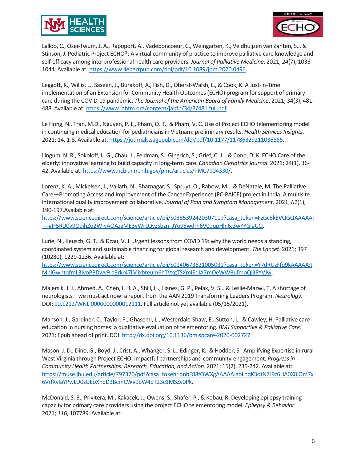



Lalloo, C., Osei-Twum, J. A., Rapoport, A., Vadeboncoeur, C., Weingarten, K., Veldhuijzen van Zanten, S... & Stinson, J. Pediatric Project ECHO®: A virtual community of practice to improve palliative care knowledge and self-efficacy among interprofessional health care providers. *Journal of Palliative Medicine*. 2021; *24*(7), 1036- 1044. Available at: [https://www.liebertpub.com/doi/pdf/10.1089/jpm.2020.0496.](https://www.liebertpub.com/doi/pdf/10.1089/jpm.2020.0496)

Leggott, K., Willis, L., Saseen, J., Burakoff, A., Fish, D., Oberst-Walsh, L., & Cook, K. A Just-in-Time implementation of an Extension for Community Health Outcomes (ECHO) program for support of primary care during the COVID-19 pandemic. *The Journal of the American Board of Family Medicine*. 2021; 34(3), 481- 488. Available at: [https://www.jabfm.org/content/jabfp/34/3/481.full.pdf.](https://www.jabfm.org/content/jabfp/34/3/481.full.pdf)

Le Hong, N., Tran, M.D., Nguyen, P. L,, Pham, Q. T., & Pham, V. C. Use of Project ECHO telementoring model in continuing medical education for pediatricians in Vietnam: preliminary results. *Health Services Insights*. 2021; 14, 1-8. Available at: [https://journals.sagepub.com/doi/pdf/10.1177/11786329211036855.](https://journals.sagepub.com/doi/pdf/10.1177/11786329211036855)

Lingum, N. R., Sokoloff, L. G., Chau, J., Feldman, S., Gingrich, S., Grief, C. J... & Conn, D. K. ECHO Care of the elderly: innovative learning to build capacity in long-term care. *Canadian Geriatrics Journal*. 2021; 24(1), 36- 42. Available at[: https://www.ncbi.nlm.nih.gov/pmc/articles/PMC7904330/.](https://www.ncbi.nlm.nih.gov/pmc/articles/PMC7904330/)

Lorenz, K. A., Mickelsen, J., Vallath, N., Bhatnagar, S., Spruyt, O., Rabow, M... & DeNatale, M. The Palliative Care—Promoting Access and Improvement of the Cancer Experience (PC-PAICE) project in India: A multisite international quality improvement collaborative. *Journal of Pain and Symptom Management*. 2021; *61*(1), 190-197.Available at:

[https://www.sciencedirect.com/science/article/pii/S0885392420307119?casa\\_token=FzGc8kEVQGQAAAAA:](https://www.sciencedirect.com/science/article/pii/S0885392420307119?casa_token=FzGc8kEVQGQAAAAA:_--gIF5RD0y9O9ihZo2W-yAOAzgME3vWrLQvzSbzn_JYo95wdrh6V0dqpHhi6J3wYYGlaUQ) [\\_--gIF5RD0y9O9ihZo2W-yAOAzgME3vWrLQvzSbzn\\_JYo95wdrh6V0dqpHhi6J3wYYGlaUQ.](https://www.sciencedirect.com/science/article/pii/S0885392420307119?casa_token=FzGc8kEVQGQAAAAA:_--gIF5RD0y9O9ihZo2W-yAOAzgME3vWrLQvzSbzn_JYo95wdrh6V0dqpHhi6J3wYYGlaUQ)

Lurie, N., Keusch, G. T., & Dzau, V. J. Urgent lessons from COVID 19: why the world needs a standing, coordinated system and sustainable financing for global research and development. *The Lancet*. 2021; 397 (10280), 1229-1236. Available at:

[https://www.sciencedirect.com/science/article/pii/S0140673621005031?casa\\_token=Y7dRUzFfq9kAAAAA:t](https://www.sciencedirect.com/science/article/pii/S0140673621005031?casa_token=Y7dRUzFfq9kAAAAA:tMniGwhtqfmL3IvoPBDwv9-a3rkr47lMixbteum6hTVxgTSXmIEqIA7mOeWWBufmoQjiIPYVJw) [MniGwhtqfmL3IvoPBDwv9-a3rkr47lMixbteum6hTVxgTSXmIEqIA7mOeWWBufmoQjiIPYVJw.](https://www.sciencedirect.com/science/article/pii/S0140673621005031?casa_token=Y7dRUzFfq9kAAAAA:tMniGwhtqfmL3IvoPBDwv9-a3rkr47lMixbteum6hTVxgTSXmIEqIA7mOeWWBufmoQjiIPYVJw)

Majersik, J. J., Ahmed, A., Chen, I. H. A., Shill, H., Hanes, G. P., Pelak, V. S... & Leslie-Mazwi, T. A shortage of neurologists—we must act now: a report from the AAN 2019 Transforming Leaders Program. *Neurology*. DOI: [10.1212/WNL.0000000000012111.](https://doi.org/10.1212/wnl.0000000000012111) Full article not yet available (05/15/2021).

Manson, J., Gardiner, C., Taylor, P., Ghasemi, L., Westerdale-Shaw, E., Sutton, L., & Cawley, H. Palliative care education in nursing homes: a qualitative evaluation of telementoring. *BMJ Supportive & Palliative Care*. 2021; Epub ahead of print. DOI: [http://dx.doi.org/10.1136/bmjspcare-2020-002727.](http://dx.doi.org/10.1136/bmjspcare-2020-002727)

Mason, J. D., Dino, G., Boyd, J., Crist, A., Whanger, S. L., Edinger, K., & Hodder, S. Amplifying Expertise in rural West Virginia through Project ECHO: Impactful partnerships and community-engagement. *Progress in Community Health Partnerships: Research, Education, and Action*. 2021; 15(2), 235-242. Available at: [https://muse.jhu.edu/article/797370/pdf?casa\\_token=qnbF88fOWXgAAAAA:goLhqK3otN7J9z6HA0X8jOm7x](https://muse.jhu.edu/article/797370/pdf?casa_token=qnbF88fOWXgAAAAA:goLhqK3otN7J9z6HA0X8jOm7x6VrfXyIaYPwLU0zGEoXhqD3BcmCWv9bW4dT23c1MSZv0Pk) [6VrfXyIaYPwLU0zGEoXhqD3BcmCWv9bW4dT23c1MSZv0Pk.](https://muse.jhu.edu/article/797370/pdf?casa_token=qnbF88fOWXgAAAAA:goLhqK3otN7J9z6HA0X8jOm7x6VrfXyIaYPwLU0zGEoXhqD3BcmCWv9bW4dT23c1MSZv0Pk)

McDonald, S. B., Privitera, M., Kakacek, J., Owens, S., Shafer, P., & Kobau, R. Developing epilepsy training capacity for primary care providers using the project ECHO telementoring model. *Epilepsy & Behavior*. 2021; *116*, 107789. Available at: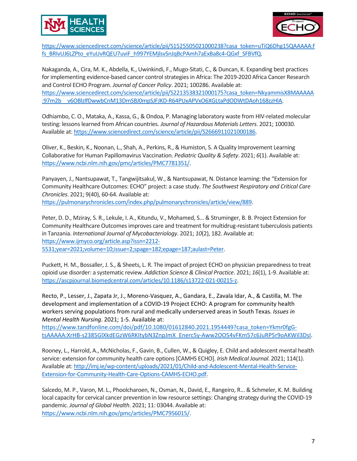



[https://www.sciencedirect.com/science/article/pii/S1525505021000238?casa\\_token=uTiQ6Dhg15QAAAAA:f](https://www.sciencedirect.com/science/article/pii/S1525505021000238?casa_token=uTiQ6Dhg15QAAAAA:ffs_BRIvUJ6LZPto_eYuUvRQEU7uviF_h997YEMjlsvSnJqBcPAmh7aExBa8c4-QGxf_SFBVfQ) [fs\\_BRIvUJ6LZPto\\_eYuUvRQEU7uviF\\_h997YEMjlsvSnJqBcPAmh7aExBa8c4-QGxf\\_SFBVfQ.](https://www.sciencedirect.com/science/article/pii/S1525505021000238?casa_token=uTiQ6Dhg15QAAAAA:ffs_BRIvUJ6LZPto_eYuUvRQEU7uviF_h997YEMjlsvSnJqBcPAmh7aExBa8c4-QGxf_SFBVfQ)

Nakaganda, A., Cira, M. K., Abdella, K., Uwinkindi, F., Mugo-Sitati, C., & Duncan, K. Expanding best practices for implementing evidence-based cancer control strategies in Africa: The 2019-2020 Africa Cancer Research and Control ECHO Program. *Journal of Cancer Policy*. 2021; 100286. Available at: [https://www.sciencedirect.com/science/article/pii/S2213538321000175?casa\\_token=NkyammisX8MAAAAA](https://www.sciencedirect.com/science/article/pii/S2213538321000175?casa_token=NkyammisX8MAAAAA:97m2b__v6OBlzlfDwwbCnM13DmSBJ0mpSJFJKD-R64PUxAPVxO6XGLtaPdODWtDAoh168zzHlA) [:97m2b\\_\\_v6OBlzlfDwwbCnM13DmSBJ0mpSJFJKD-R64PUxAPVxO6XGLtaPdODWtDAoh168zzHlA.](https://www.sciencedirect.com/science/article/pii/S2213538321000175?casa_token=NkyammisX8MAAAAA:97m2b__v6OBlzlfDwwbCnM13DmSBJ0mpSJFJKD-R64PUxAPVxO6XGLtaPdODWtDAoh168zzHlA)

Odhiambo, C. O., Mataka, A., Kassa, G., & Ondoa, P. Managing laboratory waste from HIV-related molecular testing: lessons learned from African countries. *Journal of Hazardous Materials Letters*. 2021; 100030. Available at: [https://www.sciencedirect.com/science/article/pii/S2666911021000186.](https://www.sciencedirect.com/science/article/pii/S2666911021000186)

Oliver, K., Beskin, K., Noonan, L., Shah, A., Perkins, R., & Humiston, S. A Quality Improvement Learning Collaborative for Human Papillomavirus Vaccination. *Pediatric Quality & Safety*. 2021; *6*(1). Available at: [https://www.ncbi.nlm.nih.gov/pmc/articles/PMC7781351/.](https://www.ncbi.nlm.nih.gov/pmc/articles/PMC7781351/)

Panyayen, J., Nantsupawat, T., Tangwijitsakul, W., & Nantsupawat, N. Distance learning: the "Extension for Community Healthcare Outcomes: ECHO" project: a case study. *The Southwest Respiratory and Critical Care Chronicles*. 2021; 9(40), 60-64. Available at: [https://pulmonarychronicles.com/index.php/pulmonarychronicles/article/view/889.](https://pulmonarychronicles.com/index.php/pulmonarychronicles/article/view/889)

Peter, D. D., Mziray, S. R., Lekule, I. A., Kitundu, V., Mohamed, S... & Struminger, B. B. Project Extension for Community Healthcare Outcomes improves care and treatment for multidrug-resistant tuberculosis patients in Tanzania. *International Journal of Mycobacteriology*. 2021; *10*(2), 182. Available at: [https://www.ijmyco.org/article.asp?issn=2212-](https://www.ijmyco.org/article.asp?issn=2212-5531;year=2021;volume=10;issue=2;spage=182;epage=187;aulast=Peter) [5531;year=2021;volume=10;issue=2;spage=182;epage=187;aulast=Peter.](https://www.ijmyco.org/article.asp?issn=2212-5531;year=2021;volume=10;issue=2;spage=182;epage=187;aulast=Peter)

Puckett, H. M., Bossaller, J. S., & Sheets, L. R. The impact of project ECHO on physician preparedness to treat opioid use disorder: a systematic review. *Addiction Science & Clinical Practice*. 2021; *16*(1), 1-9. Available at: [https://ascpjournal.biomedcentral.com/articles/10.1186/s13722-021-00215-z.](https://ascpjournal.biomedcentral.com/articles/10.1186/s13722-021-00215-z)

Recto, P., Lesser, J., Zapata Jr, J., Moreno-Vasquez, A., Gandara, E., Zavala Idar, A., & Castilla, M. The development and implementation of a COVID-19 Project ECHO: A program for community health workers serving populations from rural and medically underserved areas in South Texas. *Issues in Mental Health Nursing*. 2021; 1-5. Available at:

[https://www.tandfonline.com/doi/pdf/10.1080/01612840.2021.1954449?casa\\_token=Ykmr0fgG](https://www.tandfonline.com/doi/pdf/10.1080/01612840.2021.1954449?casa_token=Ykmr0fgG-tsAAAAA:XrHB-s2385GlXkdEGzW6RKItybN3ZnpJmX_Enerc5y-Aww2OO54vFKm57c6JuRP5r9oAKWil3DsI)[tsAAAAA:XrHB-s2385GlXkdEGzW6RKItybN3ZnpJmX\\_Enerc5y-Aww2OO54vFKm57c6JuRP5r9oAKWil3DsI.](https://www.tandfonline.com/doi/pdf/10.1080/01612840.2021.1954449?casa_token=Ykmr0fgG-tsAAAAA:XrHB-s2385GlXkdEGzW6RKItybN3ZnpJmX_Enerc5y-Aww2OO54vFKm57c6JuRP5r9oAKWil3DsI)

Rooney, L., Harrold, A., McNicholas, F., Gavin, B., Cullen, W., & Quigley, E. Child and adolescent mental health service: extension for community health care options [CAMHS ECHO]. *Irish Medical Journal*. 2021; 114(1). Available at: [http://imj.ie/wp-content/uploads/2021/01/Child-and-Adolescent-Mental-Health-Service-](http://imj.ie/wp-content/uploads/2021/01/Child-and-Adolescent-Mental-Health-Service-Extension-for-Community-Health-Care-Options-CAMHS-ECHO.pdf)[Extension-for-Community-Health-Care-Options-CAMHS-ECHO.pdf.](http://imj.ie/wp-content/uploads/2021/01/Child-and-Adolescent-Mental-Health-Service-Extension-for-Community-Health-Care-Options-CAMHS-ECHO.pdf)

Salcedo, M. P., Varon, M. L., Phoolcharoen, N., Osman, N., David, E., Rangeiro, R... & Schmeler, K. M. Building local capacity for cervical cancer prevention in low resource settings: Changing strategy during the COVID-19 pandemic. *Journal of Global Health*. 2021; 11: 03044. Available at: [https://www.ncbi.nlm.nih.gov/pmc/articles/PMC7956015/.](https://www.ncbi.nlm.nih.gov/pmc/articles/PMC7956015/)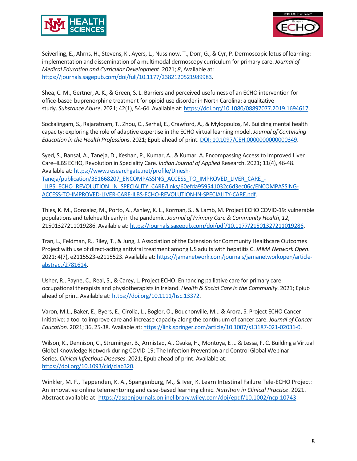



Seiverling, E., Ahrns, H., Stevens, K., Ayers, L., Nussinow, T., Dorr, G., & Cyr, P. Dermoscopic lotus of learning: implementation and dissemination of a multimodal dermoscopy curriculum for primary care. *Journal of Medical Education and Curricular Development*. 2021; *8*, Available at: [https://journals.sagepub.com/doi/full/10.1177/2382120521989983.](https://journals.sagepub.com/doi/full/10.1177/2382120521989983)

Shea, C. M., Gertner, A. K., & Green, S. L. Barriers and perceived usefulness of an ECHO intervention for office-based buprenorphine treatment for opioid use disorder in North Carolina: a qualitative study. *Substance Abuse*. 2021; 42(1), 54-64. Available at[: https://doi.org/10.1080/08897077.2019.1694617.](https://doi.org/10.1080/08897077.2019.1694617)

Sockalingam, S., Rajaratnam, T., Zhou, C., Serhal, E., Crawford, A., & Mylopoulos, M. Building mental health capacity: exploring the role of adaptive expertise in the ECHO virtual learning model. *Journal of Continuing Education in the Health Professions*. 2021; Epub ahead of print[. DOI: 10.1097/CEH.0000000000000349.](doi:%2010.1097/CEH.0000000000000349)

Syed, S., Bansal, A., Taneja, D., Keshan, P., Kumar, A., & Kumar, A. Encompassing Access to Improved Liver Care–ILBS ECHO, Revolution in Speciality Care. *Indian Journal of Applied* Research. 2021; 11(4), 46-48. Available at: [https://www.researchgate.net/profile/Dinesh-](https://www.researchgate.net/profile/Dinesh-Taneja/publication/351668207_ENCOMPASSING_ACCESS_TO_IMPROVED_LIVER_CARE_-_ILBS_ECHO_REVOLUTION_IN_SPECIALITY_CARE/links/60efda959541032c6d3ec06c/ENCOMPASSING-ACCESS-TO-IMPROVED-LIVER-CARE-ILBS-ECHO-REVOLUTION-IN-SPECIALITY-CARE.pdf)[Taneja/publication/351668207\\_ENCOMPASSING\\_ACCESS\\_TO\\_IMPROVED\\_LIVER\\_CARE\\_-](https://www.researchgate.net/profile/Dinesh-Taneja/publication/351668207_ENCOMPASSING_ACCESS_TO_IMPROVED_LIVER_CARE_-_ILBS_ECHO_REVOLUTION_IN_SPECIALITY_CARE/links/60efda959541032c6d3ec06c/ENCOMPASSING-ACCESS-TO-IMPROVED-LIVER-CARE-ILBS-ECHO-REVOLUTION-IN-SPECIALITY-CARE.pdf) ILBS\_ECHO\_REVOLUTION\_IN\_SPECIALITY\_CARE/links/60efda959541032c6d3ec06c/ENCOMPASSING-[ACCESS-TO-IMPROVED-LIVER-CARE-ILBS-ECHO-REVOLUTION-IN-SPECIALITY-CARE.pdf.](https://www.researchgate.net/profile/Dinesh-Taneja/publication/351668207_ENCOMPASSING_ACCESS_TO_IMPROVED_LIVER_CARE_-_ILBS_ECHO_REVOLUTION_IN_SPECIALITY_CARE/links/60efda959541032c6d3ec06c/ENCOMPASSING-ACCESS-TO-IMPROVED-LIVER-CARE-ILBS-ECHO-REVOLUTION-IN-SPECIALITY-CARE.pdf)

Thies, K. M., Gonzalez, M., Porto, A., Ashley, K. L., Korman, S., & Lamb, M. Project ECHO COVID-19: vulnerable populations and telehealth early in the pandemic. *Journal of Primary Care & Community Health*, *12*, 21501327211019286. Available at: [https://journals.sagepub.com/doi/pdf/10.1177/21501327211019286.](https://journals.sagepub.com/doi/pdf/10.1177/21501327211019286)

Tran, L., Feldman, R., Riley, T., & Jung, J. Association of the Extension for Community Healthcare Outcomes Project with use of direct-acting antiviral treatment among US adults with hepatitis C. *JAMA Network Open*. 2021; 4(7), e2115523-e2115523. Available at: [https://jamanetwork.com/journals/jamanetworkopen/article](https://jamanetwork.com/journals/jamanetworkopen/article-abstract/2781614)[abstract/2781614.](https://jamanetwork.com/journals/jamanetworkopen/article-abstract/2781614)

Usher, R., Payne, C., Real, S., & Carey, L. Project ECHO: Enhancing palliative care for primary care occupational therapists and physiotherapists in Ireland. *Health & Social Care in the Community*. 2021; Epiub ahead of print. Available at: [https://doi.org/10.1111/hsc.13372.](https://doi.org/10.1111/hsc.13372)

Varon, M.L., Baker, E., Byers, E., Cirolia, L., Bogler, O., Bouchonville, M... & Arora, S. Project ECHO Cancer Initiative: a tool to improve care and increase capacity along the continuum of cancer care. *Journal of Cancer Education*. 2021; 36, 25-38. Available at: [https://link.springer.com/article/10.1007/s13187-021-02031-0.](https://link.springer.com/article/10.1007/s13187-021-02031-0)

Wilson, K., Dennison, C., Struminger, B., Armistad, A., Osuka, H., Montoya, E ... & Lessa, F. C. Building a Virtual Global Knowledge Network during COVID-19: The Infection Prevention and Control Global Webinar Series. *Clinical Infectious Diseases*. 2021; Epub ahead of print. Available at: [https://doi.org/10.1093/cid/ciab320.](https://doi.org/10.1093/cid/ciab320)

Winkler, M. F., Tappenden, K. A., Spangenburg, M., & Iyer, K. Learn Intestinal Failure Tele-ECHO Project: An innovative online telementoring and case-based learning clinic. *Nutrition in Clinical Practice*. 2021. Abstract available at[: https://aspenjournals.onlinelibrary.wiley.com/doi/epdf/10.1002/ncp.10743.](https://aspenjournals.onlinelibrary.wiley.com/doi/epdf/10.1002/ncp.10743)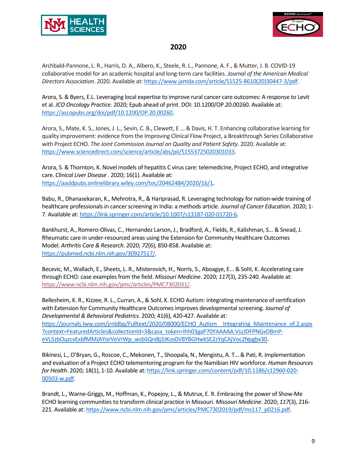



# **2020**

Archbald-Pannone, L. R., Harris, D. A., Albero, K., Steele, R. L., Pannone, A. F., & Mutter, J. B. COVID-19 collaborative model for an academic hospital and long-term care facilities. *Journal of the American Medical Directors Association*. 2020. Available at[: https://www.jamda.com/article/S1525-8610\(20\)30447-3/pdf.](https://www.jamda.com/article/S1525-8610(20)30447-3/pdf) 

Arora, S. & Byers, E.L. Leveraging local expertise to improve rural cancer care outcomes: A response to Levit et al. *JCO Oncology Practice*. 2020; Epub ahead of print. DOI: 10.1200/OP.20.00260. Available at: [https://ascopubs.org/doi/pdf/10.1200/OP.20.00260.](https://ascopubs.org/doi/pdf/10.1200/OP.20.00260)

Arora, S., Mate, K. S., Jones, J. L., Sevin, C. B., Clewett, E ... & Davis, H. T. Enhancing collaborative learning for quality improvement: evidence from the Improving Clinical Flow Project, a Breakthrough Series Collaborative with Project ECHO. *The Joint Commission Journal on Quality and Patient Safety*. 2020. Available at: [https://www.sciencedirect.com/science/article/abs/pii/S1553725020301033.](https://www.sciencedirect.com/science/article/abs/pii/S1553725020301033)

Arora, S. & Thornton, K. Novel models of hepatitis C virus care: telemedicine, Project ECHO, and integrative care. *Clinical Liver Disease .* 2020; 16(1). Available at: [https://aasldpubs.onlinelibrary.wiley.com/toc/20462484/2020/16/1.](https://aasldpubs.onlinelibrary.wiley.com/toc/20462484/2020/16/1)

Babu, R., Dhanasekaran, K., Mehrotra, R., & Hariprasad, R. Leveraging technology for nation-wide training of healthcare professionals in cancer screening in India: a methods article. *Journal of Cancer Education*. 2020; 1- 7. Available at: [https://link.springer.com/article/10.1007/s13187-020-01720-6.](https://link.springer.com/article/10.1007/s13187-020-01720-6)

Bankhurst, A., Romero-Olivas, C., Hernandez Larson, J., Bradford, A., Fields, R., Kalishman, S... & Snead, J. Rheumatic care in under-resourced areas using the Extension for Community Healthcare Outcomes Model. *Arthritis Care & Research*. 2020; *72*(6), 850-858. Available at: [https://pubmed.ncbi.nlm.nih.gov/30927517/.](https://pubmed.ncbi.nlm.nih.gov/30927517/)

Becevic, M., Wallach, E., Sheets, L. R., Misterovich, H., Norris, S., Aboagye, E... & Sohl, K. Accelerating care through ECHO: case examples from the field. *Missouri Medicine*. 2020; *117*(3), 235-240. Available at: [https://www.ncbi.nlm.nih.gov/pmc/articles/PMC7302031/.](https://www.ncbi.nlm.nih.gov/pmc/articles/PMC7302031/)

Bellesheim, K. R., Kizzee, R. L., Curran, A., & Sohl, K. ECHO Autism: integrating maintenance of certification with Extension for Community Healthcare Outcomes improves developmental screening. *Journal of Developmental & Behavioral Pediatrics*. 2020; 41(6), 420-427. Available at: [https://journals.lww.com/jrnldbp/Fulltext/2020/08000/ECHO\\_Autism\\_\\_Integrating\\_Maintenance\\_of.2.aspx](https://journals.lww.com/jrnldbp/Fulltext/2020/08000/ECHO_Autism__Integrating_Maintenance_of.2.aspx?context=FeaturedArticles&collectionId=3&casa_token=Ihh03gaP70YAAAAA:VszJDFPNGxDBmP-eVL5zbOuzcvExbfMMJAYorVeVrWp_wsbSQni8j3JKos0VBYBGHwkSE2zYqCAjVoc2Npgbx30) [?context=FeaturedArticles&collectionId=3&casa\\_token=Ihh03gaP70YAAAAA:VszJDFPNGxDBmP](https://journals.lww.com/jrnldbp/Fulltext/2020/08000/ECHO_Autism__Integrating_Maintenance_of.2.aspx?context=FeaturedArticles&collectionId=3&casa_token=Ihh03gaP70YAAAAA:VszJDFPNGxDBmP-eVL5zbOuzcvExbfMMJAYorVeVrWp_wsbSQni8j3JKos0VBYBGHwkSE2zYqCAjVoc2Npgbx30)[eVL5zbOuzcvExbfMMJAYorVeVrWp\\_wsbSQni8j3JKos0VBYBGHwkSE2zYqCAjVoc2Npgbx30.](https://journals.lww.com/jrnldbp/Fulltext/2020/08000/ECHO_Autism__Integrating_Maintenance_of.2.aspx?context=FeaturedArticles&collectionId=3&casa_token=Ihh03gaP70YAAAAA:VszJDFPNGxDBmP-eVL5zbOuzcvExbfMMJAYorVeVrWp_wsbSQni8j3JKos0VBYBGHwkSE2zYqCAjVoc2Npgbx30)

Bikinesi, L., O'Bryan, G., Roscoe, C., Mekonen, T., Shoopala, N., Mengistu, A. T... & Pati, R. Implementation and evaluation of a Project ECHO telementoring program for the Namibian HIV workforce. *Human Resources for Health*. 2020; 18(1), 1-10. Available at[: https://link.springer.com/content/pdf/10.1186/s12960-020-](https://link.springer.com/content/pdf/10.1186/s12960-020-00503-w.pdf) [00503-w.pdf.](https://link.springer.com/content/pdf/10.1186/s12960-020-00503-w.pdf)

Brandt, L., Warne-Griggs, M., Hoffman, K., Popejoy, L., & Mutrux, E. R. Embracing the power of Show-Me ECHO learning communities to transform clinical practice in Missouri. *Missouri Medicine*. 2020; *117*(3), 216- 221. Available at: [https://www.ncbi.nlm.nih.gov/pmc/articles/PMC7302019/pdf/ms117\\_p0216.pdf.](https://www.ncbi.nlm.nih.gov/pmc/articles/PMC7302019/pdf/ms117_p0216.pdf)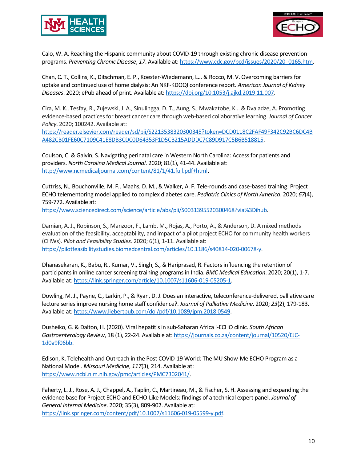



Calo, W. A. Reaching the Hispanic community about COVID-19 through existing chronic disease prevention programs. *Preventing Chronic Disease*, *17*. Available at[: https://www.cdc.gov/pcd/issues/2020/20\\_0165.htm.](https://www.cdc.gov/pcd/issues/2020/20_0165.htm)

Chan, C. T., Collins, K., Ditschman, E. P., Koester-Wiedemann, L… & Rocco, M. V. Overcoming barriers for uptake and continued use of home dialysis: An NKF-KDOQI conference report. *American Journal of Kidney Diseases*. 2020; ePub ahead of print. Available at[: https://doi.org/10.1053/j.ajkd.2019.11.007.](https://doi.org/10.1053/j.ajkd.2019.11.007)

Cira, M. K., Tesfay, R., Zujewski, J. A., Sinulingga, D. T., Aung, S., Mwakatobe, K... & Dvaladze, A. Promoting evidence-based practices for breast cancer care through web-based collaborative learning. *Journal of Cancer Policy*. 2020; 100242. Available at:

[https://reader.elsevier.com/reader/sd/pii/S2213538320300345?token=DCD0118C2FAF49F342C92BC6DC4B](https://reader.elsevier.com/reader/sd/pii/S2213538320300345?token=DCD0118C2FAF49F342C92BC6DC4BA482CB01FE60C7109C41E8DB3CDC0D64353F1D5CB215ADDDC7C89D917C5B6B518815) [A482CB01FE60C7109C41E8DB3CDC0D64353F1D5CB215ADDDC7C89D917C5B6B518815.](https://reader.elsevier.com/reader/sd/pii/S2213538320300345?token=DCD0118C2FAF49F342C92BC6DC4BA482CB01FE60C7109C41E8DB3CDC0D64353F1D5CB215ADDDC7C89D917C5B6B518815)

Coulson, C. & Galvin, S. Navigating perinatal care in Western North Carolina: Access for patients and providers. *North Carolina Medical Journal*. 2020; 81(1), 41-44. Available at: [http://www.ncmedicaljournal.com/content/81/1/41.full.pdf+html.](http://www.ncmedicaljournal.com/content/81/1/41.full.pdf+html)

Cuttriss, N., Bouchonville, M. F., Maahs, D. M., & Walker, A. F. Tele-rounds and case-based training: Project ECHO telementoring model applied to complex diabetes care. *Pediatric Clinics of North America*. 2020; *67*(4), 759-772. Available at:

[https://www.sciencedirect.com/science/article/abs/pii/S0031395520300468?via%3Dihub.](https://www.sciencedirect.com/science/article/abs/pii/S0031395520300468?via%3Dihub)

Damian, A. J., Robinson, S., Manzoor, F., Lamb, M., Rojas, A., Porto, A., & Anderson, D. A mixed methods evaluation of the feasibility, acceptability, and impact of a pilot project ECHO for community health workers (CHWs). *Pilot and Feasibility Studies*. 2020; 6(1), 1-11. Available at: [https://pilotfeasibilitystudies.biomedcentral.com/articles/10.1186/s40814-020-00678-y.](https://pilotfeasibilitystudies.biomedcentral.com/articles/10.1186/s40814-020-00678-y)

Dhanasekaran, K., Babu, R., Kumar, V., Singh, S., & Hariprasad, R. Factors influencing the retention of participants in online cancer screening training programs in India. *BMC Medical Education*. 2020; 20(1), 1-7. Available at: [https://link.springer.com/article/10.1007/s11606-019-05205-1.](https://link.springer.com/article/10.1007/s11606-019-05205-1)

Dowling, M. J., Payne, C., Larkin, P., & Ryan, D. J. Does an interactive, teleconference-delivered, palliative care lecture series improve nursing home staff confidence?. *Journal of Palliative Medicine*. 2020; *23*(2), 179-183. Available at: [https://www.liebertpub.com/doi/pdf/10.1089/jpm.2018.0549.](https://www.liebertpub.com/doi/pdf/10.1089/jpm.2018.0549)

Dusheiko, G. & Dalton, H. (2020). Viral hepatitis in sub-Saharan Africa i-ECHO clinic. *South African Gastroenterology Review*, 18 (1), 22-24. Available at[: https://journals.co.za/content/journal/10520/EJC-](https://journals.co.za/content/journal/10520/EJC-1d0a9f06bb)[1d0a9f06bb.](https://journals.co.za/content/journal/10520/EJC-1d0a9f06bb)

Edison, K. Telehealth and Outreach in the Post COVID-19 World: The MU Show-Me ECHO Program as a National Model. *Missouri Medicine*, *117*(3), 214. Available at: [https://www.ncbi.nlm.nih.gov/pmc/articles/PMC7302041/.](https://www.ncbi.nlm.nih.gov/pmc/articles/PMC7302041/)

Faherty, L. J., Rose, A. J., Chappel, A., Taplin, C., Martineau, M., & Fischer, S. H. Assessing and expanding the evidence base for Project ECHO and ECHO-Like Models: findings of a technical expert panel. *Journal of General Internal Medicine*. 2020; 35(3), 809-902. Available at: [https://link.springer.com/content/pdf/10.1007/s11606-019-05599-y.pdf.](https://link.springer.com/content/pdf/10.1007/s11606-019-05599-y.pdf)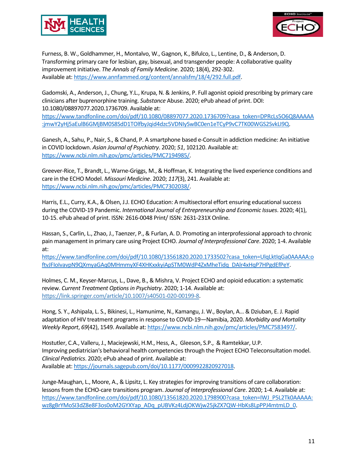



Furness, B. W., Goldhammer, H., Montalvo, W., Gagnon, K., Bifulco, L., Lentine, D., & Anderson, D. Transforming primary care for lesbian, gay, bisexual, and transgender people: A collaborative quality improvement initiative. *The Annals of Family Medicine*. 2020; 18(4), 292-302. Available at: [https://www.annfammed.org/content/annalsfm/18/4/292.full.pdf.](https://www.annfammed.org/content/annalsfm/18/4/292.full.pdf)

Gadomski, A., Anderson, J., Chung, Y.L., Krupa, N. & Jenkins, P. Full agonist opioid prescribing by primary care clinicians after buprenorphine training. *Substance* Abuse. 2020; ePub ahead of print. DOI: 10.1080/08897077.2020.1736709. Available at:

[https://www.tandfonline.com/doi/pdf/10.1080/08897077.2020.1736709?casa\\_token=DPRcLs5O6Q8AAAAA](https://www.tandfonline.com/doi/pdf/10.1080/08897077.2020.1736709?casa_token=DPRcLs5O6Q8AAAAA:jmwY2yHj5aEulB6GMjBM0S8SdD1TOlfbyJqid4dzc5VDNIySwBC0en1eTCyP9vC7TK00WGS2SvkLI9Q) [:jmwY2yHj5aEulB6GMjBM0S8SdD1TOlfbyJqid4dzc5VDNIySwBC0en1eTCyP9vC7TK00WGS2SvkLI9Q.](https://www.tandfonline.com/doi/pdf/10.1080/08897077.2020.1736709?casa_token=DPRcLs5O6Q8AAAAA:jmwY2yHj5aEulB6GMjBM0S8SdD1TOlfbyJqid4dzc5VDNIySwBC0en1eTCyP9vC7TK00WGS2SvkLI9Q)

Ganesh, A., Sahu, P., Nair, S., & Chand, P. A smartphone based e-Consult in addiction medicine: An initiative in COVID lockdown. *Asian Journal of Psychiatry*. 2020; *51*, 102120. Available at: [https://www.ncbi.nlm.nih.gov/pmc/articles/PMC7194985/.](https://www.ncbi.nlm.nih.gov/pmc/articles/PMC7194985/)

Greever-Rice, T., Brandt, L., Warne-Griggs, M., & Hoffman, K. Integrating the lived experience conditions and care in the ECHO Model. *Missouri Medicine*. 2020; *117*(3), 241. Available at: [https://www.ncbi.nlm.nih.gov/pmc/articles/PMC7302038/.](https://www.ncbi.nlm.nih.gov/pmc/articles/PMC7302038/)

Harris, E.L., Curry, K.A., & Olsen, J.J. ECHO Education: A multisectoral effort ensuring educational success during the COVID-19 Pandemic. *International Journal of Entrepreneurship and Economic Issues*. 2020; 4(1), 10-15. ePub ahead of print. ISSN: 2616-0048 Print/ ISSN: 2631-231X Online.

Hassan, S., Carlin, L., Zhao, J., Taenzer, P., & Furlan, A. D. Promoting an interprofessional approach to chronic pain management in primary care using Project ECHO. *Journal of Interprofessional Care*. 2020; 1-4. Available at:

[https://www.tandfonline.com/doi/pdf/10.1080/13561820.2020.1733502?casa\\_token=UlqLktIqGa0AAAAA:o](https://www.tandfonline.com/doi/pdf/10.1080/13561820.2020.1733502?casa_token=UlqLktIqGa0AAAAA:oftvJFIoIvavpN9QXmyaGAq0MHmmyXF4XHKxxkyiApSTM0WdP4ZxMheTidq_DAlr4xHqP7HPgdEfPeY) [ftvJFIoIvavpN9QXmyaGAq0MHmmyXF4XHKxxkyiApSTM0WdP4ZxMheTidq\\_DAlr4xHqP7HPgdEfPeY.](https://www.tandfonline.com/doi/pdf/10.1080/13561820.2020.1733502?casa_token=UlqLktIqGa0AAAAA:oftvJFIoIvavpN9QXmyaGAq0MHmmyXF4XHKxxkyiApSTM0WdP4ZxMheTidq_DAlr4xHqP7HPgdEfPeY)

Holmes, C. M., Keyser-Marcus, L., Dave, B., & Mishra, V. Project ECHO and opioid education: a systematic review. *Current Treatment Options in Psychiatry*. 2020; 1-14. Available at: [https://link.springer.com/article/10.1007/s40501-020-00199-8.](https://link.springer.com/article/10.1007/s40501-020-00199-8)

Hong, S. Y., Ashipala, L. S., Bikinesi, L., Hamunime, N., Kamangu, J. W., Boylan, A... & Dziuban, E. J. Rapid adaptation of HIV treatment programs in response to COVID-19—Namibia, 2020. *Morbidity and Mortality Weekly Report*, *69*(42), 1549. Available at[: https://www.ncbi.nlm.nih.gov/pmc/articles/PMC7583497/.](https://www.ncbi.nlm.nih.gov/pmc/articles/PMC7583497/)

Hostutler, C.A., Valleru, J., Maciejewski, H.M., Hess, A., Gleeson, S.P., & Ramtekkar, U.P. Improving pediatrician's behavioral health competencies through the Project ECHO Teleconsultation model. *Clinical Pediatrics*. 2020; ePub ahead of print. Available at: Available at: [https://journals.sagepub.com/doi/10.1177/0009922820927018.](https://journals.sagepub.com/doi/10.1177/0009922820927018)

Junge-Maughan, L., Moore, A., & Lipsitz, L. Key strategies for improving transitions of care collaboration: lessons from the ECHO-care transitions program. *Journal of Interprofessional Care*. 2020; 1-4. Available at: [https://www.tandfonline.com/doi/pdf/10.1080/13561820.2020.1798900?casa\\_token=IWJ\\_P5L2Tk0AAAAA:](https://www.tandfonline.com/doi/pdf/10.1080/13561820.2020.1798900?casa_token=IWJ_P5L2Tk0AAAAA:wz8gBrYMoSI3dZ8e8F3os0oM2GYXYap_ADq_pUBVKz4LdjOKWjw25jkZX7QW-HbKs8LpPPJ4mtmLD_0) [wz8gBrYMoSI3dZ8e8F3os0oM2GYXYap\\_ADq\\_pUBVKz4LdjOKWjw25jkZX7QW-HbKs8LpPPJ4mtmLD\\_0.](https://www.tandfonline.com/doi/pdf/10.1080/13561820.2020.1798900?casa_token=IWJ_P5L2Tk0AAAAA:wz8gBrYMoSI3dZ8e8F3os0oM2GYXYap_ADq_pUBVKz4LdjOKWjw25jkZX7QW-HbKs8LpPPJ4mtmLD_0)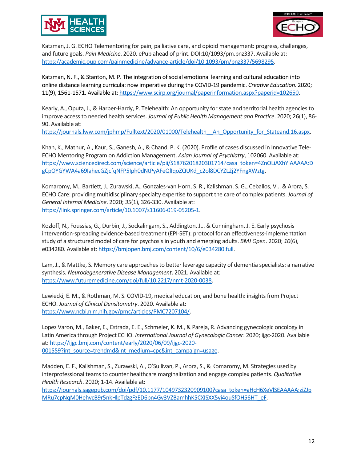



Katzman, J. G. ECHO Telementoring for pain, palliative care, and opioid management: progress, challenges, and future goals. *Pain Medicine*. 2020. ePub ahead of print. DOI:10/1093/pm.pnz337. Available at: [https://academic.oup.com/painmedicine/advance-article/doi/10.1093/pm/pnz337/5698295.](https://academic.oup.com/painmedicine/advance-article/doi/10.1093/pm/pnz337/5698295)

Katzman, N. F., & Stanton, M. P. The integration of social emotional learning and cultural education into online distance learning curricula: now imperative during the COVID-19 pandemic. *Creative Education*. 2020; 11(9), 1561-1571. Available at: [https://www.scirp.org/journal/paperinformation.aspx?paperid=102650.](https://www.scirp.org/journal/paperinformation.aspx?paperid=102650)

Kearly, A., Oputa, J., & Harper-Hardy, P. Telehealth: An opportunity for state and territorial health agencies to improve access to needed health services. *Journal of Public Health Management and Practice*. 2020; 26(1), 86- 90. Available at:

[https://journals.lww.com/jphmp/Fulltext/2020/01000/Telehealth\\_\\_An\\_Opportunity\\_for\\_Stateand.16.aspx.](https://journals.lww.com/jphmp/Fulltext/2020/01000/Telehealth__An_Opportunity_for_Stateand.16.aspx)

Khan, K., Mathur, A., Kaur, S., Ganesh, A., & Chand, P. K. (2020). Profile of cases discussed in Innovative Tele-ECHO Mentoring Program on Addiction Management. *Asian Journal of Psychiatry*, 102060. Available at: [https://www.sciencedirect.com/science/article/pii/S1876201820301714?casa\\_token=4ZnOLiAXhYIAAAAA:D](https://www.sciencedirect.com/science/article/pii/S1876201820301714?casa_token=4ZnOLiAXhYIAAAAA:DgCpOYGYWA4a69IahecGZjcfqNFP5Iph0dNtPyAFeQlIqoZQUKd_c2ol8DCYZL2j2YFngXWztg) [gCpOYGYWA4a69IahecGZjcfqNFP5Iph0dNtPyAFeQlIqoZQUKd\\_c2ol8DCYZL2j2YFngXWztg.](https://www.sciencedirect.com/science/article/pii/S1876201820301714?casa_token=4ZnOLiAXhYIAAAAA:DgCpOYGYWA4a69IahecGZjcfqNFP5Iph0dNtPyAFeQlIqoZQUKd_c2ol8DCYZL2j2YFngXWztg)

Komaromy, M., Bartlett, J., Zurawski, A., Gonzales-van Horn, S. R., Kalishman, S. G., Ceballos, V... & Arora, S. ECHO Care: providing multidisciplinary specialty expertise to support the care of complex patients. *Journal of General Internal Medicine*. 2020; *35*(1), 326-330. Available at: [https://link.springer.com/article/10.1007/s11606-019-05205-1.](https://link.springer.com/article/10.1007/s11606-019-05205-1)

Kozloff, N., Foussias, G., Durbin, J., Sockalingam, S., Addington, J... & Cunningham, J. E. Early psychosis intervention-spreading evidence-based treatment (EPI-SET): protocol for an effectiveness-implementation study of a structured model of care for psychosis in youth and emerging adults. *BMJ Open*. 2020; *10*(6), e034280. Available at: [https://bmjopen.bmj.com/content/10/6/e034280.full.](https://bmjopen.bmj.com/content/10/6/e034280.full)

Lam, J., & Mattke, S. Memory care approaches to better leverage capacity of dementia specialists: a narrative synthesis. *Neurodegenerative Disease Management*. 2021. Available at: [https://www.futuremedicine.com/doi/full/10.2217/nmt-2020-0038.](https://www.futuremedicine.com/doi/full/10.2217/nmt-2020-0038)

Lewiecki, E. M., & Rothman, M. S. COVID-19, medical education, and bone health: insights from Project ECHO. *Journal of Clinical Densitometry*. 2020. Available at: [https://www.ncbi.nlm.nih.gov/pmc/articles/PMC7207104/.](https://www.ncbi.nlm.nih.gov/pmc/articles/PMC7207104/)

Lopez Varon, M., Baker, E., Estrada, E. E., Schmeler, K. M., & Pareja, R. Advancing gynecologic oncology in Latin America through Project ECHO. *International Journal of Gynecologic Cancer*. 2020; ijgc-2020. Available at[: https://ijgc.bmj.com/content/early/2020/06/09/ijgc-2020-](https://ijgc.bmj.com/content/early/2020/06/09/ijgc-2020-001559?int_source=trendmd&int_medium=cpc&int_campaign=usage) [001559?int\\_source=trendmd&int\\_medium=cpc&int\\_campaign=usage.](https://ijgc.bmj.com/content/early/2020/06/09/ijgc-2020-001559?int_source=trendmd&int_medium=cpc&int_campaign=usage)

Madden, E. F., Kalishman, S., Zurawski, A., O'Sullivan, P., Arora, S., & Komaromy, M. Strategies used by interprofessional teams to counter healthcare marginalization and engage complex patients. *Qualitative Health Research*. 2020; 1-14. Available at:

[https://journals.sagepub.com/doi/pdf/10.1177/1049732320909100?casa\\_token=aHcH6XeVlSEAAAAA:ziZJp](https://journals.sagepub.com/doi/pdf/10.1177/1049732320909100?casa_token=aHcH6XeVlSEAAAAA:ziZJpMRu7cpNqM0HehvcB9r5nkHlpTdzgFzED6bn4Gv3VZBamhhK5CXISXX5yi4ouSfOH56HT_eF) [MRu7cpNqM0HehvcB9r5nkHlpTdzgFzED6bn4Gv3VZBamhhK5CXISXX5yi4ouSfOH56HT\\_eF.](https://journals.sagepub.com/doi/pdf/10.1177/1049732320909100?casa_token=aHcH6XeVlSEAAAAA:ziZJpMRu7cpNqM0HehvcB9r5nkHlpTdzgFzED6bn4Gv3VZBamhhK5CXISXX5yi4ouSfOH56HT_eF)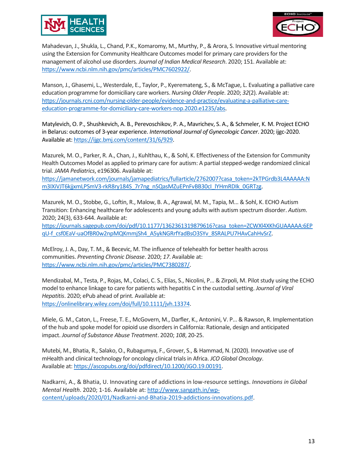



Mahadevan, J., Shukla, L., Chand, P.K., Komaromy, M., Murthy, P., & Arora, S. Innovative virtual mentoring using the Extension for Community Healthcare Outcomes model for primary care providers for the management of alcohol use disorders. *Journal of Indian Medical Research*. 2020; 151. Available at: [https://www.ncbi.nlm.nih.gov/pmc/articles/PMC7602922/.](https://www.ncbi.nlm.nih.gov/pmc/articles/PMC7602922/)

Manson, J., Ghasemi, L., Westerdale, E., Taylor, P., Kyeremateng, S., & McTague, L. Evaluating a palliative care education programme for domiciliary care workers. *Nursing Older People*. 2020; *32*(2). Available at: [https://journals.rcni.com/nursing-older-people/evidence-and-practice/evaluating-a-palliative-care](https://journals.rcni.com/nursing-older-people/evidence-and-practice/evaluating-a-palliative-care-education-programme-for-domiciliary-care-workers-nop.2020.e1235/abs)[education-programme-for-domiciliary-care-workers-nop.2020.e1235/abs.](https://journals.rcni.com/nursing-older-people/evidence-and-practice/evaluating-a-palliative-care-education-programme-for-domiciliary-care-workers-nop.2020.e1235/abs)

Matylevich, O. P., Shushkevich, A. B., Perevoschikov, P. A., Mavrichev, S. A., & Schmeler, K. M. Project ECHO in Belarus: outcomes of 3-year experience. *International Journal of Gynecologic Cancer*. 2020; ijgc-2020. Available at: [https://ijgc.bmj.com/content/31/6/929.](https://ijgc.bmj.com/content/31/6/929)

Mazurek, M. O., Parker, R. A., Chan, J., Kuhlthau, K., & Sohl, K. Effectiveness of the Extension for Community Health Outcomes Model as applied to primary care for autism: A partial stepped-wedge randomized clinical trial. *JAMA Pediatrics*, e196306. Available at:

[https://jamanetwork.com/journals/jamapediatrics/fullarticle/2762007?casa\\_token=2kTPGrdb3L4AAAAA:N](https://jamanetwork.com/journals/jamapediatrics/fullarticle/2762007?casa_token=2kTPGrdb3L4AAAAA:Nm3IXiVJT6kjjxmLPSmV3-rkR8ry184S_7r7ng_nSQasMZuEPnFvBB30cI_lYHmRDIk_0GRTzg) [m3IXiVJT6kjjxmLPSmV3-rkR8ry184S\\_7r7ng\\_nSQasMZuEPnFvBB30cI\\_lYHmRDIk\\_0GRTzg.](https://jamanetwork.com/journals/jamapediatrics/fullarticle/2762007?casa_token=2kTPGrdb3L4AAAAA:Nm3IXiVJT6kjjxmLPSmV3-rkR8ry184S_7r7ng_nSQasMZuEPnFvBB30cI_lYHmRDIk_0GRTzg)

Mazurek, M. O., Stobbe, G., Loftin, R., Malow, B. A., Agrawal, M. M., Tapia, M... & Sohl, K. ECHO Autism Transition: Enhancing healthcare for adolescents and young adults with autism spectrum disorder. *Autism*. 2020; 24(3), 633-644. Available at:

[https://journals.sagepub.com/doi/pdf/10.1177/1362361319879616?casa\\_token=ZCWXl4XKhGUAAAAA:6EP](https://journals.sagepub.com/doi/pdf/10.1177/1362361319879616?casa_token=ZCWXl4XKhGUAAAAA:6EPqU-f_csf0EaV-uaOfBR0w2npMQKmmjSh4_A5ykNGRrfYadBsO3SYv_8SRALPU7HAvCahHvSrZ) [qU-f\\_csf0EaV-uaOfBR0w2npMQKmmjSh4\\_A5ykNGRrfYadBsO3SYv\\_8SRALPU7HAvCahHvSrZ.](https://journals.sagepub.com/doi/pdf/10.1177/1362361319879616?casa_token=ZCWXl4XKhGUAAAAA:6EPqU-f_csf0EaV-uaOfBR0w2npMQKmmjSh4_A5ykNGRrfYadBsO3SYv_8SRALPU7HAvCahHvSrZ)

McElroy, J. A., Day, T. M., & Becevic, M. The influence of telehealth for better health across communities. *Preventing Chronic Disease*. 2020; *17*. Available at: [https://www.ncbi.nlm.nih.gov/pmc/articles/PMC7380287/.](https://www.ncbi.nlm.nih.gov/pmc/articles/PMC7380287/)

Mendizabal, M., Testa, P., Rojas, M., Colaci, C. S., Elías, S., Nicolini, P... & Zirpoli, M. Pilot study using the ECHO model to enhance linkage to care for patients with hepatitis C in the custodial setting. *Journal of Viral Hepatitis*. 2020; ePub ahead of print. Available at: [https://onlinelibrary.wiley.com/doi/full/10.1111/jvh.13374.](https://onlinelibrary.wiley.com/doi/full/10.1111/jvh.13374)

Miele, G. M., Caton, L., Freese, T. E., McGovern, M., Darfler, K., Antonini, V. P... & Rawson, R. Implementation of the hub and spoke model for opioid use disorders in California: Rationale, design and anticipated impact. *Journal of Substance Abuse Treatment*. 2020; *108*, 20-25.

Mutebi, M., Bhatia, R., Salako, O., Rubagumya, F., Grover, S., & Hammad, N. (2020). Innovative use of mHealth and clinical technology for oncology clinical trials in Africa. *JCO Global Oncology*. Available at: [https://ascopubs.org/doi/pdfdirect/10.1200/JGO.19.00191.](https://ascopubs.org/doi/pdfdirect/10.1200/JGO.19.00191)

Nadkarni, A., & Bhatia, U. Innovating care of addictions in low-resource settings. *Innovations in Global Mental Health*. 2020; 1-16. Available at[: http://www.sangath.in/wp](http://www.sangath.in/wp-content/uploads/2020/01/Nadkarni-and-Bhatia-2019-addictions-innovations.pdf)[content/uploads/2020/01/Nadkarni-and-Bhatia-2019-addictions-innovations.pdf.](http://www.sangath.in/wp-content/uploads/2020/01/Nadkarni-and-Bhatia-2019-addictions-innovations.pdf)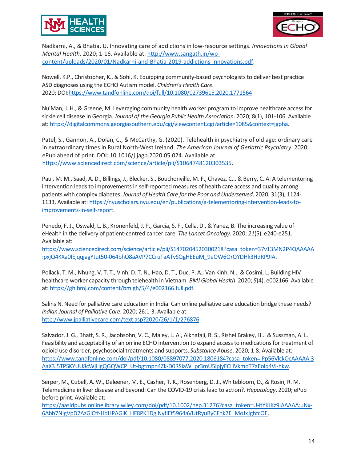



Nadkarni, A., & Bhatia, U. Innovating care of addictions in low-resource settings. *Innovations in Global Mental Health*. 2020; 1-16. Available at[: http://www.sangath.in/wp](http://www.sangath.in/wp-content/uploads/2020/01/Nadkarni-and-Bhatia-2019-addictions-innovations.pdf)[content/uploads/2020/01/Nadkarni-and-Bhatia-2019-addictions-innovations.pdf.](http://www.sangath.in/wp-content/uploads/2020/01/Nadkarni-and-Bhatia-2019-addictions-innovations.pdf)

Nowell, K.P., Christopher, K., & Sohl, K. Equipping community-based psychologists to deliver best practice ASD diagnoses using the ECHO Autism model. *Children's Health Care*. 2020; DO[I:https://www.tandfonline.com/doi/full/10.1080/02739615.2020.1771564](https://www.tandfonline.com/doi/full/10.1080/02739615.2020.1771564)

Nu'Man, J. H., & Greene, M. Leveraging community health worker program to improve healthcare access for sickle cell disease in Georgia. *Journal of the Georgia Public Health Association*. 2020; 8(1), 101-106. Available at[: https://digitalcommons.georgiasouthern.edu/cgi/viewcontent.cgi?article=1085&context=jgpha.](https://digitalcommons.georgiasouthern.edu/cgi/viewcontent.cgi?article=1085&context=jgpha)

Patel, S., Gannon, A., Dolan, C., & McCarthy, G. (2020). Telehealth in psychiatry of old age: ordinary care in extraordinary times in Rural North-West Ireland. *The American Journal of Geriatric Psychiatry*. 2020; ePub ahead of print. DOI: 10.1016/j.jagp.2020.05.024. Available at: [https://www.sciencedirect.com/science/article/pii/S1064748120303535.](https://www.sciencedirect.com/science/article/pii/S1064748120303535)

Paul, M. M., Saad, A. D., Billings, J., Blecker, S., Bouchonville, M. F., Chavez, C... & Berry, C. A. A telementoring intervention leads to improvements in self-reported measures of health care access and quality among patients with complex diabetes. *Journal of Health Care for the Poor and Underserved*. 2020; 31(3), 1124- 1133. Available at: [https://nyuscholars.nyu.edu/en/publications/a-telementoring-intervention-leads-to](https://nyuscholars.nyu.edu/en/publications/a-telementoring-intervention-leads-to-improvements-in-self-report)[improvements-in-self-report.](https://nyuscholars.nyu.edu/en/publications/a-telementoring-intervention-leads-to-improvements-in-self-report)

Penedo, F. J., Oswald, L. B., Kronenfeld, J. P., Garcia, S. F., Cella, D., & Yanez, B. The increasing value of eHealth in the delivery of patient-centred cancer care. *The Lancet Oncology*. 2020; *21*(5), e240-e251. Available at:

[https://www.sciencedirect.com/science/article/pii/S1470204520300218?casa\\_token=37v13MN2P4QAAAAA](https://www.sciencedirect.com/science/article/pii/S1470204520300218?casa_token=37v13MN2P4QAAAAA:pxjQ4KXa0IEjqqjagYtut50-064bhO8aAVP7CCruTaATvSQgHEEuM_9eOW6OrQYDHk3HdRP9IA) [:pxjQ4KXa0IEjqqjagYtut50-064bhO8aAVP7CCruTaATvSQgHEEuM\\_9eOW6OrQYDHk3HdRP9IA.](https://www.sciencedirect.com/science/article/pii/S1470204520300218?casa_token=37v13MN2P4QAAAAA:pxjQ4KXa0IEjqqjagYtut50-064bhO8aAVP7CCruTaATvSQgHEEuM_9eOW6OrQYDHk3HdRP9IA)

Pollack, T. M., Nhung, V. T. T., Vinh, D. T. N., Hao, D. T., Duc, P. A., Van Kinh, N... & Cosimi, L. Building HIV healthcare worker capacity through telehealth in Vietnam. *BMJ Global Health*. 2020; *5*(4), e002166. Available at: [https://gh.bmj.com/content/bmjgh/5/4/e002166.full.pdf.](https://gh.bmj.com/content/bmjgh/5/4/e002166.full.pdf)

Salins N. Need for palliative care education in India: Can online palliative care education bridge these needs? *Indian Journal of Palliative Care*. 2020; 26:1-3. Available at: [http://www.jpalliativecare.com/text.asp?2020/26/1/1/276876.](http://www.jpalliativecare.com/text.asp?2020/26/1/1/276876)

Salvador, J. G., Bhatt, S. R., Jacobsohn, V. C., Maley, L. A., Alkhafaji, R. S., Rishel Brakey, H... & Sussman, A. L. Feasibility and acceptability of an online ECHO intervention to expand access to medications for treatment of opioid use disorder, psychosocial treatments and supports. *Substance Abuse*. 2020; 1-8. Available at: [https://www.tandfonline.com/doi/pdf/10.1080/08897077.2020.1806184?casa\\_token=jPp56VlckOcAAAAA:3](https://www.tandfonline.com/doi/pdf/10.1080/08897077.2020.1806184?casa_token=jPp56VlckOcAAAAA:3AaX3J5TPSKYUU8cWjHgQGQWCP_Ut-bgtmpn4Zk-D0RSlaW_pr3mU5ipjyFCHVkmoT7aEolq4Vi-hkw) [AaX3J5TPSKYUU8cWjHgQGQWCP\\_Ut-bgtmpn4Zk-D0RSlaW\\_pr3mU5ipjyFCHVkmoT7aEolq4Vi-hkw.](https://www.tandfonline.com/doi/pdf/10.1080/08897077.2020.1806184?casa_token=jPp56VlckOcAAAAA:3AaX3J5TPSKYUU8cWjHgQGQWCP_Ut-bgtmpn4Zk-D0RSlaW_pr3mU5ipjyFCHVkmoT7aEolq4Vi-hkw)

Serper, M., Cubell, A. W., Deleener, M. E., Casher, T. K., Rosenberg, D. J., Whitebloom, D., & Rosin, R. M. Telemedicine in liver disease and beyond: Can the COVID-19 crisis lead to action?. *Hepatology*. 2020; ePub before print. Available at:

[https://aasldpubs.onlinelibrary.wiley.com/doi/pdf/10.1002/hep.31276?casa\\_token=U-itYKJKz9IAAAAA:uNx-](https://aasldpubs.onlinelibrary.wiley.com/doi/pdf/10.1002/hep.31276?casa_token=U-itYKJKz9IAAAAA:uNx-6Abh7NIgVpD7AzGiCff-HdHPAGIK_HF8PK1DgINyfIEf5964aVUtRyuByCFhk7E_MoJxJghfcOE)[6Abh7NIgVpD7AzGiCff-HdHPAGIK\\_HF8PK1DgINyfIEf5964aVUtRyuByCFhk7E\\_MoJxJghfcOE.](https://aasldpubs.onlinelibrary.wiley.com/doi/pdf/10.1002/hep.31276?casa_token=U-itYKJKz9IAAAAA:uNx-6Abh7NIgVpD7AzGiCff-HdHPAGIK_HF8PK1DgINyfIEf5964aVUtRyuByCFhk7E_MoJxJghfcOE)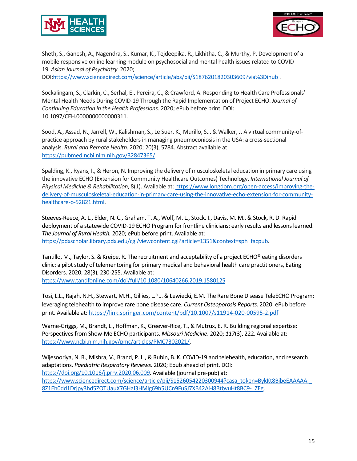



Sheth, S., Ganesh, A., Nagendra, S., Kumar, K., Tejdeepika, R., Likhitha, C., & Murthy, P. Development of a mobile responsive online learning module on psychosocial and mental health issues related to COVID 19. *Asian Journal of Psychiatry*. 2020;

DOI[:https://www.sciencedirect.com/science/article/abs/pii/S1876201820303609?via%3Dihub](https://www.sciencedirect.com/science/article/abs/pii/S1876201820303609?via%3Dihub) .

Sockalingam, S., Clarkin, C., Serhal, E., Pereira, C., & Crawford, A. Responding to Health Care Professionals' Mental Health Needs During COVID-19 Through the Rapid Implementation of Project ECHO. *Journal of Continuing Education in the Health Professions*. 2020; ePub before print. DOI: 10.1097/CEH.0000000000000311.

Sood, A., Assad, N., Jarrell, W., Kalishman, S., Le Suer, K., Murillo, S... & Walker, J. A virtual community-ofpractice approach by rural stakeholders in managing pneumoconiosis in the USA: a cross-sectional analysis. *Rural and Remote Health*. 2020; 20(3), 5784. Abstract available at: [https://pubmed.ncbi.nlm.nih.gov/32847365/.](https://pubmed.ncbi.nlm.nih.gov/32847365/)

Spalding, K., Ryans, I., & Heron, N. Improving the delivery of musculoskeletal education in primary care using the innovative ECHO (Extension for Community Healthcare Outcomes) Technology. *International Journal of Physical Medicine & Rehabilitation*, 8(1). Available at: [https://www.longdom.org/open-access/improving-the](https://www.longdom.org/open-access/improving-the-delivery-of-musculoskeletal-education-in-primary-care-using-the-innovative-echo-extension-for-community-healthcare-o-52821.html)[delivery-of-musculoskeletal-education-in-primary-care-using-the-innovative-echo-extension-for-community](https://www.longdom.org/open-access/improving-the-delivery-of-musculoskeletal-education-in-primary-care-using-the-innovative-echo-extension-for-community-healthcare-o-52821.html)[healthcare-o-52821.html.](https://www.longdom.org/open-access/improving-the-delivery-of-musculoskeletal-education-in-primary-care-using-the-innovative-echo-extension-for-community-healthcare-o-52821.html)

Steeves-Reece, A. L., Elder, N. C., Graham, T. A., Wolf, M. L., Stock, I., Davis, M. M., & Stock, R. D. Rapid deployment of a statewide COVID-19 ECHO Program for frontline clinicians: early results and lessons learned. *The Journal of Rural Health.* 2020; ePub before print. Available at: [https://pdxscholar.library.pdx.edu/cgi/viewcontent.cgi?article=1351&context=sph\\_facpub.](https://pdxscholar.library.pdx.edu/cgi/viewcontent.cgi?article=1351&context=sph_facpub)

Tantillo, M., Taylor, S. & Kreipe, R. The recruitment and acceptability of a project ECHO® eating disorders clinic: a pilot study of telementoring for primary medical and behavioral health care practitioners, Eating Disorders. 2020; 28(3), 230-255. Available at: <https://www.tandfonline.com/doi/full/10.1080/10640266.2019.1580125>

Tosi, L.L., Rajah, N.H., Stewart, M.H., Gillies, L.P… & Lewiecki, E.M. The Rare Bone Disease TeleECHO Program: leveraging telehealth to improve rare bone disease care. *Current Osteoporosis Reports*. 2020; ePub before print. Available at[: https://link.springer.com/content/pdf/10.1007/s11914-020-00595-2.pdf](https://link.springer.com/content/pdf/10.1007/s11914-020-00595-2.pdf)

Warne-Griggs, M., Brandt, L., Hoffman, K., Greever-Rice, T., & Mutrux, E. R. Building regional expertise: Perspectives from Show-Me ECHO participants. *Missouri Medicine*. 2020; *117*(3), 222. Available at: [https://www.ncbi.nlm.nih.gov/pmc/articles/PMC7302021/.](https://www.ncbi.nlm.nih.gov/pmc/articles/PMC7302021/)

Wijesooriya, N. R., Mishra, V., Brand, P. L., & Rubin, B. K. COVID-19 and telehealth, education, and research adaptations. *Paediatric Respiratory Reviews*. 2020; Epub ahead of print. DOI: [https://doi.org/10.1016/j.prrv.2020.06.009.](https://doi.org/10.1016/j.prrv.2020.06.009) Available (journal pre-pub) at: https://www.sciencedirect.com/science/article/pii/S1526054220300944?casa\_token=BykKt8BibeEAAAAA: 8Z1Eh0dd1Drjpy3hd5ZOTUauX7GHaI3HMlg69h5UCn9FuSJ7XB42Ai-i8BtbvuHt8BC9-ZEg.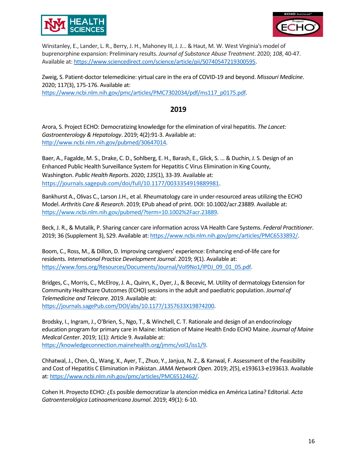



Winstanley, E., Lander, L. R., Berry, J. H., Mahoney III, J. J... & Haut, M. W. West Virginia's model of buprenorphine expansion: Preliminary results. *Journal of Substance Abuse Treatment*. 2020; *108*, 40-47. Available at: [https://www.sciencedirect.com/science/article/pii/S0740547219300595.](https://www.sciencedirect.com/science/article/pii/S0740547219300595)

Zweig, S. Patient-doctor telemedicine: yirtual care in the era of COVID-19 and beyond. *Missouri Medicine*. 2020; 117(3), 175-176. Available at: [https://www.ncbi.nlm.nih.gov/pmc/articles/PMC7302034/pdf/ms117\\_p0175.pdf.](https://www.ncbi.nlm.nih.gov/pmc/articles/PMC7302034/pdf/ms117_p0175.pdf)

# **2019**

Arora, S. Project ECHO: Democratizing knowledge for the elimination of viral hepatitis. *The Lancet: Gastroenterology & Hepatology*. 2019; 4(2):91-3. Available at: [http://www.ncbi.nlm.nih.gov/pubmed/30647014.](http://www.ncbi.nlm.nih.gov/pubmed/30647014)

Baer, A., Fagalde, M. S., Drake, C. D., Sohlberg, E. H., Barash, E., Glick, S. ... & Duchin, J. S. Design of an Enhanced Public Health Surveillance System for Hepatitis C Virus Elimination in King County, Washington. *Public Health Reports*. 2020; *135*(1), 33-39. Available at: [https://journals.sagepub.com/doi/full/10.1177/0033354919889981.](https://journals.sagepub.com/doi/full/10.1177/0033354919889981)

Bankhurst A., Olivas C., Larson J.H., et al. Rheumatology care in under-resourced areas utilizing the ECHO Model. *Arthritis Care & Research*. 2019; EPub ahead of print. DOI: 10.1002/acr.23889. Available at: [https://www.ncbi.nlm.nih.gov/pubmed/?term=10.1002%2Facr.23889.](https://www.ncbi.nlm.nih.gov/pubmed/?term=10.1002%2Facr.23889)

Beck, J. R., & Mutalik, P. Sharing cancer care information across VA Health Care Systems. *Federal Practitioner*. 2019; 36 (Supplement 3), S29. Available at[: https://www.ncbi.nlm.nih.gov/pmc/articles/PMC6533892/.](https://www.ncbi.nlm.nih.gov/pmc/articles/PMC6533892/)

Boom, C., Ross, M., & Dillon, D. Improving caregivers' experience: Enhancing end-of-life care for residents. *International Practice Development Journal*. 2019; *9*(1). Available at: [https://www.fons.org/Resources/Documents/Journal/Vol9No1/IPDJ\\_09\\_01\\_05.pdf.](https://www.fons.org/Resources/Documents/Journal/Vol9No1/IPDJ_09_01_05.pdf)

Bridges, C., Morris, C., McElroy, J. A., Quinn, K., Dyer, J., & Becevic, M. Utility of dermatology Extension for Community Healthcare Outcomes (ECHO) sessions in the adult and paediatric population. *Journal of Telemedicine and Telecare*. 2019. Available at: [https://journals.sagePub.com/DOI/abs/10.1177/1357633X19874200.](https://journals.sagepub.com/doi/abs/10.1177/1357633X19874200)

Brodsky, I., Ingram, J., O'Brien, S., Ngo, T., & Winchell, C. T. Rationale and design of an endocrinology education program for primary care in Maine: Initiation of Maine Health Endo ECHO Maine. *Journal of Maine Medical Center*. 2019; 1(1): Article 9. Available at: [https://knowledgeconnection.mainehealth.org/jmmc/vol1/iss1/9.](https://knowledgeconnection.mainehealth.org/jmmc/vol1/iss1/9)

Chhatwal, J., Chen, Q., Wang, X., Ayer, T., Zhuo, Y., Janjua, N. Z., & Kanwal, F. Assessment of the Feasibility and Cost of Hepatitis C Elimination in Pakistan. *JAMA Network Open*. 2019; *2*(5), e193613-e193613. Available at[: https://www.ncbi.nlm.nih.gov/pmc/articles/PMC6512462/.](https://www.ncbi.nlm.nih.gov/pmc/articles/PMC6512462/)

Cohen H. Proyecto ECHO: ¿Es posible democratizar la atencíon médica en América Latina? Editorial. *Acta Gatroenterológica Latinoamericana Journal*. 2019; 49(1): 6-10.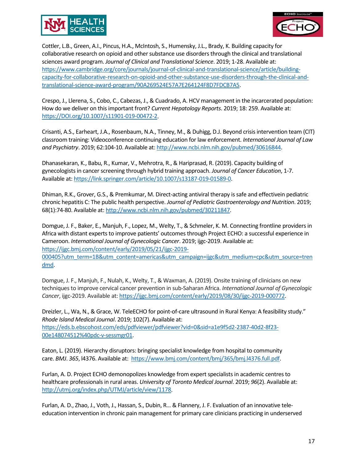



Cottler, L.B., Green, A.I., Pincus, H.A., McIntosh, S., Humensky, J.L., Brady, K. Building capacity for collaborative research on opioid and other substance use disorders through the clinical and translational sciences award program. *Journal of Clinical and Translational Science*. 2019; 1-28. Available at: [https://www.cambridge.org/core/journals/journal-of-clinical-and-translational-science/article/building](https://www.cambridge.org/core/journals/journal-of-clinical-and-translational-science/article/building-capacity-for-collaborative-research-on-opioid-and-other-substance-use-disorders-through-the-clinical-and-translational-science-award-program/90A269524E57A7E264124F8D7FDCB7A5)[capacity-for-collaborative-research-on-opioid-and-other-substance-use-disorders-through-the-clinical-and](https://www.cambridge.org/core/journals/journal-of-clinical-and-translational-science/article/building-capacity-for-collaborative-research-on-opioid-and-other-substance-use-disorders-through-the-clinical-and-translational-science-award-program/90A269524E57A7E264124F8D7FDCB7A5)[translational-science-award-program/90A269524E57A7E264124F8D7FDCB7A5.](https://www.cambridge.org/core/journals/journal-of-clinical-and-translational-science/article/building-capacity-for-collaborative-research-on-opioid-and-other-substance-use-disorders-through-the-clinical-and-translational-science-award-program/90A269524E57A7E264124F8D7FDCB7A5)

Crespo, J., Llerena, S., Cobo, C., Cabezas, J., & Cuadrado, A. HCV management in the incarcerated population: How do we deliver on this important front? *Current Hepatology Reports*. 2019; 18: 259. Available at: [https://DOI.org/10.1007/s11901-019-00472-2.](https://doi.org/10.1007/s11901-019-00472-2)

Crisanti, A.S., Earheart, J.A., Rosenbaum, N.A., Tinney, M., & Duhigg, D.J. Beyond crisis intervention team (CIT) classroom training: Videoconference continuing education for law enforcement. *International Journal of Law and Psychiatry*. 2019; 62:104-10. Available at: [http://www.ncbi.nlm.nih.gov/pubmed/30616844.](http://www.ncbi.nlm.nih.gov/pubmed/30616844)

Dhanasekaran, K., Babu, R., Kumar, V., Mehrotra, R., & Hariprasad, R. (2019). Capacity building of gynecologists in cancer screening through hybrid training approach. *Journal of Cancer Education*, 1-7. Available at: [https://link.springer.com/article/10.1007/s13187-019-01589-0.](https://link.springer.com/article/10.1007/s13187-019-01589-0)

Dhiman, R.K., Grover, G.S., & Premkumar, M. Direct-acting antiviral therapy is safe and effectivein pediatric chronic hepatitis C: The public health perspective. *Journal of Pediatric Gastroenterology and Nutrition*. 2019; 68(1):74-80. Available at[: http://www.ncbi.nlm.nih.gov/pubmed/30211847.](http://www.ncbi.nlm.nih.gov/pubmed/30211847)

Domgue, J. F., Baker, E., Manjuh, F., Lopez, M., Welty, T., & Schmeler, K. M. Connecting frontline providers in Africa with distant experts to improve patients' outcomes through Project ECHO: a successful experience in Cameroon. *International Journal of Gynecologic Cancer*. 2019; ijgc-2019. Available at: [https://ijgc.bmj.com/content/early/2019/05/21/ijgc-2019-](https://ijgc.bmj.com/content/early/2019/05/21/ijgc-2019-000405?utm_term=1B&utm_content=americas&utm_campaign=ijgc&utm_medium=cpc&utm_source=trendmd) [000405?utm\\_term=1B&utm\\_content=americas&utm\\_campaign=ijgc&utm\\_medium=cpc&utm\\_source=tren](https://ijgc.bmj.com/content/early/2019/05/21/ijgc-2019-000405?utm_term=1B&utm_content=americas&utm_campaign=ijgc&utm_medium=cpc&utm_source=trendmd) [dmd.](https://ijgc.bmj.com/content/early/2019/05/21/ijgc-2019-000405?utm_term=1B&utm_content=americas&utm_campaign=ijgc&utm_medium=cpc&utm_source=trendmd)

Domgue, J. F., Manjuh, F., Nulah, K., Welty, T., & Waxman, A. (2019). Onsite training of clinicians on new techniques to improve cervical cancer prevention in sub-Saharan Africa. *International Journal of Gynecologic Cancer*, ijgc-2019. Available at: [https://ijgc.bmj.com/content/early/2019/08/30/ijgc-2019-000772.](https://ijgc.bmj.com/content/early/2019/08/30/ijgc-2019-000772)

Dreizler, L., Wa, N., & Grace, W. TeleECHO for point-of-care ultrasound in Rural Kenya: A feasibility study." *Rhode Island Medical Journal*. 2019; 102(7). Available at: [https://eds.b.ebscohost.com/eds/pdfviewer/pdfviewer?vid=0&sid=a1e9f5d2-2387-40d2-8f23-](https://eds.b.ebscohost.com/eds/pdfviewer/pdfviewer?vid=0&sid=a1e9f5d2-2387-40d2-8f23-00e148074512%40pdc-v-sessmgr01) [00e148074512%40pdc-v-sessmgr01.](https://eds.b.ebscohost.com/eds/pdfviewer/pdfviewer?vid=0&sid=a1e9f5d2-2387-40d2-8f23-00e148074512%40pdc-v-sessmgr01)

Eaton, L. (2019). Hierarchy disruptors: bringing specialist knowledge from hospital to community care. *BMJ*. *365*, l4376. Available at: [https://www.bmj.com/content/bmj/365/bmj.l4376.full.pdf.](https://www.bmj.com/content/bmj/365/bmj.l4376.full.pdf)

Furlan, A. D. Project ECHO demonopolizes knowledge from expert specialists in academic centres to healthcare professionals in rural areas. *University of Toronto Medical Journal*. 2019; *96*(2). Available at: [http://utmj.org/index.php/UTMJ/article/view/1178.](http://utmj.org/index.php/UTMJ/article/view/1178)

Furlan, A. D., Zhao, J., Voth, J., Hassan, S., Dubin, R… & Flannery, J. F. Evaluation of an innovative teleeducation intervention in chronic pain management for primary care clinicians practicing in underserved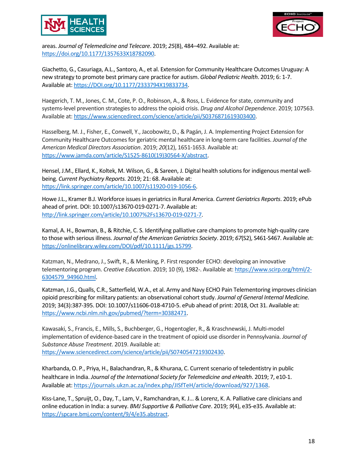



areas. *Journal of Telemedicine and Telecare*. 2019; *25*(8), 484–492. Available at: [https://doi.org/10.1177/1357633X18782090.](https://doi.org/10.1177/1357633X18782090)

Giachetto, G., Casuriaga, A.L., Santoro, A., et al. Extension for Community Healthcare Outcomes Uruguay: A new strategy to promote best primary care practice for autism. *Global Pediatric Health*. 2019; 6: 1-7. Available at: [https://DOI.org/10.1177/2333794X19833734.](https://doi.org/10.1177%2F2333794X19833734)

Haegerich, T. M., Jones, C. M., Cote, P. O., Robinson, A., & Ross, L. Evidence for state, community and systems-level prevention strategies to address the opioid crisis. *Drug and Alcohol Dependence*. 2019; 107563. Available at: [https://www.sciencedirect.com/science/article/pii/S0376871619303400.](https://www.sciencedirect.com/science/article/pii/S0376871619303400)

Hasselberg, M. J., Fisher, E., Conwell, Y., Jacobowitz, D., & Pagán, J. A. Implementing Project Extension for Community Healthcare Outcomes for geriatric mental healthcare in long-term care facilities. *Journal of the American Medical Directors Association*. 2019; *20*(12), 1651-1653. Available at: [https://www.jamda.com/article/S1525-8610\(19\)30564-X/abstract.](https://www.jamda.com/article/S1525-8610(19)30564-X/abstract)

Hensel, J.M., Ellard, K., Koltek, M. Wilson, G., & Sareen, J. Digital health solutions for indigenous mental wellbeing. *Current Psychiatry Reports.* 2019; 21: 68. Available at: [https://link.springer.com/article/10.1007/s11920-019-1056-6.](https://link.springer.com/article/10.1007/s11920-019-1056-6)

Howe J.L., Kramer B.J. Workforce issues in geriatrics in Rural America. *Current Geriatrics Reports*. 2019; ePub ahead of print. DOI: 10.1007/s13670-019-0271-7. Available at: [http://link.springer.com/article/10.1007%2Fs13670-019-0271-7.](http://link.springer.com/article/10.1007%2Fs13670-019-0271-7)

Kamal, A. H., Bowman, B., & Ritchie, C. S. Identifying palliative care champions to promote high-quality care to those with serious illness. *Journal of the American Geriatrics Society*. 2019; *67*(S2), S461-S467. Available at: [https://onlinelibrary.wiley.com/DOI/pdf/10.1111/jgs.15799.](https://onlinelibrary.wiley.com/doi/pdf/10.1111/jgs.15799)

Katzman, N., Medrano, J., Swift, R., & Menking, P. First responder ECHO: developing an innovative telementoring program. *Creative Education*. 2019; 10 (9), 1982-. Available at: [https://www.scirp.org/html/2-](https://www.scirp.org/html/2-6304579_94960.htm) [6304579\\_94960.html](https://www.scirp.org/html/2-6304579_94960.htm).

Katzman, J.G., Qualls, C.R., Satterfield, W.A., et al. Army and Navy ECHO Pain Telementoring improves clinician opioid prescribing for military patients: an observational cohort study. *Journal of General Internal Medicine.*  2019; 34(3):387-395. DOI: 10.1007/s11606-018-4710-5. ePub ahead of print: 2018, Oct 31. Available at: [https://www.ncbi.nlm.nih.gov/pubmed/?term=30382471.](https://www.ncbi.nlm.nih.gov/pubmed/?term=30382471)

Kawasaki, S., Francis, E., Mills, S., Buchberger, G., Hogentogler, R., & Kraschnewski, J. Multi-model implementation of evidence-based care in the treatment of opioid use disorder in Pennsylvania. *Journal of Substance Abuse Treatment*. 2019. Available at: [https://www.sciencedirect.com/science/article/pii/S0740547219302430.](https://www.sciencedirect.com/science/article/pii/S0740547219302430)

Kharbanda, O. P., Priya, H., Balachandran, R., & Khurana, C. Current scenario of teledentistry in public healthcare in India. *Journal of the International Society for Telemedicine and eHealth*. 2019; 7, e10-1. Available at: [https://journals.ukzn.ac.za/index.php/JISfTeH/article/download/927/1368.](https://journals.ukzn.ac.za/index.php/JISfTeH/article/download/927/1368)

Kiss-Lane, T., Spruijt, O., Day, T., Lam, V., Ramchandran, K. J... & Lorenz, K. A. Palliative care clinicians and online education in India: a survey. *BMJ Supportive & Palliative Care*. 2019; *9*(4), e35-e35. Available at: [https://spcare.bmj.com/content/9/4/e35.abstract.](https://spcare.bmj.com/content/9/4/e35.abstract)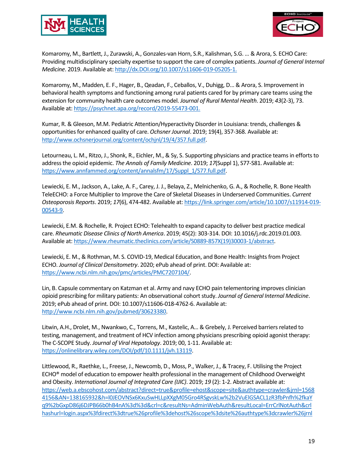



Komaromy, M., Bartlett, J., Zurawski, A., Gonzales-van Horn, S.R., Kalishman, S.G. … & Arora, S. ECHO Care: Providing multidisciplinary specialty expertise to support the care of complex patients. *Journal of General Internal Medicine*. 2019. Available at[: http://dx.DOI.org/10.1007/s11606-019-05205-1.](http://dx.doi.org/10.1007/s11606-019-05205-1.)

Komaromy, M., Madden, E. F., Hager, B., Qeadan, F., Ceballos, V., Duhigg, D... & Arora, S. Improvement in behavioral health symptoms and functioning among rural patients cared for by primary care teams using the extension for community health care outcomes model. *Journal of Rural Mental Health*. 2019; *43*(2-3), 73. Available at:<https://psychnet.apa.org/record/2019-55473-001.>

Kumar, R. & Gleeson, M.M. Pediatric Attention/Hyperactivity Disorder in Louisiana: trends, challenges & opportunities for enhanced quality of care. *Ochsner Journal*. 2019; 19(4), 357-368. Available at: [http://www.ochsnerjournal.org/content/ochjnl/19/4/357.full.pdf.](http://www.ochsnerjournal.org/content/ochjnl/19/4/357.full.pdf)

Letourneau, L. M., Ritzo, J., Shonk, R., Eichler, M., & Sy, S. Supporting physicians and practice teams in efforts to address the opioid epidemic. *The Annals of Family Medicine*. 2019; *17*(Suppl 1), S77-S81. Available at: [https://www.annfammed.org/content/annalsfm/17/Suppl\\_1/S77.full.pdf.](https://www.annfammed.org/content/annalsfm/17/Suppl_1/S77.full.pdf)

Lewiecki, E. M., Jackson, A., Lake, A. F., Carey, J. J., Belaya, Z., Melnichenko, G. A., & Rochelle, R. Bone Health TeleECHO: a Force Multiplier to Improve the Care of Skeletal Diseases in Underserved Communities. *Current Osteoporosis Reports*. 2019; *17*(6), 474-482. Available at[: https://link.springer.com/article/10.1007/s11914-019-](https://link.springer.com/article/10.1007/s11914-019-00543-9) [00543-9.](https://link.springer.com/article/10.1007/s11914-019-00543-9)

Lewiecki, E.M. & Rochelle, R. Project ECHO: Telehealth to expand capacity to deliver best practice medical care. *Rheumatic Disease Clinics of North America*. 2019; 45(2): 303-314. DOI: 10.1016/j.rdc.2019.01.003. Available at: [https://www.rheumatic.theclinics.com/article/S0889-857X\(19\)30003-1/abstract.](https://www.rheumatic.theclinics.com/article/S0889-857X(19)30003-1/abstract)

Lewiecki, E. M., & Rothman, M. S. COVID-19, Medical Education, and Bone Health: Insights from Project ECHO. *Journal of Clinical Densitometry*. 2020; ePub ahead of print. DOI: Available at: [https://www.ncbi.nlm.nih.gov/pmc/articles/PMC7207104/.](https://www.ncbi.nlm.nih.gov/pmc/articles/PMC7207104/)

Lin, B. Capsule commentary on Katzman et al. Army and navy ECHO pain telementoring improves clinician opioid prescribing for military patients: An observational cohort study. *Journal of General Internal Medicine*. 2019; ePub ahead of print. DOI: 10.1007/s11606-018-4762-6. Available at: [http://www.ncbi.nlm.nih.gov/pubmed/30623380.](http://www.ncbi.nlm.nih.gov/pubmed/30623380)

Litwin, A.H., Drolet, M., Nwankwo, C., Torrens, M., Kastelic, A… & Grebely, J. Perceived barriers related to testing, management, and treatment of HCV infection among physicians prescribing opioid agonist therapy: The C-SCOPE Study. *Journal of Viral Hepatology*. 2019; 00, 1-11. Available at: [https://onlinelibrary.wiley.com/DOI/pdf/10.1111/jvh.13119.](https://onlinelibrary.wiley.com/doi/pdf/10.1111/jvh.13119)

Littlewood, R., Raethke, L., Freese, J., Newcomb, D., Moss, P., Walker, J., & Tracey, F. Utilising the Project ECHO® model of education to empower health professional in the management of Childhood Overweight and Obesity. *International Journal of Integrated Care (IJIC)*. 2019; *19* (2): 1-2. Abstract available at: [https://web.a.ebscohost.com/abstract?direct=true&profile=ehost&scope=site&authtype=crawler&jrnl=1568](https://web.a.ebscohost.com/abstract?direct=true&profile=ehost&scope=site&authtype=crawler&jrnl=15684156&AN=138165932&h=l0JEOVNSx6KxuSwHLLpXXgM05Gro4RSgvskLw%2b2VuElGSACL1zR3fbPnfh%2fkaYq9%2bGxpD86j6DJPB66b0hB4nA%3d%3d&crl=c&resultNs=AdminWebAuth&resultLocal=ErrCrlNotAuth&crlhashurl=login.aspx%3fdirect%3dtrue%26profile%3dehost%26scope%3dsite%26authtype%3dcrawler%26jrnl%3d15684156%26AN%3d138165932) [4156&AN=138165932&h=l0JEOVNSx6KxuSwHLLpXXgM05Gro4RSgvskLw%2b2VuElGSACL1zR3fbPnfh%2fkaY](https://web.a.ebscohost.com/abstract?direct=true&profile=ehost&scope=site&authtype=crawler&jrnl=15684156&AN=138165932&h=l0JEOVNSx6KxuSwHLLpXXgM05Gro4RSgvskLw%2b2VuElGSACL1zR3fbPnfh%2fkaYq9%2bGxpD86j6DJPB66b0hB4nA%3d%3d&crl=c&resultNs=AdminWebAuth&resultLocal=ErrCrlNotAuth&crlhashurl=login.aspx%3fdirect%3dtrue%26profile%3dehost%26scope%3dsite%26authtype%3dcrawler%26jrnl%3d15684156%26AN%3d138165932) [q9%2bGxpD86j6DJPB66b0hB4nA%3d%3d&crl=c&resultNs=AdminWebAuth&resultLocal=ErrCrlNotAuth&crl](https://web.a.ebscohost.com/abstract?direct=true&profile=ehost&scope=site&authtype=crawler&jrnl=15684156&AN=138165932&h=l0JEOVNSx6KxuSwHLLpXXgM05Gro4RSgvskLw%2b2VuElGSACL1zR3fbPnfh%2fkaYq9%2bGxpD86j6DJPB66b0hB4nA%3d%3d&crl=c&resultNs=AdminWebAuth&resultLocal=ErrCrlNotAuth&crlhashurl=login.aspx%3fdirect%3dtrue%26profile%3dehost%26scope%3dsite%26authtype%3dcrawler%26jrnl%3d15684156%26AN%3d138165932) [hashurl=login.aspx%3fdirect%3dtrue%26profile%3dehost%26scope%3dsite%26authtype%3dcrawler%26jrnl](https://web.a.ebscohost.com/abstract?direct=true&profile=ehost&scope=site&authtype=crawler&jrnl=15684156&AN=138165932&h=l0JEOVNSx6KxuSwHLLpXXgM05Gro4RSgvskLw%2b2VuElGSACL1zR3fbPnfh%2fkaYq9%2bGxpD86j6DJPB66b0hB4nA%3d%3d&crl=c&resultNs=AdminWebAuth&resultLocal=ErrCrlNotAuth&crlhashurl=login.aspx%3fdirect%3dtrue%26profile%3dehost%26scope%3dsite%26authtype%3dcrawler%26jrnl%3d15684156%26AN%3d138165932)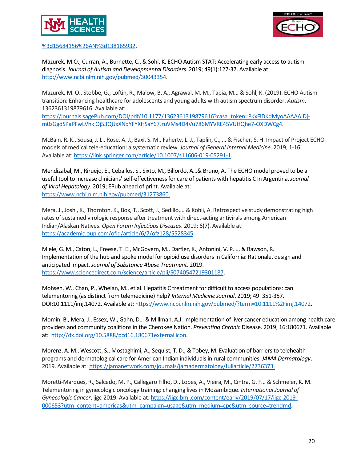



[%3d15684156%26AN%3d138165932.](https://web.a.ebscohost.com/abstract?direct=true&profile=ehost&scope=site&authtype=crawler&jrnl=15684156&AN=138165932&h=l0JEOVNSx6KxuSwHLLpXXgM05Gro4RSgvskLw%2b2VuElGSACL1zR3fbPnfh%2fkaYq9%2bGxpD86j6DJPB66b0hB4nA%3d%3d&crl=c&resultNs=AdminWebAuth&resultLocal=ErrCrlNotAuth&crlhashurl=login.aspx%3fdirect%3dtrue%26profile%3dehost%26scope%3dsite%26authtype%3dcrawler%26jrnl%3d15684156%26AN%3d138165932)

Mazurek, M.O., Curran, A., Burnette, C., & Sohl, K. ECHO Autism STAT: Accelerating early access to autism diagnosis. *Journal of Autism and Developmental Disorders*. 2019; 49(1):127-37. Available at: [http://www.ncbi.nlm.nih.gov/pubmed/30043354.](http://www.ncbi.nlm.nih.gov/pubmed/30043354)

Mazurek, M. O., Stobbe, G., Loftin, R., Malow, B. A., Agrawal, M. M., Tapia, M... & Sohl, K. (2019). ECHO Autism transition: Enhancing healthcare for adolescents and young adults with autism spectrum disorder. *Autism*, 1362361319879616. Available at:

[https://journals.sagePub.com/DOI/pdf/10.1177/1362361319879616?casa\\_token=PKxFIDKdMyoAAAAA:Dj](https://journals.sagepub.com/DOI/pdf/10.1177/1362361319879616?casa_token=PKxFIDKdMyoAAAAA:Dj-m0zGgdSPaPFwLVhk%20Oj53QUxXNdYFYXHSaY67JruVMs4D4Vu786MYVRE45VUHQhe7-OXDWCg4)[m0zGgdSPaPFwLVhk Oj53QUxXNdYFYXHSaY67JruVMs4D4Vu786MYVRE45VUHQhe7-OXDWCg4.](https://journals.sagepub.com/DOI/pdf/10.1177/1362361319879616?casa_token=PKxFIDKdMyoAAAAA:Dj-m0zGgdSPaPFwLVhk%20Oj53QUxXNdYFYXHSaY67JruVMs4D4Vu786MYVRE45VUHQhe7-OXDWCg4)

McBain, R. K., Sousa, J. L., Rose, A. J., Baxi, S. M., Faherty, L. J., Taplin, C., ... & Fischer, S. H. Impact of Project ECHO models of medical tele-education: a systematic review. *Journal of General Internal Medicine*. 2019; 1-16. Available at: [https://link.springer.com/article/10.1007/s11606-019-05291-1.](https://link.springer.com/article/10.1007/s11606-019-05291-1)

Mendizabal, M., Riruejo, E., Ceballos, S., Sixto, M., Billordo, A…& Bruno, A. The ECHO model proved to be a useful tool to increase clinicians' self-effectiveness for care of patients with hepatitis C in Argentina. *Journal of Viral Hepatology*. 2019; EPub ahead of print. Available at: [https://www.ncbi.nlm.nih.gov/pubmed/31273860.](https://www.ncbi.nlm.nih.gov/pubmed/31273860)

Mera, J., Joshi, K., Thornton, K., Box, T., Scott, J., Sedillo,... & Kohli, A. Retrospective study demonstrating high rates of sustained virologic response after treatment with direct-acting antivirals among American Indian/Alaskan Natives. *Open Forum Infectious Diseases*. 2019; 6(7). Available at: [https://academic.oup.com/ofid/article/6/7/ofz128/5528345.](https://academic.oup.com/ofid/article/6/7/ofz128/5528345)

Miele, G. M., Caton, L., Freese, T. E., McGovern, M., Darfler, K., Antonini, V. P. ... & Rawson, R. Implementation of the hub and spoke model for opioid use disorders in California: Rationale, design and anticipated impact. *Journal of Substance Abuse Treatment*. 2019. [https://www.sciencedirect.com/science/article/pii/S0740547219301187.](https://www.sciencedirect.com/science/article/pii/S0740547219301187)

Mohsen, W., Chan, P., Whelan, M., et al. Hepatitis C treatment for difficult to access populations: can telementoring (as distinct from telemedicine) help? *Internal Medicine Journal*. 2019; 49: 351-357. DOI:10.1111/imj.14072. Available at[: https://www.ncbi.nlm.nih.gov/pubmed/?term=10.1111%2Fimj.14072.](https://www.ncbi.nlm.nih.gov/pubmed/?term=10.1111%2Fimj.14072)

Momin, B., Mera, J., Essex, W., Gahn, D… & Millman, A.J. Implementation of liver cancer education among health care providers and community coalitions in the Cherokee Nation. *Preventing Chronic* Disease. 2019; 16:180671. Available at: [http://dx.doi.org/10.5888/pcd16.180671external icon.](http://dx.doi.org/10.5888/pcd16.180671)

Morenz, A. M., Wescott, S., Mostaghimi, A., Sequist, T. D., & Tobey, M. Evaluation of barriers to telehealth programs and dermatological care for American Indian individuals in rural communities. *JAMA Dermatology*. 2019. Available at: [https://jamanetwork.com/journals/jamadermatology/fullarticle/2736373.](https://jamanetwork.com/journals/jamadermatology/fullarticle/2736373)

Moretti-Marques, R., Salcedo, M. P., Callegaro Filho, D., Lopes, A., Vieira, M., Cintra, G. F... & Schmeler, K. M. Telementoring in gynecologic oncology training: changing lives in Mozambique. *International Journal of Gynecologic Cancer*, ijgc-2019. Available at: [https://ijgc.bmj.com/content/early/2019/07/17/ijgc-2019-](https://ijgc.bmj.com/content/early/2019/07/17/ijgc-2019-000653?utm_content=americas&utm_campaign=usage&utm_medium=cpc&utm_source=trendmd) [000653?utm\\_content=americas&utm\\_campaign=usage&utm\\_medium=cpc&utm\\_source=trendmd.](https://ijgc.bmj.com/content/early/2019/07/17/ijgc-2019-000653?utm_content=americas&utm_campaign=usage&utm_medium=cpc&utm_source=trendmd)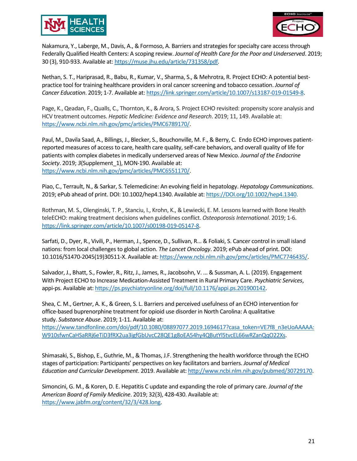



Nakamura, Y., Laberge, M., Davis, A., & Formoso, A. Barriers and strategies for specialty care access through Federally Qualified Health Centers: A scoping review. *Journal of Health Care for the Poor and Underserved*. 2019; 30 (3), 910-933. Available at[: https://muse.jhu.edu/article/731358/pdf.](https://muse.jhu.edu/article/731358/pdf)

Nethan, S. T., Hariprasad, R., Babu, R., Kumar, V., Sharma, S., & Mehrotra, R. Project ECHO: A potential bestpractice tool for training healthcare providers in oral cancer screening and tobacco cessation. *Journal of Cancer Education*. 2019; 1-7. Available at[: https://link.springer.com/article/10.1007/s13187-019-01549-8.](https://link.springer.com/article/10.1007/s13187-019-01549-8)

Page, K., Qeadan, F., Qualls, C., Thornton, K., & Arora, S. Project ECHO revisited: propensity score analysis and HCV treatment outcomes. *Hepatic Medicine: Evidence and Research*. 2019; 11, 149. Available at: [https://www.ncbi.nlm.nih.gov/pmc/articles/PMC6789170/.](https://www.ncbi.nlm.nih.gov/pmc/articles/PMC6789170/)

Paul, M., Davila Saad, A., Billings, J., Blecker, S., Bouchonville, M. F., & Berry, C. Endo ECHO improves patientreported measures of access to care, health care quality, self-care behaviors, and overall quality of life for patients with complex diabetes in medically underserved areas of New Mexico. *Journal of the Endocrine Society*. 2019; *3*(Supplement\_1), MON-190. Available at: [https://www.ncbi.nlm.nih.gov/pmc/articles/PMC6551170/.](https://www.ncbi.nlm.nih.gov/pmc/articles/PMC6551170/)

Piao, C., Terrault, N., & Sarkar, S. Telemedicine: An evolving field in hepatology. *Hepatology Communications*. 2019; ePub ahead of print. DOI: 10.1002/hep4.1340. Available at[: https://DOI.org/10.1002/hep4.1340.](https://doi.org/10.1002/hep4.1340)

Rothman, M. S., Olenginski, T. P., Stanciu, I., Krohn, K., & Lewiecki, E. M. Lessons learned with Bone Health teleECHO: making treatment decisions when guidelines conflict. *Osteoporosis International*. 2019; 1-6. [https://link.springer.com/article/10.1007/s00198-019-05147-8.](https://link.springer.com/article/10.1007/s00198-019-05147-8)

Sarfati, D., Dyer, R., Vivili, P., Herman, J., Spence, D., Sullivan, R... & Foliaki, S. Cancer control in small island nations: from local challenges to global action. *The Lancet Oncology*. 2019; ePub ahead of print. DOI: 10.1016/S1470-2045(19)30511-X. Available at[: https://www.ncbi.nlm.nih.gov/pmc/articles/PMC7746435/.](https://www.ncbi.nlm.nih.gov/pmc/articles/PMC7746435/)

Salvador, J., Bhatt, S., Fowler, R., Ritz, J., James, R., Jacobsohn, V. ... & Sussman, A. L. (2019). Engagement With Project ECHO to Increase Medication-Assisted Treatment in Rural Primary Care. *Psychiatric Services*, appi-ps. Available at: [https://ps.psychiatryonline.org/doi/full/10.1176/appi.ps.201900142.](https://ps.psychiatryonline.org/doi/full/10.1176/appi.ps.201900142) 

Shea, C. M., Gertner, A. K., & Green, S. L. Barriers and perceived usefulness of an ECHO intervention for office-based buprenorphine treatment for opioid use disorder in North Carolina: A qualitative study. *Substance Abuse*. 2019; 1-11. Available at:

[https://www.tandfonline.com/doi/pdf/10.1080/08897077.2019.1694617?casa\\_token=VE7f8\\_n3eUoAAAAA:](https://www.tandfonline.com/doi/pdf/10.1080/08897077.2019.1694617?casa_token=VE7f8_n3eUoAAAAA:W910sfwnCaHSaRRj6eTiD3fRX2ua3igfGbUvcC28QE1g8oEA54hy4QButYl5tvcEL66wRZanQqO22Xs) [W910sfwnCaHSaRRj6eTiD3fRX2ua3igfGbUvcC28QE1g8oEA54hy4QButYl5tvcEL66wRZanQqO22Xs.](https://www.tandfonline.com/doi/pdf/10.1080/08897077.2019.1694617?casa_token=VE7f8_n3eUoAAAAA:W910sfwnCaHSaRRj6eTiD3fRX2ua3igfGbUvcC28QE1g8oEA54hy4QButYl5tvcEL66wRZanQqO22Xs)

Shimasaki, S., Bishop, E., Guthrie, M., & Thomas, J.F. Strengthening the health workforce through the ECHO stages of participation: Participants' perspectives on key facilitators and barriers. *Journal of Medical Education and Curricular Development*. 2019. Available at[: http://www.ncbi.nlm.nih.gov/pubmed/30729170.](http://www.ncbi.nlm.nih.gov/pubmed/30729170)

Simoncini, G. M., & Koren, D. E. Hepatitis C update and expanding the role of primary care. *Journal of the American Board of Family Medicine*. 2019; 32(3), 428-430. Available at: [https://www.jabfm.org/content/32/3/428.long.](https://www.jabfm.org/content/32/3/428.long)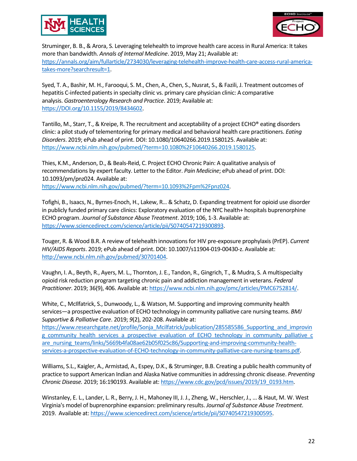



Struminger, B. B., & Arora, S. Leveraging telehealth to improve health care access in Rural America: It takes more than bandwidth. *Annals of Internal Medicine*. 2019, May 21; Available at: [https://annals.org/aim/fullarticle/2734030/leveraging-telehealth-improve-health-care-access-rural-america](https://annals.org/aim/fullarticle/2734030/leveraging-telehealth-improve-health-care-access-rural-america-takes-more?searchresult=1)[takes-more?searchresult=1.](https://annals.org/aim/fullarticle/2734030/leveraging-telehealth-improve-health-care-access-rural-america-takes-more?searchresult=1)

Syed, T. A., Bashir, M. H., Farooqui, S. M., Chen, A., Chen, S., Nusrat, S., & Fazili, J. Treatment outcomes of hepatitis C-infected patients in specialty clinic vs. primary care physician clinic: A comparative analysis. *Gastroenterology Research and Practice*. 2019; Available at: [https://DOI.org/10.1155/2019/8434602.](https://doi.org/10.1155/2019/8434602)

Tantillo, M., Starr, T., & Kreipe, R. The recruitment and acceptability of a project ECHO® eating disorders clinic: a pilot study of telementoring for primary medical and behavioral health care practitioners. *Eating Disorders*. 2019; ePub ahead of print. DOI: 10.1080/10640266.2019.1580125. Available at: [https://www.ncbi.nlm.nih.gov/pubmed/?term=10.1080%2F10640266.2019.1580125.](https://www.ncbi.nlm.nih.gov/pubmed/?term=10.1080%2F10640266.2019.1580125)

Thies, K.M., Anderson, D., & Beals-Reid, C. Project ECHO Chronic Pain: A qualitative analysis of recommendations by expert faculty. Letter to the Editor. *Pain Medicine*; ePub ahead of print. DOI: 10.1093/pm/pnz024. Available at:

[https://www.ncbi.nlm.nih.gov/pubmed/?term=10.1093%2Fpm%2Fpnz024.](https://www.ncbi.nlm.nih.gov/pubmed/?term=10.1093%2Fpm%2Fpnz024)

Tofighi, B., Isaacs, N., Byrnes-Enoch, H., Lakew, R… & Schatz, D. Expanding treatment for opioid use disorder in publicly funded primary care clinics: Exploratory evaluation of the NYC health+ hospitals buprenorphine ECHO program. *Journal of Substance Abuse Treatment*. 2019; 106, 1-3. Available at: [https://www.sciencedirect.com/science/article/pii/S0740547219300893.](https://www.sciencedirect.com/science/article/pii/S0740547219300893)

Touger, R. & Wood B.R. A review of telehealth innovations for HIV pre-exposure prophylaxis (PrEP). *Current HIV/AIDS Reports*. 2019; ePub ahead of print. DOI: 10.1007/s11904-019-00430-z. Available at: [http://www.ncbi.nlm.nih.gov/pubmed/30701404.](http://www.ncbi.nlm.nih.gov/pubmed/30701404)

Vaughn, I. A., Beyth, R., Ayers, M. L., Thornton, J. E., Tandon, R., Gingrich, T., & Mudra, S. A multispecialty opioid risk reduction program targeting chronic pain and addiction management in veterans. *Federal Practitioner*. 2019; 36(9), 406. Available at[: https://www.ncbi.nlm.nih.gov/pmc/articles/PMC6752814/.](https://www.ncbi.nlm.nih.gov/pmc/articles/PMC6752814/)

White, C., McIlfatrick, S., Dunwoody, L., & Watson, M. Supporting and improving community health services—a prospective evaluation of ECHO technology in community palliative care nursing teams. *BMJ Supportive & Palliative Care*. 2019; *9*(2), 202-208. Available at:

[https://www.researchgate.net/profile/Sonja\\_Mcilfatrick/publication/285585586\\_Supporting\\_and\\_improvin](https://www.researchgate.net/profile/Sonja_Mcilfatrick/publication/285585586_Supporting_and_improving_community_health_services_a_prospective_evaluation_of_ECHO_technology_in_community_palliative_care_nursing_teams/links/5669b4fa08ae62b05f025c86/Supporting-and-improving-community-health-services-a-prospective-evaluation-of-ECHO-technology-in-community-palliative-care-nursing-teams.pdf) [g\\_community\\_health\\_services\\_a\\_prospective\\_evaluation\\_of\\_ECHO\\_technology\\_in\\_community\\_palliative\\_c](https://www.researchgate.net/profile/Sonja_Mcilfatrick/publication/285585586_Supporting_and_improving_community_health_services_a_prospective_evaluation_of_ECHO_technology_in_community_palliative_care_nursing_teams/links/5669b4fa08ae62b05f025c86/Supporting-and-improving-community-health-services-a-prospective-evaluation-of-ECHO-technology-in-community-palliative-care-nursing-teams.pdf) [are\\_nursing\\_teams/links/5669b4fa08ae62b05f025c86/Supporting-and-improving-community-health](https://www.researchgate.net/profile/Sonja_Mcilfatrick/publication/285585586_Supporting_and_improving_community_health_services_a_prospective_evaluation_of_ECHO_technology_in_community_palliative_care_nursing_teams/links/5669b4fa08ae62b05f025c86/Supporting-and-improving-community-health-services-a-prospective-evaluation-of-ECHO-technology-in-community-palliative-care-nursing-teams.pdf)[services-a-prospective-evaluation-of-ECHO-technology-in-community-palliative-care-nursing-teams.pdf.](https://www.researchgate.net/profile/Sonja_Mcilfatrick/publication/285585586_Supporting_and_improving_community_health_services_a_prospective_evaluation_of_ECHO_technology_in_community_palliative_care_nursing_teams/links/5669b4fa08ae62b05f025c86/Supporting-and-improving-community-health-services-a-prospective-evaluation-of-ECHO-technology-in-community-palliative-care-nursing-teams.pdf)

Williams, S.L., Kaigler, A., Armistad, A., Espey, D.K., & Struminger, B.B. Creating a public health community of practice to support American Indian and Alaska Native communities in addressing chronic disease. *Preventing Chronic Disease.* 2019; 16:190193. Available at: [https://www.cdc.gov/pcd/issues/2019/19\\_0193.htm.](https://www.cdc.gov/pcd/issues/2019/19_0193.htm)

Winstanley, E. L., Lander, L. R., Berry, J. H., Mahoney III, J. J., Zheng, W., Herschler, J., ... & Haut, M. W. West Virginia's model of buprenorphine expansion: preliminary results. *Journal of Substance Abuse Treatment*. 2019. Available at[: https://www.sciencedirect.com/science/article/pii/S0740547219300595.](https://www.sciencedirect.com/science/article/pii/S0740547219300595)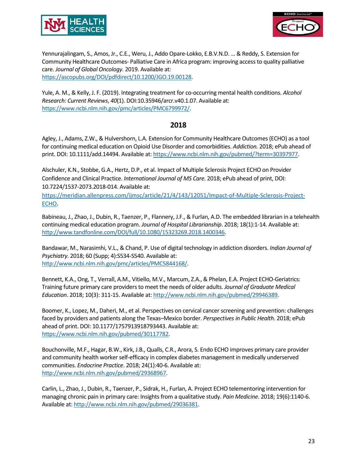



Yennurajalingam, S., Amos, Jr., C.E., Weru, J., Addo Opare-Lokko, E.B.V.N.D. … & Reddy, S. Extension for Community Healthcare Outcomes- Palliative Care in Africa program: improving access to quality palliative care. *Journal of Global Oncology.* 2019. Available at: [https://ascopubs.org/DOI/pdfdirect/10.1200/JGO.19.00128.](https://ascopubs.org/doi/pdfdirect/10.1200/JGO.19.00128)

Yule, A. M., & Kelly, J. F. (2019). Integrating treatment for co-occurring mental health conditions. *Alcohol Research: Current Reviews*, *40*(1). DOI:10.35946/arcr.v40.1.07. Available at: [https://www.ncbi.nlm.nih.gov/pmc/articles/PMC6799972/.](https://www.ncbi.nlm.nih.gov/pmc/articles/PMC6799972/)

#### **2018**

Agley, J., Adams, Z.W., & Hulvershorn, L.A. Extension for Community Healthcare Outcomes (ECHO) as a tool for continuing medical education on Opioid Use Disorder and comorbidities. *Addiction.* 2018; ePub ahead of print. DOI: 10.1111/add.14494. Available at: [https://www.ncbi.nlm.nih.gov/pubmed/?term=30397977.](https://www.ncbi.nlm.nih.gov/pubmed/?term=30397977)

Alschuler, K.N., Stobbe, G.A., Hertz, D.P., et al. Impact of Multiple Sclerosis Project ECHO on Provider Confidence and Clinical Practice. *International Journal of MS Care.* 2018; ePub ahead of print, DOI: 10.7224/1537-2073.2018-014. Available at:

[https://meridian.allenpress.com/ijmsc/article/21/4/143/12051/Impact-of-Multiple-Sclerosis-Project-](https://meridian.allenpress.com/ijmsc/article/21/4/143/12051/Impact-of-Multiple-Sclerosis-Project-ECHO)[ECHO.](https://meridian.allenpress.com/ijmsc/article/21/4/143/12051/Impact-of-Multiple-Sclerosis-Project-ECHO)

Babineau, J., Zhao, J., Dubin, R., Taenzer, P., Flannery, J.F., & Furlan, A.D. The embedded librarian in a telehealth continuing medical education program. *Journal of Hospital Librarianship*. 2018; 18(1):1-14. Available at: [http://www.tandfonline.com/DOI/full/10.1080/15323269.2018.1400346.](http://www.tandfonline.com/doi/full/10.1080/15323269.2018.1400346)

Bandawar, M., Narasimhi, V.L., & Chand, P. Use of digital technology in addiction disorders. *Indian Journal of Psychiatry*. 2018; 60 (Supp; 4):S534-S540. Available at: [http://www.ncbi.nlm.nih.gov/pmc/articles/PMC5844168/.](http://www.ncbi.nlm.nih.gov/pmc/articles/PMC5844168/)

Bennett, K.A., Ong, T., Verrall, A.M., Vitiello, M.V., Marcum, Z.A., & Phelan, E.A. Project ECHO-Geriatrics: Training future primary care providers to meet the needs of older adults. *Journal of Graduate Medical Education*. 2018; 10(3): 311-15. Available at: [http://www.ncbi.nlm.nih.gov/pubmed/29946389.](http://www.ncbi.nlm.nih.gov/pubmed/29946389)

Boomer, K., Lopez, M., Daheri, M., et al. Perspectives on cervical cancer screening and prevention: challenges faced by providers and patients along the Texas–Mexico border. *Perspectives in Public Health*. 2018; ePub ahead of print. DOI: 10.1177/1757913918793443. Available at: [https://www.ncbi.nlm.nih.gov/pubmed/30117782.](https://www.ncbi.nlm.nih.gov/pubmed/30117782)

Bouchonville, M.F., Hagar, B.W., Kirk, J.B., Qualls, C.R., Arora, S. Endo ECHO improves primary care provider and community health worker self-efficacy in complex diabetes management in medically underserved communities. *Endocrine Practice*. 2018; 24(1):40-6. Available at: [http://www.ncbi.nlm.nih.gov/pubmed/29368967.](http://www.ncbi.nlm.nih.gov/pubmed/29368967)

Carlin, L., Zhao, J., Dubin, R., Taenzer, P., Sidrak, H., Furlan, A. Project ECHO telementoring intervention for managing chronic pain in primary care: Insights from a qualitative study. *Pain Medicine*. 2018; 19(6):1140-6. Available at: [http://www.ncbi.nlm.nih.gov/pubmed/29036381.](http://www.ncbi.nlm.nih.gov/pubmed/29036381)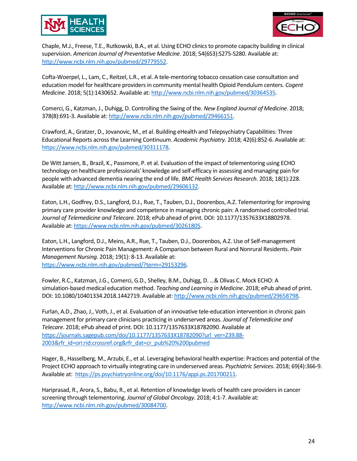



Chaple, M.J., Freese, T.E., Rutkowski, B.A., et al. Using ECHO clinics to promote capacity building in clinical supervision. *American Journal of Preventative Medicine*. 2018; 54(6S3):S275-S280. Available at: [http://www.ncbi.nlm.nih.gov/pubmed/29779552.](http://www.ncbi.nlm.nih.gov/pubmed/29779552)

Cofta-Woerpel, L., Lam, C., Reitzel, L.R., et al. A tele-mentoring tobacco cessation case consultation and education model for healthcare providers in community mental health Opioid Pendulum centers. *Cogent Medicine*. 2018; 5(1):1430652. Available at[: http://www.ncbi.nlm.nih.gov/pubmed/30364535.](http://www.ncbi.nlm.nih.gov/pubmed/30364535)

Comerci, G., Katzman, J., Duhigg, D. Controlling the Swing of the. *New England Journal of Medicine*. 2018; 378(8):691-3. Available at: [http://www.ncbi.nlm.nih.gov/pubmed/29466151.](http://www.ncbi.nlm.nih.gov/pubmed/29466151)

Crawford, A., Gratzer, D., Jovanovic, M., et al. Building eHealth and Telepsychiatry Capabilities: Three Educational Reports across the Learning Continuum. *Academic Psychiatry.* 2018; 42(6):852-6. Available at: [https://www.ncbi.nlm.nih.gov/pubmed/30311178.](https://www.ncbi.nlm.nih.gov/pubmed/30311178)

De Witt Jansen, B., Brazil, K., Passmore, P. et al. Evaluation of the impact of telementoring using ECHO technology on healthcare professionals' knowledge and self-efficacy in assessing and managing pain for people with advanced dementia nearing the end of life. *BMC Health Services Research*. 2018; 18(1):228. Available at: [http://www.ncbi.nlm.nih.gov/pubmed/29606132.](http://www.ncbi.nlm.nih.gov/pubmed/29606132)

Eaton, L.H., Godfrey, D.S., Langford, D.J., Rue, T., Tauben, D.J., Doorenbos, A.Z. Telementoring for improving primary care provider knowledge and competence in managing chronic pain: A randomised controlled trial. *Journal of Telemedicine and Telecare.* 2018; ePub ahead of print. DOI: 10.1177/1357633X18802978. Available at: [https://www.ncbi.nlm.nih.gov/pubmed/30261805.](https://www.ncbi.nlm.nih.gov/pubmed/30261805)

Eaton, L.H., Langford, D.J., Meins, A.R., Rue, T., Tauben, D.J., Doorenbos, A.Z. Use of Self-management Interventions for Chronic Pain Management: A Comparison between Rural and Nonrural Residents. *Pain Management Nursing.* 2018; 19(1): 8-13. Available at: [https://www.ncbi.nlm.nih.gov/pubmed/?term=29153296.](https://www.ncbi.nlm.nih.gov/pubmed/?term=29153296)

Fowler, R.C., Katzman, J.G., Comerci, G.D., Shelley, B.M., Duhigg, D. …& Olivas C. Mock ECHO: A simulation-based medical education method. *Teaching and Learning in Medicine*. 2018; ePub ahead of print. DOI: 10.1080/10401334.2018.1442719. Available at: [http://www.ncbi.nlm.nih.gov/pubmed/29658798.](http://www.ncbi.nlm.nih.gov/pubmed/29658798)

Furlan, A.D., Zhao, J., Voth, J., et al. Evaluation of an innovative tele-education intervention in chronic pain management for primary care clinicians practicing in underserved areas. *Journal of Telemedicine and Telecare*. 2018; ePub ahead of print. DOI: 10.1177/1357633X18782090. Available at [https://journals.sagepub.com/doi/10.1177/1357633X18782090?url\\_ver=Z39.88-](https://journals.sagepub.com/doi/10.1177/1357633X18782090?url_ver=Z39.88-2003&rfr_id=ori:rid:crossref.org&rfr_dat=cr_pub%20%200pubmed) [2003&rfr\\_id=ori:rid:crossref.org&rfr\\_dat=cr\\_pub%20%200pubmed](https://journals.sagepub.com/doi/10.1177/1357633X18782090?url_ver=Z39.88-2003&rfr_id=ori:rid:crossref.org&rfr_dat=cr_pub%20%200pubmed)

Hager, B., Hasselberg, M., Arzubi, E., et al. Leveraging behavioral health expertise: Practices and potential of the Project ECHO approach to virtually integrating care in underserved areas. *Psychiatric Services*. 2018; 69(4):366-9. Available at: [https://ps.psychiatryonline.org/doi/10.1176/appi.ps.201700211.](http://www.ncbi.nlm.nih.gov/pubmed/29446334)

Hariprasad, R., Arora, S., Babu, R., et al. Retention of knowledge levels of health care providers in cancer screening through telementoring. *Journal of Global Oncology*. 2018; 4:1-7. Available at: [http://www.ncbi.nlm.nih.gov/pubmed/30084700.](http://www.ncbi.nlm.nih.gov/pubmed/30084700)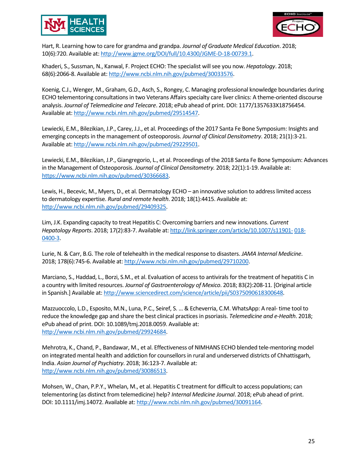



Hart, R. Learning how to care for grandma and grandpa. *Journal of Graduate Medical Education*. 2018; 10(6):720. Available at: [http://www.jgme.org/DOI/full/10.4300/JGME-D-18-00739.1.](http://www.jgme.org/doi/full/10.4300/JGME-D-18-00739.1)

Khaderi, S., Sussman, N., Kanwal, F. Project ECHO: The specialist will see you now. *Hepatology*. 2018; 68(6):2066-8. Available at: [http://www.ncbi.nlm.nih.gov/pubmed/30033576.](http://www.ncbi.nlm.nih.gov/pubmed/30033576)

Koenig, C.J., Wenger, M., Graham, G.D., Asch, S., Rongey, C. Managing professional knowledge boundaries during ECHO telementoring consultations in two Veterans Affairs specialty care liver clinics: A theme-oriented discourse analysis. *Journal of Telemedicine and Telecare*. 2018; ePub ahead of print. DOI: 1177/1357633X18756454. Available at: [http://www.ncbi.nlm.nih.gov/pubmed/29514547.](http://www.ncbi.nlm.nih.gov/pubmed/29514547)

Lewiecki, E.M., Bilezikian, J.P., Carey, J.J., et al. Proceedings of the 2017 Santa Fe Bone Symposium: Insights and emerging concepts in the management of osteoporosis. *Journal of Clinical Densitometry*. 2018; 21(1):3-21. Available at: [http://www.ncbi.nlm.nih.gov/pubmed/29229501.](http://www.ncbi.nlm.nih.gov/pubmed/29229501)

Lewiecki, E.M., Bilezikian, J.P., Giangregorio, L., et al. Proceedings of the 2018 Santa Fe Bone Symposium: Advances in the Management of Osteoporosis. *Journal of Clinical Densitometry.* 2018; 22(1):1-19. Available at: [https://www.ncbi.nlm.nih.gov/pubmed/30366683.](https://www.ncbi.nlm.nih.gov/pubmed/30366683)

Lewis, H., Becevic, M., Myers, D., et al. Dermatology ECHO – an innovative solution to address limited access to dermatology expertise. *Rural and remote health*. 2018; 18(1):4415. Available at: [http://www.ncbi.nlm.nih.gov/pubmed/29409325.](http://www.ncbi.nlm.nih.gov/pubmed/29409325)

Lim, J.K. Expanding capacity to treat Hepatitis C: Overcoming barriers and new innovations. *Current Hepatology Reports*. 2018; 17(2):83-7. Available at: [http://link.springer.com/article/10.1007/s11901-](http://link.springer.com/article/10.1007/s11901-018-0400-3) [018-](http://link.springer.com/article/10.1007/s11901-018-0400-3) [0400-3.](http://link.springer.com/article/10.1007/s11901-018-0400-3)

Lurie, N. & Carr, B.G. The role of telehealth in the medical response to disasters. *JAMA Internal Medicine*. 2018; 178(6):745-6. Available at[: http://www.ncbi.nlm.nih.gov/pubmed/29710200.](http://www.ncbi.nlm.nih.gov/pubmed/29710200)

Marciano, S., Haddad, L., Borzi, S.M., et al. Evaluation of access to antivirals for the treatment of hepatitis C in a country with limited resources. *Journal of Gastroenterology of Mexico*. 2018; 83(2):208-11. [Original article in Spanish.] Available at: [http://www.sciencedirect.com/science/article/pii/S0375090618300648.](http://www.sciencedirect.com/science/article/pii/S0375090618300648) 

Mazzuoccolo, L.D., Esposito, M.N., Luna, P.C., Seiref, S. … & Echeverria, C.M. WhatsApp: A real- time tool to reduce the knowledge gap and share the best clinical practices in psoriasis. *Telemedicine and e-Health*. 2018; ePub ahead of print. DOI: 10.1089/tmj.2018.0059. Available at: [http://www.ncbi.nlm.nih.gov/pubmed/29924684.](http://www.ncbi.nlm.nih.gov/pubmed/29924684)

Mehrotra, K., Chand, P., Bandawar, M., et al. Effectiveness of NIMHANS ECHO blended tele-mentoring model on integrated mental health and addiction for counsellors in rural and underserved districts of Chhattisgarh, India. *Asian Journal of Psychiatry*. 2018; 36:123-7. Available at: [http://www.ncbi.nlm.nih.gov/pubmed/30086513.](http://www.ncbi.nlm.nih.gov/pubmed/30086513)

Mohsen, W., Chan, P.P.Y., Whelan, M., et al. Hepatitis C treatment for difficult to access populations; can telementoring (as distinct from telemedicine) help? *Internal Medicine Journal*. 2018; ePub ahead of print. DOI: 10.1111/imj.14072. Available at[: http://www.ncbi.nlm.nih.gov/pubmed/30091164.](http://www.ncbi.nlm.nih.gov/pubmed/30091164)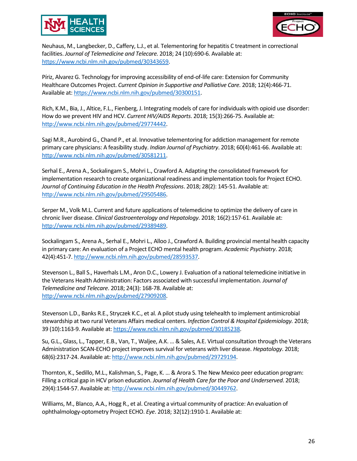



Neuhaus, M., Langbecker, D., Caffery, L.J., et al. Telementoring for hepatitis C treatment in correctional facilities. *Journal of Telemedicine and Telecare.* 2018; 24 (10):690-6. Available at: [https://www.ncbi.nlm.nih.gov/pubmed/30343659.](https://www.ncbi.nlm.nih.gov/pubmed/30343659)

Píriz, Alvarez G. Technology for improving accessibility of end-of-life care: Extension for Community Healthcare Outcomes Project. *Current Opinion in Supportive and Palliative Care.* 2018; 12(4):466-71. Available at: [https://www.ncbi.nlm.nih.gov/pubmed/30300151.](https://www.ncbi.nlm.nih.gov/pubmed/30300151)

Rich, K.M., Bia, J., Altice, F.L., Fienberg, J. Integrating models of care for individuals with opioid use disorder: How do we prevent HIV and HCV. *Current HIV/AIDS Reports*. 2018; 15(3):266-75. Available at: [http://www.ncbi.nlm.nih.gov/pubmed/29774442.](http://www.ncbi.nlm.nih.gov/pubmed/29774442)

Sagi M.R., Aurobind G., Chand P., et al. Innovative telementoring for addiction management for remote primary care physicians: A feasibility study. *Indian Journal of Psychiatry*. 2018; 60(4):461-66. Available at: [http://www.ncbi.nlm.nih.gov/pubmed/30581211.](http://www.ncbi.nlm.nih.gov/pubmed/30581211)

Serhal E., Arena A., Sockalingam S., Mohri L., Crawford A. Adapting the consolidated framework for implementation research to create organizational readiness and implementation tools for Project ECHO. *Journal of Continuing Education in the Health Professions*. 2018; 28(2): 145-51. Available at: [http://www.ncbi.nlm.nih.gov/pubmed/29505486.](http://www.ncbi.nlm.nih.gov/pubmed/29505486)

Serper M., Volk M.L. Current and future applications of telemedicine to optimize the delivery of care in chronic liver disease. *Clinical Gastroenterology and Hepatology*. 2018; 16(2):157-61. Available at: [http://www.ncbi.nlm.nih.gov/pubmed/29389489.](http://www.ncbi.nlm.nih.gov/pubmed/29389489)

Sockalingam S., Arena A., Serhal E., Mohri L., Alloo J., Crawford A. Building provincial mental health capacity in primary care: An evaluation of a Project ECHO mental health program. *Academic Psychiatry*. 2018; 42(4):451-7[. http://www.ncbi.nlm.nih.gov/pubmed/28593537.](http://www.ncbi.nlm.nih.gov/pubmed/28593537)

Stevenson L., Ball S., Haverhals L.M., Aron D.C., Lowery J. Evaluation of a national telemedicine initiative in the Veterans Health Administration: Factors associated with successful implementation. *Journal of Telemedicine and Telecare*. 2018; 24(3): 168-78. Available at: [http://www.ncbi.nlm.nih.gov/pubmed/27909208.](http://www.ncbi.nlm.nih.gov/pubmed/27909208)

Stevenson L.D., Banks R.E., Stryczek K.C., et al. A pilot study using telehealth to implement antimicrobial stewardship at two rural Veterans Affairs medical centers. *Infection Control & Hospital Epidemiology.* 2018; 39 (10):1163-9. Available at[: https://www.ncbi.nlm.nih.gov/pubmed/30185238.](https://www.ncbi.nlm.nih.gov/pubmed/30185238)

Su, G.L., Glass, L., Tapper, E.B., Van, T., Waljee, A.K. … & Sales, A.E. Virtual consultation through the Veterans Administration SCAN-ECHO project improves survival for veterans with liver disease. *Hepatology*. 2018; 68(6):2317-24. Available at[: http://www.ncbi.nlm.nih.gov/pubmed/29729194.](http://www.ncbi.nlm.nih.gov/pubmed/29729194)

Thornton, K., Sedillo, M.L., Kalishman, S., Page, K. … & Arora S. The New Mexico peer education program: Filling a critical gap in HCV prison education. *Journal of Health Care for the Poor and Underserved*. 2018; 29(4):1544-57. Available at: [http://www.ncbi.nlm.nih.gov/pubmed/30449762.](http://www.ncbi.nlm.nih.gov/pubmed/30449762)

Williams, M., Blanco, A.A., Hogg R., et al. Creating a virtual community of practice: An evaluation of ophthalmology-optometry Project ECHO. *Eye*. 2018; 32(12):1910-1. Available at: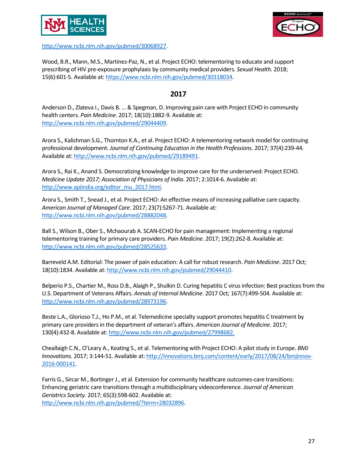

[http://www.ncbi.nlm.nih.gov/pubmed/30068927.](http://www.ncbi.nlm.nih.gov/pubmed/30068927)



Wood, B.R., Mann, M.S., Martinez-Paz, N., et al. Project ECHO: telementoring to educate and support prescribing of HIV pre-exposure prophylaxis by community medical providers. *Sexual Health.* 2018; 15(6):601-5. Available at: [https://www.ncbi.nlm.nih.gov/pubmed/30318034.](https://www.ncbi.nlm.nih.gov/pubmed/30318034)

### **2017**

Anderson D., Zlateva I., Davis B. … & Spegman, D. Improving pain care with Project ECHO in community health centers. *Pain Medicine*. 2017; 18(10):1882-9. Available at: [http://www.ncbi.nlm.nih.gov/pubmed/29044409.](http://www.ncbi.nlm.nih.gov/pubmed/29044409)

Arora S., Kalishman S.G., Thornton K.A., et al. Project ECHO: A telementoring network model for continuing professional development. *Journal of Continuing Education in the Health Professions*. 2017; 37(4):239-44. Available at: [http://www.ncbi.nlm.nih.gov/pubmed/29189491.](http://www.ncbi.nlm.nih.gov/pubmed/29189491)

Arora S., Rai K., Anand S. Democratizing knowledge to improve care for the underserved: Project ECHO. *Medicine Update 2017; Association of Physicians of India*. 2017; 2:1014-6. Available at: [http://www.apiindia.org/editor\\_mu\\_2017.html.](http://www.apiindia.org/editor_mu_2017.html)

Arora S., Smith T., Snead J., et al. Project ECHO: An effective means of increasing palliative care capacity. *American Journal of Managed Care*. 2017; 23(7):S267-71. Available at: [http://www.ncbi.nlm.nih.gov/pubmed/28882048.](http://www.ncbi.nlm.nih.gov/pubmed/28882048)

Ball S., Wilson B., Ober S., Mchaourab A. SCAN-ECHO for pain management: Implementing a regional telementoring training for primary care providers. *Pain Medicine*. 2017; 19(2):262-8. Available at: [http://www.ncbi.nlm.nih.gov/pubmed/28525633.](http://www.ncbi.nlm.nih.gov/pubmed/28525633)

Barreveld A.M. Editorial: The power of pain education: A call for robust research. *Pain Medicine*. 2017 Oct; 18(10):1834. Available at[: http://www.ncbi.nlm.nih.gov/pubmed/29044410.](http://www.ncbi.nlm.nih.gov/pubmed/29044410)

Belperio P.S., Chartier M., Ross D.B., Alaigh P., Shulkin D. Curing hepatitis C virus infection: Best practices from the U.S. Department of Veterans Affairs. *Annals of Internal Medicine*. 2017 Oct; 167(7):499-504. Available at: [http://www.ncbi.nlm.nih.gov/pubmed/28973196.](http://www.ncbi.nlm.nih.gov/pubmed/28973196)

Beste L.A., Glorioso T.J., Ho P.M., et al. Telemedicine specialty support promotes hepatitis C treatment by primary care providers in the department of veteran's affairs. *American Journal of Medicine*. 2017; 130(4):432-8. Available at: [http://www.ncbi.nlm.nih.gov/pubmed/27998682.](http://www.ncbi.nlm.nih.gov/pubmed/27998682)

Cheallaigh C.N., O'Leary A., Keating S., et al. Telementoring with Project ECHO: A pilot study in Europe. *BMJ Innovations.* 2017; 3:144-51. Available at: [http://innovations.bmj.com/content/early/2017/08/24/bmjinnov-](http://innovations.bmj.com/content/early/2017/08/24/bmjinnov-2016-000141)[2016-000141.](http://innovations.bmj.com/content/early/2017/08/24/bmjinnov-2016-000141)

Farris G., Sircar M., Bortinger J., et al. Extension for community healthcare outcomes-care transitions: Enhancing geriatric care transitions through a multidisciplinary videoconference. *Journal of American Geriatrics Society.* 2017; 65(3):598-602. Available at: [http://www.ncbi.nlm.nih.gov/pubmed/?term=28032896.](http://www.ncbi.nlm.nih.gov/pubmed/?term=28032896)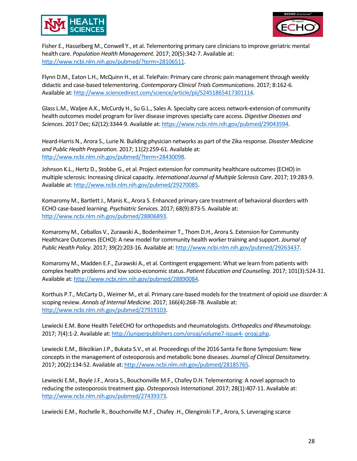



Fisher E., Hasselberg M., Conwell Y., et al. Telementoring primary care clinicians to improve geriatric mental health care. *Population Health Management.* 2017; 20(5):342-7. Available at: [http://www.ncbi.nlm.nih.gov/pubmed/?term=28106511.](http://www.ncbi.nlm.nih.gov/pubmed/?term=28106511)

Flynn D.M., Eaton L.H., McQuinn H., et al. TelePain: Primary care chronic pain management through weekly didactic and case-based telementoring. *Contemporary Clinical Trials Communications*. 2017; 8:162-6. Available at: [http://www.sciencedirect.com/science/article/pii/S2451865417301114.](http://www.sciencedirect.com/science/article/pii/S2451865417301114)

Glass L.M., Waljee A.K., McCurdy H., Su G.L., Sales A. Specialty care access network-extension of community health outcomes model program for liver disease improves specialty care access. *Digestive Diseases and Sciences*. 2017 Dec; 62(12):3344-9. Available at[: https://www.ncbi.nlm.nih.gov/pubmed/29043594.](https://www.ncbi.nlm.nih.gov/pubmed/29043594)

Heard-Harris N., Arora S., Lurie N. Building physician networks as part of the Zika response. *Disaster Medicine and Public Health Preparation.* 2017; 11(2):259-61. Available at: [http://www.ncbi.nlm.nih.gov/pubmed/?term=28430098.](http://www.ncbi.nlm.nih.gov/pubmed/?term=28430098)

Johnson K.L., Hertz D., Stobbe G., et al. Project extension for community healthcare outcomes (ECHO) in multiple sclerosis: Increasing clinical capacity. *International Journal of Multiple Sclerosis Care*. 2017; 19:283-9. Available at: [http://www.ncbi.nlm.nih.gov/pubmed/29270085.](http://www.ncbi.nlm.nih.gov/pubmed/29270085)

Komaromy M., Bartlett J., Manis K., Arora S. Enhanced primary care treatment of behavioral disorders with ECHO case-based learning. *Psychiatric Services.* 2017; 68(9):873-5. Available at: [http://www.ncbi.nlm.nih.gov/pubmed/28806893.](http://www.ncbi.nlm.nih.gov/pubmed/28806893)

Komaromy M., Ceballos V., Zurawski A., Bodenheimer T., Thom D.H., Arora S. Extension for Community Healthcare Outcomes (ECHO): A new model for community health worker training and support. *Journal of Public Health Policy*. 2017; 39(2):203-16. Available at[: http://www.ncbi.nlm.nih.gov/pubmed/29263437.](http://www.ncbi.nlm.nih.gov/pubmed/29263437)

Komaromy M., Madden E.F., Zurawski A., et al. Contingent engagement: What we learn from patients with complex health problems and low socio-economic status. *Patient Education and Counseling*. 2017; 101(3):524-31. Available at: [http://www.ncbi.nlm.nih.gov/pubmed/28890084.](http://www.ncbi.nlm.nih.gov/pubmed/28890084)

Korthuis P.T., McCarty D., Weimer M., et al. Primary care-based models for the treatment of opioid use disorder: A scoping review. *Annals of Internal Medicine*. 2017; 166(4):268-78. Available at: [http://www.ncbi.nlm.nih.gov/pubmed/27919103.](http://www.ncbi.nlm.nih.gov/pubmed/27919103)

Lewiecki E.M. Bone Health TeleECHO for orthopedists and rheumatologists. *Orthopedics and Rheumatology.*  2017; 7(4):1-2. Available at: [http://juniperpublishers.com/oroaj/volume7-issue4-](http://juniperpublishers.com/oroaj/volume7-issue4-oroaj.php) [oroaj.php.](http://juniperpublishers.com/oroaj/volume7-issue4-oroaj.php)

Lewiecki E.M., Bilezikian J.P., Bukata S.V., et al. Proceedings of the 2016 Santa Fe Bone Symposium: New concepts in the management of osteoporosis and metabolic bone diseases. *Journal of Clinical Densitometry.*  2017; 20(2):134-52. Available at[: http://www.ncbi.nlm.nih.gov/pubmed/28185765.](http://www.ncbi.nlm.nih.gov/pubmed/28185765)

Lewiecki E.M., Boyle J.F., Arora S., Bouchonville M.F., Chafey D.H. Telementoring: A novel approach to reducing the osteoporosis treatment gap. *Osteoporosis International.* 2017; 28(1):407-11. Available at: [http://www.ncbi.nlm.nih.gov/pubmed/27439373.](http://www.ncbi.nlm.nih.gov/pubmed/27439373)

Lewiecki E.M., Rochelle R., Bouchonville M.F., Chafey .H., Olenginski T.P., Arora, S. Leveraging scarce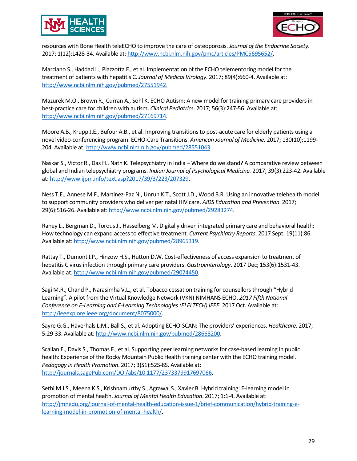



resources with Bone Health teleECHO to improve the care of osteoporosis. *Journal of the Endocrine Society*. 2017; 1(12):1428-34. Available at[: http://www.ncbi.nlm.nih.gov/pmc/articles/PMC5695652/.](http://www.ncbi.nlm.nih.gov/pmc/articles/PMC5695652/)

Marciano S., Haddad L., Plazzotta F., et al. Implementation of the ECHO telementoring model for the treatment of patients with hepatitis C. *Journal of Medical Virology*. 2017; 89(4):660-4. Available at: [http://www.ncbi.nlm.nih.gov/pubmed/27551942.](http://www.ncbi.nlm.nih.gov/pubmed/27551942)

Mazurek M.O., Brown R., Curran A., Sohl K. ECHO Autism: A new model for training primary care providers in best-practice care for children with autism. *Clinical Pediatrics*. 2017; 56(3):247-56. Available at: [http://www.ncbi.nlm.nih.gov/pubmed/27169714.](http://www.ncbi.nlm.nih.gov/pubmed/27169714)

Moore A.B., Krupp J.E., Bufour A.B., et al. Improving transitions to post-acute care for elderly patients using a novel video-conferencing program: ECHO-Care Transitions. *American Journal of Medicine.* 2017; 130(10):1199- 204. Available at: [http://www.ncbi.nlm.nih.gov/pubmed/28551043.](http://www.ncbi.nlm.nih.gov/pubmed/28551043)

Naskar S., Victor R., Das H., Nath K. Telepsychiatry in India – Where do we stand? A comparative review between global and Indian telepsychiatry programs. *Indian Journal of Psychological Medicine.* 2017; 39(3):223-42. Available at: http://www.ijpm.info/text.asp?2017/39/3/223/207329.

Ness T.E., Annese M.F., Martinez-Paz N., Unruh K.T., Scott J.D., Wood B.R. Using an innovative telehealth model to support community providers who deliver perinatal HIV care. *AIDS Education and Prevention*. 2017; 29(6):516-26. Available at: [http://www.ncbi.nlm.nih.gov/pubmed/29283274.](http://www.ncbi.nlm.nih.gov/pubmed/29283274)

Raney L., Bergman D., Torous J., Hasselberg M. Digitally driven integrated primary care and behavioral health: How technology can expand access to effective treatment. *Current Psychiatry Reports*. 2017 Sept; 19(11):86. Available at: [http://www.ncbi.nlm.nih.gov/pubmed/28965319.](http://www.ncbi.nlm.nih.gov/pubmed/28965319)

Rattay T., Dumont I.P., Hinzow H.S., Hutton D.W. Cost-effectiveness of access expansion to treatment of hepatitis C virus infection through primary care providers. *Gastroenterology*. 2017 Dec; 153(6):1531-43. Available at: [http://www.ncbi.nlm.nih.gov/pubmed/29074450.](http://www.ncbi.nlm.nih.gov/pubmed/29074450)

Sagi M.R., Chand P., Narasimha V.L., et al. Tobacco cessation training for counsellors through "Hybrid Learning". A pilot from the Virtual Knowledge Network (VKN) NIMHANS ECHO. *2017 Fifth National Conference on E-Learning and E-Learning Technologies (ELELTECH) IEEE*. 2017 Oct. Available at: [http://ieeexplore.ieee.org/document/8075000/.](http://ieeexplore.ieee.org/document/8075000/)

Sayre G.G., Haverhals L.M., Ball S., et al. Adopting ECHO-SCAN: The providers' experiences. *Healthcare*. 2017; 5:29-33. Available at[: http://www.ncbi.nlm.nih.gov/pubmed/28668200.](http://www.ncbi.nlm.nih.gov/pubmed/28668200)

Scallan E., Davis S., Thomas F., et al. Supporting peer learning networks for case-based learning in public health: Experience of the Rocky Mountain Public Health training center with the ECHO training model. *Pedagogy in Health Promotion*. 2017; 3(S1):52S-8S. Available at: [http://journals.sagePub.com/DOI/abs/10.1177/2373379917697066.](http://journals.sagepub.com/doi/abs/10.1177/2373379917697066)

Sethi M.I.S., Meena K.S., Krishnamurthy S., Agrawal S., Xavier B. Hybrid training: E-learning model in promotion of mental health. *Journal of Mental Health Education*. 2017; 1:1-4. Available at: [http://jmhedu.org/journal-of-mental-health-education-issue-1/brief-communication/hybrid-training-e](http://jmhedu.org/journal-of-mental-health-education-issue-1/brief-communication/hybrid-training-e-learning-model-in-promotion-of-mental-health/)[learning-model-in-promotion-of-mental-health/.](http://jmhedu.org/journal-of-mental-health-education-issue-1/brief-communication/hybrid-training-e-learning-model-in-promotion-of-mental-health/)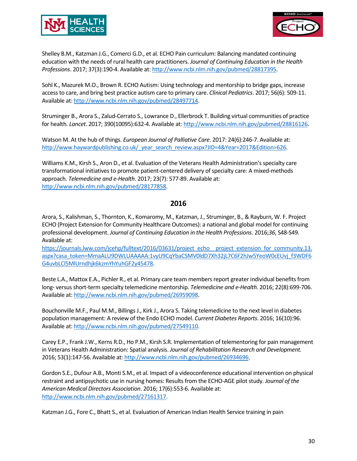



Shelley B.M., Katzman J.G., Comerci G.D., et al. ECHO Pain curriculum: Balancing mandated continuing education with the needs of rural health care practitioners. *Journal of Continuing Education in the Health Professions*. 2017; 37(3):190-4. Available at: [http://www.ncbi.nlm.nih.gov/pubmed/28817395.](http://www.ncbi.nlm.nih.gov/pubmed/28817395)

Sohl K., Mazurek M.O., Brown R. ECHO Autism: Using technology and mentorship to bridge gaps, increase access to care, and bring best practice autism care to primary care. *Clinical Pediatrics*. 2017; 56(6): 509-11. Available at: [http://www.ncbi.nlm.nih.gov/pubmed/28497714.](http://www.ncbi.nlm.nih.gov/pubmed/28497714)

Struminger B., Arora S., Zalud-Cerrato S., Lowrance D., Ellerbrock T. Building virtual communities of practice for health. *Lancet*. 2017; 390(10095):632-4. Available at: [http://www.ncbi.nlm.nih.gov/pubmed/28816126.](http://www.ncbi.nlm.nih.gov/pubmed/28816126)

Watson M. At the hub of things. *European Journal of Palliative Care*. 2017: 24(6):246-7. Available at: [http://www.haywardpublishing.co.uk/\\_year\\_search\\_review.aspx?JID=4&Year=2017&Edition=626.](http://www.haywardpublishing.co.uk/_year_search_review.aspx?JID=4&amp%3BYear=2017&amp%3BEdition=626)

Williams K.M., Kirsh S., Aron D., et al. Evaluation of the Veterans Health Administration's specialty care transformational initiatives to promote patient-centered delivery of specialty care: A mixed-methods approach. *Telemedicine and e-Health*. 2017; 23(7): 577-89. Available at: [http://www.ncbi.nlm.nih.gov/pubmed/28177858.](http://www.ncbi.nlm.nih.gov/pubmed/28177858)

#### **2016**

Arora, S., Kalishman, S., Thornton, K., Komaromy, M., Katzman, J., Struminger, B., & Rayburn, W. F. Project ECHO (Project Extension for Community Healthcare Outcomes): a national and global model for continuing professional development. *Journal of Continuing Education in the Health Professions*. 2016;*36*, S48-S49. Available at:

[https://journals.lww.com/jcehp/fulltext/2016/03631/project\\_echo\\_\\_project\\_extension\\_for\\_community.13.](https://journals.lww.com/jcehp/fulltext/2016/03631/project_echo__project_extension_for_community.13.aspx?casa_token=MmaALU9DWLUAAAAA:1vyU9CqYbaCSMV0ldD7Xh32jL7C6F2hJw5YeoW0cEUvj_f3WDF6G4uvbLCl5MlUrndhjk6kzmYhYuhGF2y45478) [aspx?casa\\_token=MmaALU9DWLUAAAAA:1vyU9CqYbaCSMV0ldD7Xh32jL7C6F2hJw5YeoW0cEUvj\\_f3WDF6](https://journals.lww.com/jcehp/fulltext/2016/03631/project_echo__project_extension_for_community.13.aspx?casa_token=MmaALU9DWLUAAAAA:1vyU9CqYbaCSMV0ldD7Xh32jL7C6F2hJw5YeoW0cEUvj_f3WDF6G4uvbLCl5MlUrndhjk6kzmYhYuhGF2y45478) [G4uvbLCl5MlUrndhjk6kzmYhYuhGF2y45478.](https://journals.lww.com/jcehp/fulltext/2016/03631/project_echo__project_extension_for_community.13.aspx?casa_token=MmaALU9DWLUAAAAA:1vyU9CqYbaCSMV0ldD7Xh32jL7C6F2hJw5YeoW0cEUvj_f3WDF6G4uvbLCl5MlUrndhjk6kzmYhYuhGF2y45478)

Beste L.A., Mattox E.A., Pichler R., et al. Primary care team members report greater individual benefits from long- versus short-term specialty telemedicine mentorship. *Telemedicine and e-Health*. 2016; 22(8):699-706. Available at: [http://www.ncbi.nlm.nih.gov/pubmed/26959098.](http://www.ncbi.nlm.nih.gov/pubmed/26959098)

Bouchonville M.F., Paul M.M., Billings J., Kirk J., Arora S. Taking telemedicine to the next level in diabetes population management: A review of the Endo ECHO model. *Current Diabetes Reports*. 2016; 16(10):96. Available at: [http://www.ncbi.nlm.nih.gov/pubmed/27549110.](http://www.ncbi.nlm.nih.gov/pubmed/27549110)

Carey E.P., Frank J.W., Kerns R.D., Ho P.M., Kirsh S.R. Implementation of telementoring for pain management in Veterans Health Administration: Spatial analysis. *Journal of Rehabilitation Research and Development.*  2016; 53(1):147-56. Available at[: http://www.ncbi.nlm.nih.gov/pubmed/26934696.](http://www.ncbi.nlm.nih.gov/pubmed/26934696)

Gordon S.E., Dufour A.B., Monti S.M., et al. Impact of a videoconference educational intervention on physical restraint and antipsychotic use in nursing homes: Results from the ECHO-AGE pilot study. *Journal of the American Medical Directors Association*. 2016; 17(6):553-6. Available at: [http://www.ncbi.nlm.nih.gov/pubmed/27161317.](http://www.ncbi.nlm.nih.gov/pubmed/27161317)

Katzman J.G., Fore C., Bhatt S., et al. Evaluation of American Indian Health Service training in pain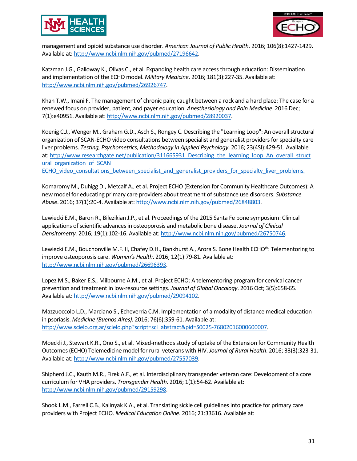



management and opioid substance use disorder. *American Journal of Public Health*. 2016; 106(8):1427-1429. Available at: [http://www.ncbi.nlm.nih.gov/pubmed/27196642.](http://www.ncbi.nlm.nih.gov/pubmed/27196642)

Katzman J.G., Galloway K., Olivas C., et al. Expanding health care access through education: Dissemination and implementation of the ECHO model. *Military Medicine*. 2016; 181(3):227-35. Available at: [http://www.ncbi.nlm.nih.gov/pubmed/26926747.](http://www.ncbi.nlm.nih.gov/pubmed/26926747)

Khan T.W., Imani F. The management of chronic pain; caught between a rock and a hard place: The case for a renewed focus on provider, patient, and payer education. *Anesthesiology and Pain Medicine*. 2016 Dec; 7(1):e40951. Available at[: http://www.ncbi.nlm.nih.gov/pubmed/28920037.](http://www.ncbi.nlm.nih.gov/pubmed/28920037)

Koenig C.J., Wenger M., Graham G.D., Asch S., Rongey C. Describing the "Learning Loop": An overall structural organization of SCAN-ECHO video consultations between specialist and generalist providers for specialty care liver problems. *Testing, Psychometrics, Methodology in Applied Psychology*. 2016; 23(4SI):429-51. Available at[: http://www.researchgate.net/publication/311665931\\_Describing\\_the\\_learning\\_loop\\_An\\_overall\\_struct](http://www.researchgate.net/publication/311665931_Describing_the_learning_loop_An_overall_structural_organization_of_SCAN-ECHO_video_consultations_between_specialist_and_generalist_providers_for_specialty_liver_problems) ural organization of SCAN [ECHO\\_video\\_consultations\\_between\\_specialist\\_and\\_generalist\\_providers\\_for\\_specialty\\_liver\\_problems.](http://www.researchgate.net/publication/311665931_Describing_the_learning_loop_An_overall_structural_organization_of_SCAN-ECHO_video_consultations_between_specialist_and_generalist_providers_for_specialty_liver_problems)

Komaromy M., Duhigg D., Metcalf A., et al. Project ECHO (Extension for Community Healthcare Outcomes): A new model for educating primary care providers about treatment of substance use disorders. *Substance Abuse*. 2016; 37(1):20-4. Available at[: http://www.ncbi.nlm.nih.gov/pubmed/26848803.](http://www.ncbi.nlm.nih.gov/pubmed/26848803)

Lewiecki E.M., Baron R., Bilezikian J.P., et al. Proceedings of the 2015 Santa Fe bone symposium: Clinical applications of scientific advances in osteoporosis and metabolic bone disease. *Journal of Clinical Densitometry.* 2016; 19(1):102-16. Available at: [http://www.ncbi.nlm.nih.gov/pubmed/26750746.](http://www.ncbi.nlm.nih.gov/pubmed/26750746)

Lewiecki E.M., Bouchonville M.F. II, Chafey D.H., Bankhurst A., Arora S. Bone Health ECHO®: Telementoring to improve osteoporosis care. *Women's Health*. 2016; 12(1):79-81. Available at: [http://www.ncbi.nlm.nih.gov/pubmed/26696393.](http://www.ncbi.nlm.nih.gov/pubmed/26696393)

Lopez M.S., Baker E.S., Milbourne A.M., et al. Project ECHO: A telementoring program for cervical cancer prevention and treatment in low-resource settings. *Journal of Global Oncology*. 2016 Oct; 3(5):658-65. Available at: [http://www.ncbi.nlm.nih.gov/pubmed/29094102.](http://www.ncbi.nlm.nih.gov/pubmed/29094102)

Mazzuoccolo L.D., Marciano S., Echeverria C.M. Implementation of a modality of distance medical education in psoriasis. *Medicine (Buenos Aires).* 2016; 76(6):359-61. Available at: [http://www.scielo.org.ar/scielo.php?script=sci\\_abstract&pid=S0025-76802016000600007.](http://www.scielo.org.ar/scielo.php?script=sci_abstract&amp%3Bpid=S0025-76802016000600007) 

Moeckli J., Stewart K.R., Ono S., et al. Mixed-methods study of uptake of the Extension for Community Health Outcomes (ECHO) Telemedicine model for rural veterans with HIV. *Journal of Rural Health*. 2016; 33(3):323-31. Available at: [http://www.ncbi.nlm.nih.gov/pubmed/27557039.](http://www.ncbi.nlm.nih.gov/pubmed/27557039)

Shipherd J.C., Kauth M.R., Firek A.F., et al. Interdisciplinary transgender veteran care: Development of a core curriculum for VHA providers. *Transgender Health*. 2016; 1(1):54-62. Available at: [http://www.ncbi.nlm.nih.gov/pubmed/29159298.](http://www.ncbi.nlm.nih.gov/pubmed/29159298)

Shook L.M., Farrell C.B., Kalinyak K.A., et al. Translating sickle cell guidelines into practice for primary care providers with Project ECHO. *Medical Education Online*. 2016; 21:33616. Available at: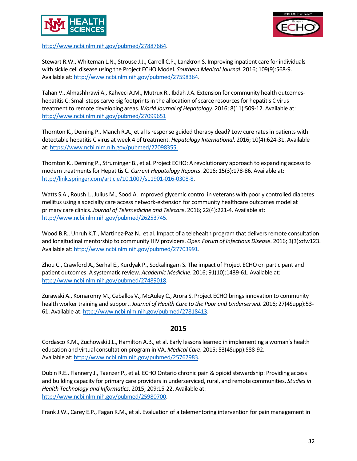



[http://www.ncbi.nlm.nih.gov/pubmed/27887664.](http://www.ncbi.nlm.nih.gov/pubmed/27887664)

Stewart R.W., Whiteman L.N., Strouse J.J., Carroll C.P., Lanzkron S. Improving inpatient care for individuals with sickle cell disease using the Project ECHO Model. *Southern Medical Journal*. 2016; 109(9):568-9. Available at: [http://www.ncbi.nlm.nih.gov/pubmed/27598364.](http://www.ncbi.nlm.nih.gov/pubmed/27598364)

Tahan V., Almashhrawi A., Kahveci A.M., Mutrux R., Ibdah J.A. Extension for community health outcomeshepatitis C: Small steps carve big footprints in the allocation of scarce resources for hepatitis C virus treatment to remote developing areas. *World Journal of Hepatology*. 2016; 8(11):509-12. Available at: <http://www.ncbi.nlm.nih.gov/pubmed/27099651>

Thornton K., Deming P., Manch R.A., et al Is response guided therapy dead? Low cure rates in patients with detectable hepatitis C virus at week 4 of treatment. *Hepatology International*. 2016; 10(4):624-31. Available at[: https://www.ncbi.nlm.nih.gov/pubmed/27098355.](https://www.ncbi.nlm.nih.gov/pubmed/27098355)

Thornton K., Deming P., Struminger B., et al. Project ECHO: A revolutionary approach to expanding access to modern treatments for Hepatitis C. *Current Hepatology Reports*. 2016; 15(3):178-86. Available at: [http://link.springer.com/article/10.1007/s11901-016-0308-8.](http://link.springer.com/article/10.1007/s11901-016-0308-8)

Watts S.A., Roush L., Julius M., Sood A. Improved glycemic control in veterans with poorly controlled diabetes mellitus using a specialty care access network-extension for community healthcare outcomes model at primary care clinics. *Journal of Telemedicine and Telecare*. 2016; 22(4):221-4. Available at: [http://www.ncbi.nlm.nih.gov/pubmed/26253745.](http://www.ncbi.nlm.nih.gov/pubmed/26253745)

Wood B.R., Unruh K.T., Martinez-Paz N., et al. Impact of a telehealth program that delivers remote consultation and longitudinal mentorship to community HIV providers. *Open Forum of Infectious Disease*. 2016; 3(3):ofw123. Available at: [http://www.ncbi.nlm.nih.gov/pubmed/27703991.](http://www.ncbi.nlm.nih.gov/pubmed/27703991)

Zhou C., Crawford A., Serhal E., Kurdyak P., Sockalingam S. The impact of Project ECHO on participant and patient outcomes: A systematic review. *Academic Medicine*. 2016; 91(10):1439-61. Available at: [http://www.ncbi.nlm.nih.gov/pubmed/27489018.](http://www.ncbi.nlm.nih.gov/pubmed/27489018)

Zurawski A., Komaromy M., Ceballos V., McAuley C., Arora S. Project ECHO brings innovation to community health worker training and support. *Journal of Health Care to the Poor and Underserved*. 2016; 27(4Supp):53- 61. Available at[: http://www.ncbi.nlm.nih.gov/pubmed/27818413.](http://www.ncbi.nlm.nih.gov/pubmed/27818413)

# **2015**

Cordasco K.M., Zuchowski J.L., Hamilton A.B., et al. Early lessons learned in implementing a woman's health education and virtual consultation program in VA. *Medical Care*. 2015; 53(4Supp):S88-92. Available at: [http://www.ncbi.nlm.nih.gov/pubmed/25767983.](http://www.ncbi.nlm.nih.gov/pubmed/25767983)

Dubin R.E., Flannery J., Taenzer P., et al. ECHO Ontario chronic pain & opioid stewardship: Providing access and building capacity for primary care providers in underserviced, rural, and remote communities. *Studies in Health Technology and Informatics*. 2015; 209:15-22. Available at: [http://www.ncbi.nlm.nih.gov/pubmed/25980700.](http://www.ncbi.nlm.nih.gov/pubmed/25980700)

Frank J.W., Carey E.P., Fagan K.M., et al. Evaluation of a telementoring intervention for pain management in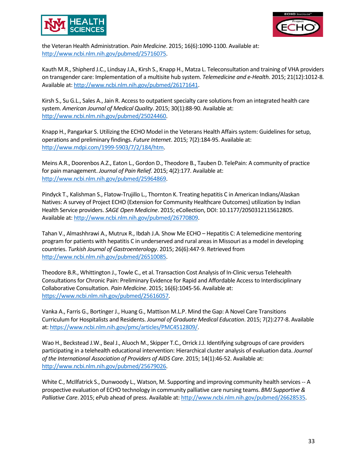



the Veteran Health Administration. *Pain Medicine*. 2015; 16(6):1090-1100. Available at: [http://www.ncbi.nlm.nih.gov/pubmed/25716075.](http://www.ncbi.nlm.nih.gov/pubmed/25716075)

Kauth M.R., Shipherd J.C., Lindsay J.A., Kirsh S., Knapp H., Matza L. Teleconsultation and training of VHA providers on transgender care: Implementation of a multisite hub system. *Telemedicine and e-Health*. 2015; 21(12):1012-8. Available at: [http://www.ncbi.nlm.nih.gov/pubmed/26171641.](http://www.ncbi.nlm.nih.gov/pubmed/26171641)

Kirsh S., Su G.L., Sales A., Jain R. Access to outpatient specialty care solutions from an integrated health care system. *American Journal of Medical Quality*. 2015; 30(1):88-90. Available at: [http://www.ncbi.nlm.nih.gov/pubmed/25024460.](http://www.ncbi.nlm.nih.gov/pubmed/25024460)

Knapp H., Pangarkar S. Utilizing the ECHO Model in the Veterans Health Affairs system: Guidelines for setup, operations and preliminary findings. *Future Internet*. 2015; 7(2):184-95. Available at: [http://www.mdpi.com/1999-5903/7/2/184/htm.](http://www.mdpi.com/1999-5903/7/2/184/htm)

Meins A.R., Doorenbos A.Z., Eaton L., Gordon D., Theodore B., Tauben D. TelePain: A community of practice for pain management. *Journal of Pain Relief.* 2015; 4(2):177. Available at: [http://www.ncbi.nlm.nih.gov/pubmed/25964869.](http://www.ncbi.nlm.nih.gov/pubmed/25964869)

Pindyck T., Kalishman S., Flatow-Trujillo L., Thornton K. Treating hepatitis C in American Indians/Alaskan Natives: A survey of Project ECHO (Extension for Community Healthcare Outcomes) utilization by Indian Health Service providers. *SAGE Open Medicine*. 2015; eCollection, DOI: 10.1177/2050312115612805. Available at: [http://www.ncbi.nlm.nih.gov/pubmed/26770809.](http://www.ncbi.nlm.nih.gov/pubmed/26770809)

Tahan V., Almashhrawi A., Mutrux R., Ibdah J.A. Show Me ECHO – Hepatitis C: A telemedicine mentoring program for patients with hepatitis C in underserved and rural areas in Missouri as a model in developing countries. *Turkish Journal of Gastroenterology*. 2015; 26(6):447-9. Retrieved from [http://www.ncbi.nlm.nih.gov/pubmed/26510085.](http://www.ncbi.nlm.nih.gov/pubmed/26510085)

Theodore B.R., Whittington J., Towle C., et al. Transaction Cost Analysis of In-Clinic versus Telehealth Consultations for Chronic Pain: Preliminary Evidence for Rapid and Affordable Access to Interdisciplinary Collaborative Consultation. *Pain Medicine*. 2015; 16(6):1045-56. Available at: [https://www.ncbi.nlm.nih.gov/pubmed/25616057.](https://www.ncbi.nlm.nih.gov/pubmed/25616057)

Vanka A., Farris G., Bortinger J., Huang G., Mattison M.L.P. Mind the Gap: A Novel Care Transitions Curriculum for Hospitalists and Residents. *Journal of Graduate Medical Education*. 2015; 7(2):277-8. Available at[: https://www.ncbi.nlm.nih.gov/pmc/articles/PMC4512809/.](https://www.ncbi.nlm.nih.gov/pmc/articles/PMC4512809/)

Wao H., Beckstead J.W., Beal J., Aluoch M., Skipper T.C., Orrick J.J. Identifying subgroups of care providers participating in a telehealth educational intervention: Hierarchical cluster analysis of evaluation data. *Journal of the International Association of Providers of AIDS Care*. 2015; 14(1):46-52. Available at: [http://www.ncbi.nlm.nih.gov/pubmed/25679026.](http://www.ncbi.nlm.nih.gov/pubmed/25679026)

White C., McIlfatrick S., Dunwoody L., Watson, M. Supporting and improving community health services -- A prospective evaluation of ECHO technology in community palliative care nursing teams. *BMJ Supportive & Palliative Care*. 2015; ePub ahead of press. Available at[: http://www.ncbi.nlm.nih.gov/pubmed/26628535.](http://www.ncbi.nlm.nih.gov/pubmed/26628535)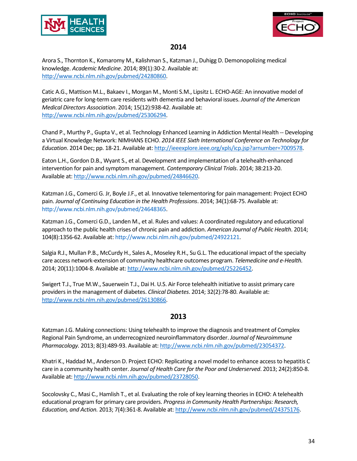



# **2014**

Arora S., Thornton K., Komaromy M., Kalishman S., Katzman J., Duhigg D. Demonopolizing medical knowledge. *Academic Medicine*. 2014; 89(1):30-2. Available at: [http://www.ncbi.nlm.nih.gov/pubmed/24280860.](http://www.ncbi.nlm.nih.gov/pubmed/24280860)

Catic A.G., Mattison M.L., Bakaev I., Morgan M., Monti S.M., Lipsitz L. ECHO-AGE: An innovative model of geriatric care for long-term care residents with dementia and behavioral issues. *Journal of the American Medical Directors Association*. 2014; 15(12):938-42. Available at: [http://www.ncbi.nlm.nih.gov/pubmed/25306294.](http://www.ncbi.nlm.nih.gov/pubmed/25306294)

Chand P., Murthy P., Gupta V., et al. Technology Enhanced Learning in Addiction Mental Health -- Developing a Virtual Knowledge Network: NIMHANS ECHO. *2014 IEEE Sixth International Conference on Technology for Education*. 2014 Dec; pp. 18-21. Available at: [http://ieeexplore.ieee.org/xpls/icp.jsp?arnumber=7009578.](http://ieeexplore.ieee.org/xpls/icp.jsp?arnumber=7009578)

Eaton L.H., Gordon D.B., Wyant S., et al. Development and implementation of a telehealth-enhanced intervention for pain and symptom management. *Contemporary Clinical Trials*. 2014; 38:213-20. Available at: [http://www.ncbi.nlm.nih.gov/pubmed/24846620.](http://www.ncbi.nlm.nih.gov/pubmed/24846620)

Katzman J.G., Comerci G. Jr, Boyle J.F., et al. Innovative telementoring for pain management: Project ECHO pain. *Journal of Continuing Education in the Health Professions*. 2014; 34(1):68-75. Available at: [http://www.ncbi.nlm.nih.gov/pubmed/24648365.](http://www.ncbi.nlm.nih.gov/pubmed/24648365)

Katzman J.G., Comerci G.D., Landen M., et al. Rules and values: A coordinated regulatory and educational approach to the public health crises of chronic pain and addiction. *American Journal of Public Health*. 2014; 104(8):1356-62. Available at[: http://www.ncbi.nlm.nih.gov/pubmed/24922121.](http://www.ncbi.nlm.nih.gov/pubmed/24922121)

Salgia R.J., Mullan P.B., McCurdy H., Sales A., Moseley R.H., Su G.L. The educational impact of the specialty care access network-extension of community healthcare outcomes program. *Telemedicine and e-Health.*  2014; 20(11):1004-8. Available at[: http://www.ncbi.nlm.nih.gov/pubmed/25226452.](http://www.ncbi.nlm.nih.gov/pubmed/25226452)

Swigert T.J., True M.W., Sauerwein T.J., Dai H. U.S. Air Force telehealth initiative to assist primary care providers in the management of diabetes. *Clinical Diabetes*. 2014; 32(2):78-80. Available at: [http://www.ncbi.nlm.nih.gov/pubmed/26130866.](http://www.ncbi.nlm.nih.gov/pubmed/26130866)

# **2013**

Katzman J.G. Making connections: Using telehealth to improve the diagnosis and treatment of Complex Regional Pain Syndrome, an underrecognized neuroinflammatory disorder. *Journal of Neuroimmune Pharmacology.* 2013; 8(3):489-93. Available at[: http://www.ncbi.nlm.nih.gov/pubmed/23054372.](http://www.ncbi.nlm.nih.gov/pubmed/23054372)

Khatri K., Haddad M., Anderson D. Project ECHO: Replicating a novel model to enhance access to hepatitis C care in a community health center. *Journal of Health Care for the Poor and Underserved*. 2013; 24(2):850-8. Available at: [http://www.ncbi.nlm.nih.gov/pubmed/23728050.](http://www.ncbi.nlm.nih.gov/pubmed/23728050)

Socolovsky C., Masi C., Hamlish T., et al. Evaluating the role of key learning theories in ECHO: A telehealth educational program for primary care providers. *Progress in Community Health Partnerships: Research, Education, and Action.* 2013; 7(4):361-8. Available at: [http://www.ncbi.nlm.nih.gov/pubmed/24375176.](http://www.ncbi.nlm.nih.gov/pubmed/24375176)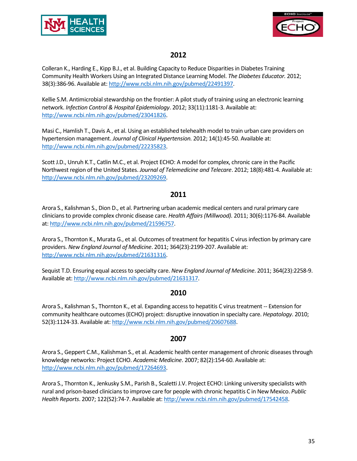



# **2012**

Colleran K., Harding E., Kipp B.J., et al. Building Capacity to Reduce Disparities in Diabetes Training Community Health Workers Using an Integrated Distance Learning Model. *The Diabetes Educator.* 2012; 38(3):386-96. Available at: [http://www.ncbi.nlm.nih.gov/pubmed/22491397.](http://www.ncbi.nlm.nih.gov/pubmed/22491397)

Kellie S.M. Antimicrobial stewardship on the frontier: A pilot study of training using an electronic learning network. *Infection Control & Hospital Epidemiology*. 2012; 33(11):1181-3. Available at: [http://www.ncbi.nlm.nih.gov/pubmed/23041826.](http://www.ncbi.nlm.nih.gov/pubmed/23041826)

Masi C., Hamlish T., Davis A., et al. Using an established telehealth model to train urban care providers on hypertension management. *Journal of Clinical Hypertension.* 2012; 14(1):45-50. Available at: [http://www.ncbi.nlm.nih.gov/pubmed/22235823.](http://www.ncbi.nlm.nih.gov/pubmed/22235823)

Scott J.D., Unruh K.T., Catlin M.C., et al. Project ECHO: A model for complex, chronic care in the Pacific Northwest region of the United States. *Journal of Telemedicine and Telecare*. 2012; 18(8):481-4. Available at: [http://www.ncbi.nlm.nih.gov/pubmed/23209269.](http://www.ncbi.nlm.nih.gov/pubmed/23209269)

#### **2011**

Arora S., Kalishman S., Dion D., et al. Partnering urban academic medical centers and rural primary care clinicians to provide complex chronic disease care. *Health Affairs (Millwood).* 2011; 30(6):1176-84. Available at[: http://www.ncbi.nlm.nih.gov/pubmed/21596757.](http://www.ncbi.nlm.nih.gov/pubmed/21596757)

Arora S., Thornton K., Murata G., et al. Outcomes of treatment for hepatitis C virus infection by primary care providers. *New England Journal of Medicine*. 2011; 364(23):2199-207. Available at: [http://www.ncbi.nlm.nih.gov/pubmed/21631316.](http://www.ncbi.nlm.nih.gov/pubmed/21631316)

Sequist T.D. Ensuring equal access to specialty care. *New England Journal of Medicine*. 2011; 364(23):2258-9. Available at: [http://www.ncbi.nlm.nih.gov/pubmed/21631317.](http://www.ncbi.nlm.nih.gov/pubmed/21631317)

#### **2010**

Arora S., Kalishman S., Thornton K., et al. Expanding access to hepatitis C virus treatment -- Extension for community healthcare outcomes (ECHO) project: disruptive innovation in specialty care. *Hepatology*. 2010; 52(3):1124-33. Available at[: http://www.ncbi.nlm.nih.gov/pubmed/20607688.](http://www.ncbi.nlm.nih.gov/pubmed/20607688)

#### **2007**

Arora S., Geppert C.M., Kalishman S., et al. Academic health center management of chronic diseases through knowledge networks: Project ECHO. *Academic Medicine*. 2007; 82(2):154-60. Available at: [http://www.ncbi.nlm.nih.gov/pubmed/17264693.](http://www.ncbi.nlm.nih.gov/pubmed/17264693)

Arora S., Thornton K., Jenkusky S.M., Parish B., Scaletti J.V. Project ECHO: Linking university specialists with rural and prison-based clinicians to improve care for people with chronic hepatitis C in New Mexico. *Public Health Reports*. 2007; 122(S2):74-7. Available at[: http://www.ncbi.nlm.nih.gov/pubmed/17542458.](http://www.ncbi.nlm.nih.gov/pubmed/17542458)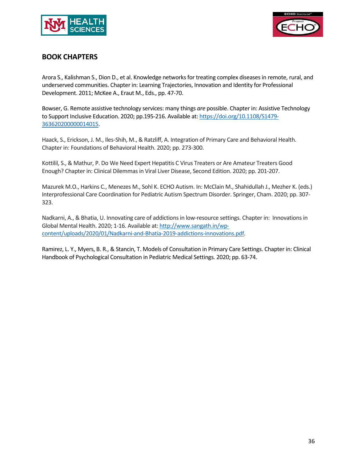



# **BOOK CHAPTERS**

Arora S., Kalishman S., Dion D., et al. Knowledge networks for treating complex diseases in remote, rural, and underserved communities. Chapter in: Learning Trajectories, Innovation and Identity for Professional Development. 2011; McKee A., Eraut M., Eds., pp. 47-70.

Bowser, G. Remote assistive technology services: many things *are* possible. Chapter in: Assistive Technology to Support Inclusive Education. 2020; pp.195-216. Available at[: https://doi.org/10.1108/S1479-](https://doi.org/10.1108/S1479-363620200000014015) [363620200000014015.](https://doi.org/10.1108/S1479-363620200000014015)

Haack, S., Erickson, J. M., Iles-Shih, M., & Ratzliff, A. Integration of Primary Care and Behavioral Health. Chapter in: Foundations of Behavioral Health. 2020; pp. 273-300.

Kottilil, S., & Mathur, P. Do We Need Expert Hepatitis C Virus Treaters or Are Amateur Treaters Good Enough? Chapter in: Clinical Dilemmas in Viral Liver Disease, Second Edition. 2020; pp. 201-207.

Mazurek M.O., Harkins C., Menezes M., Sohl K. ECHO Autism. In: McClain M., Shahidullah J., Mezher K. (eds.) Interprofessional Care Coordination for Pediatric Autism Spectrum Disorder. Springer, Cham. 2020; pp. 307- 323.

Nadkarni, A., & Bhatia, U. Innovating care of addictions in low-resource settings. Chapter in: Innovations in Global Mental Health. 2020; 1-16. Available at: [http://www.sangath.in/wp](http://www.sangath.in/wp-content/uploads/2020/01/Nadkarni-and-Bhatia-2019-addictions-innovations.pdf)[content/uploads/2020/01/Nadkarni-and-Bhatia-2019-addictions-innovations.pdf.](http://www.sangath.in/wp-content/uploads/2020/01/Nadkarni-and-Bhatia-2019-addictions-innovations.pdf)

Ramirez, L. Y., Myers, B. R., & Stancin, T. Models of Consultation in Primary Care Settings. Chapter in: Clinical Handbook of Psychological Consultation in Pediatric Medical Settings. 2020; pp. 63-74.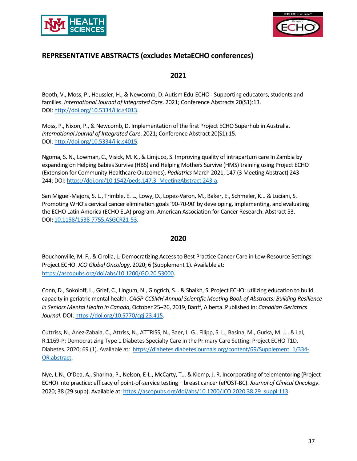



# **REPRESENTATIVE ABSTRACTS (excludes MetaECHO conferences)**

#### **2021**

Booth, V., Moss, P., Heussler, H., & Newcomb, D. Autism Edu-ECHO - Supporting educators, students and families. *International Journal of Integrated Care*. 2021; Conference Abstracts 20(S1):13. DOI: [http://doi.org/10.5334/ijic.s4013.](http://doi.org/10.5334/ijic.s4013)

Moss, P., Nixon, P., & Newcomb, D. Implementation of the first Project ECHO Superhub in Australia. *International Journal of Integrated Care*. 2021; Conference Abstract 20(S1):15. DOI: [http://doi.org/10.5334/ijic.s4015.](http://doi.org/10.5334/ijic.s4015)

Ngoma, S. N., Lowman, C., Visick, M. K., & Limjuco, S. Improving quality of intrapartum care In Zambia by expanding on Helping Babies Survive (HBS) and Helping Mothers Survive (HMS) training using Project ECHO (Extension for Community Healthcare Outcomes). *Pediatrics* March 2021, 147 (3 Meeting Abstract) 243- 244; DOI[: https://doi.org/10.1542/peds.147.3\\_MeetingAbstract.243-a.](https://doi.org/10.1542/peds.147.3_MeetingAbstract.243-a)

San Miguel-Majors, S. L., Trimble, E. L., Lowy, D., Lopez-Varon, M., Baker, E., Schmeler, K... & Luciani, S. Promoting WHO's cervical cancer elimination goals '90-70-90' by developing, implementing, and evaluating the ECHO Latin America (ECHO ELA) program. American Association for Cancer Research. Abstract 53. DOI**:** [10.1158/1538-7755.ASGCR21-53.](https://cebp.aacrjournals.org/content/30/7_Supplement/53.abstract)

#### **2020**

Bouchonville, M. F., & Cirolia, L. Democratizing Access to Best Practice Cancer Care in Low-Resource Settings: Project ECHO. *JCO Global Oncology*. 2020; 6 (Supplement 1). Available at: [https://ascopubs.org/doi/abs/10.1200/GO.20.53000.](https://ascopubs.org/doi/abs/10.1200/GO.20.53000)

Conn, D., Sokoloff, L., Grief, C., Lingum, N., Gingrich, S… & Shaikh, S. Project ECHO: utilizing education to build capacity in geriatric mental health. *CAGP-CCSMH Annual Scientific Meeting Book of Abstracts: Building Resilience in Seniors Mental Health in Canada*, October 25–26, 2019, Banff, Alberta. Published in: *Canadian Geriatrics Journal*. DOI: [https://doi.org/10.5770/cgj.23.415.](https://doi.org/10.5770/cgj.23.415)

Cuttriss, N., Anez-Zabala, C., Attriss, N., ATTRISS, N., Baer, L. G., Filipp, S. L., Basina, M., Gurka, M. J… & Lal, R.1169-P: Democratizing Type 1 Diabetes Specialty Care in the Primary Care Setting: Project ECHO T1D. Diabetes. 2020; 69 (1). Available at: [https://diabetes.diabetesjournals.org/content/69/Supplement\\_1/334-](https://diabetes.diabetesjournals.org/content/69/Supplement_1/334-OR.abstract) [OR.abstract.](https://diabetes.diabetesjournals.org/content/69/Supplement_1/334-OR.abstract)

Nye, L.N., O'Dea, A., Sharma, P., Nelson, E-L., McCarty, T… & Klemp, J. R. Incorporating of telementoring (Project ECHO) into practice: efficacy of point-of-service testing – breast cancer (ePOST-BC). *Journal of Clinical Oncology*. 2020; 38 (29 supp). Available at[: https://ascopubs.org/doi/abs/10.1200/JCO.2020.38.29\\_suppl.113.](https://ascopubs.org/doi/abs/10.1200/JCO.2020.38.29_suppl.113)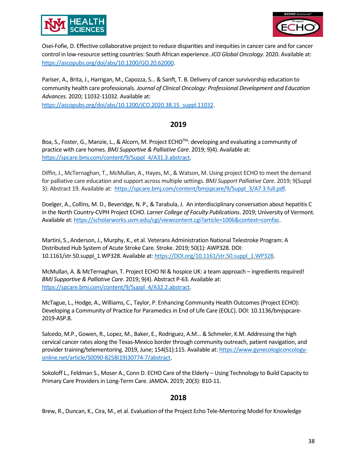



Osei-Fofie, D. Effective collaborative project to reduce disparities and inequities in cancer care and for cancer control in low-resource setting countries: South African experience. *JCO Global Oncology*. 2020. Available at: [https://ascopubs.org/doi/abs/10.1200/GO.20.62000.](https://ascopubs.org/doi/abs/10.1200/GO.20.62000)

Pariser, A., Brita, J., Harrigan, M., Capozza, S… & Sanft, T. B. Delivery of cancer survivorship education to community health care professionals. *Journal of Clinical Oncology: Professional Development and Education Advances.* 2020; 11032-11032. Available at: [https://ascopubs.org/doi/abs/10.1200/JCO.2020.38.15\\_suppl.11032.](https://ascopubs.org/doi/abs/10.1200/JCO.2020.38.15_suppl.11032)

#### **2019**

Boa, S., Foster, G., Manzie, L., & Alcorn, M. Project ECHO™: developing and evaluating a community of practice with care homes. *BMJ Supportive & Palliative Care*. 2019; 9)4). Available at: [https://spcare.bmj.com/content/9/Suppl\\_4/A31.3.abstract.](https://spcare.bmj.com/content/9/Suppl_4/A31.3.abstract)

Diffin, J., McTernaghan, T., McMullan, A., Hayes, M., & Watson, M. Using project ECHO to meet the demand for palliative care education and support across multiple settings. *BMJ Support Palliative Care.* 2019; 9(Suppl 3): Abstract 19. Available at: [https://spcare.bmj.com/content/bmjspcare/9/Suppl\\_3/A7.3.full.pdf.](https://spcare.bmj.com/content/bmjspcare/9/Suppl_3/A7.3.full.pdf)

Doelger, A., Collins, M. D., Beveridge, N. P., & Tarabula, J. An interdisciplinary conversation about hepatitis C in the North Country-CVPH Project ECHO. *Larner College of Faculty Publications*. 2019; University of Vermont. Available at: [https://scholarworks.uvm.edu/cgi/viewcontent.cgi?article=1006&context=comfac.](https://scholarworks.uvm.edu/cgi/viewcontent.cgi?article=1006&context=comfac)

Martini, S., Anderson, J., Murphy, K., et al. Veterans Administration National Telestroke Program: A Distributed Hub System of Acute Stroke Care. Stroke. 2019; 50(1): AWP328. DOI: 10.1161/str.50.suppl\_1.WP328. Available at: [https://DOI.org/10.1161/str.50.suppl\\_1.WP328.](https://doi.org/10.1161/str.50.suppl_1.WP328)

McMullan, A. & McTernaghan, T. Project ECHO NI & hospice UK: a team approach – ingredients required! *BMJ Supportive & Palliative Care*. 2019; 9(4). Abstract P-63. Available at: [https://spcare.bmj.com/content/9/Suppl\\_4/A32.2.abstract.](https://spcare.bmj.com/content/9/Suppl_4/A32.2.abstract)

McTague, L., Hodge, A., Williams, C., Taylor, P. Enhancing Community Health Outcomes (Project ECHO): Developing a Community of Practice for Paramedics in End of Life Care (EOLC). DOI: 10.1136/bmjspcare-2019-ASP.8.

Salcedo, M.P., Gowen, R., Lopez, M., Baker, E., Rodriguez, A.M… & Schmeler, K.M. Addressing the high cervical cancer rates along the Texas-Mexico border through community outreach, patient navigation, and provider training/telementoring. 2019, June; 154(S1):115. Available at[: https://www.gynecologiconcology](https://www.gynecologiconcology-online.net/article/S0090-8258(19)30774-7/abstract)[online.net/article/S0090-8258\(19\)30774-7/abstract.](https://www.gynecologiconcology-online.net/article/S0090-8258(19)30774-7/abstract)

Sokoloff L., Feldman S., Moser A., Conn D. ECHO Care of the Elderly – Using Technology to Build Capacity to Primary Care Providers in Long-Term Care. JAMDA. 2019; 20(3): B10-11.

#### **2018**

Brew, R., Duncan, K., Cira, M., et al. Evaluation of the Project Echo Tele-Mentoring Model for Knowledge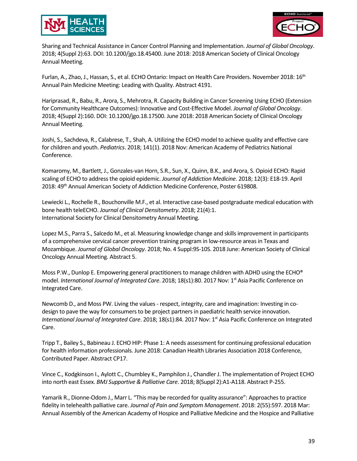



Sharing and Technical Assistance in Cancer Control Planning and Implementation. *Journal of Global Oncology*. 2018; 4(Suppl 2):63. DOI: 10.1200/jgo.18.45400. June 2018: 2018 American Society of Clinical Oncology Annual Meeting.

Furlan, A., Zhao, J., Hassan, S., et al. ECHO Ontario: Impact on Health Care Providers. November 2018: 16<sup>th</sup> Annual Pain Medicine Meeting: Leading with Quality. Abstract 4191.

Hariprasad, R., Babu, R., Arora, S., Mehrotra, R. Capacity Building in Cancer Screening Using ECHO (Extension for Community Healthcare Outcomes): Innovative and Cost-Effective Model. *Journal of Global Oncology*. 2018; 4(Suppl 2):160. DOI: 10.1200/jgo.18.17500. June 2018: 2018 American Society of Clinical Oncology Annual Meeting.

Joshi, S., Sachdeva, R., Calabrese, T., Shah, A. Utilizing the ECHO model to achieve quality and effective care for children and youth. *Pediatrics*. 2018; 141(1). 2018 Nov: American Academy of Pediatrics National Conference.

Komaromy, M., Bartlett, J., Gonzales-van Horn, S.R., Sun, X., Quinn, B.K., and Arora, S. Opioid ECHO: Rapid scaling of ECHO to address the opioid epidemic. *Journal of Addiction Medicine*. 2018; 12(3): E18-19. April 2018: 49th Annual American Society of Addiction Medicine Conference, Poster 619808.

Lewiecki L., Rochelle R., Bouchonville M.F., et al. Interactive case-based postgraduate medical education with bone health teleECHO. *Journal of Clinical Densitometry*. 2018; 21(4):1. International Society for Clinical Densitometry Annual Meeting.

Lopez M.S., Parra S., Salcedo M., et al. Measuring knowledge change and skills improvement in participants of a comprehensive cervical cancer prevention training program in low-resource areas in Texas and Mozambique. *Journal of Global Oncology*. 2018; No. 4 Suppl:9S-10S. 2018 June: American Society of Clinical Oncology Annual Meeting. Abstract 5.

Moss P.W., Dunlop E. Empowering general practitioners to manage children with ADHD using the ECHO® model. *International Journal of Integrated Care*. 2018; 18(s1):80. 2017 Nov: 1st Asia Pacific Conference on Integrated Care.

Newcomb D., and Moss PW. Living the values - respect, integrity, care and imagination: Investing in codesign to pave the way for consumers to be project partners in paediatric health service innovation. *International Journal of Integrated Care.* 2018; 18(s1):84. 2017 Nov: 1<sup>st</sup> Asia Pacific Conference on Integrated Care.

Tripp T., Bailey S., Babineau J. ECHO HIP: Phase 1: A needs assessment for continuing professional education for health information professionals. June 2018: Canadian Health Libraries Association 2018 Conference, Contributed Paper. Abstract CP17.

Vince C., Kodgkinson I., Aylott C., Chumbley K., Pamphilon J., Chandler J. The implementation of Project ECHO into north east Essex. *BMJ Supportive & Palliative Care*. 2018; 8(Suppl 2):A1-A118. Abstract P-255.

Yamarik R., Dionne-Odom J., Marr L. "This may be recorded for quality assurance": Approaches to practice fidelity in telehealth palliative care. *Journal of Pain and Symptom Management*. 2018: 2(55):597. 2018 Mar: Annual Assembly of the American Academy of Hospice and Palliative Medicine and the Hospice and Palliative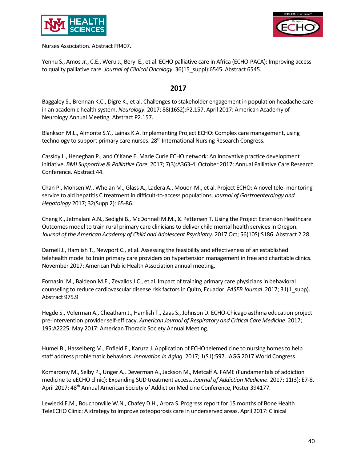



Nurses Association. Abstract FR407.

Yennu S., Amos Jr., C.E., Weru J., Beryl E., et al. ECHO palliative care in Africa (ECHO-PACA): Improving access to quality palliative care. *Journal of Clinical Oncology*. 36(15\_suppl):6545. Abstract 6545.

#### **2017**

Baggaley S., Brennan K.C., Digre K., et al. Challenges to stakeholder engagement in population headache care in an academic health system. *Neurology*. 2017; 88(16S2):P2.157. April 2017: American Academy of Neurology Annual Meeting. Abstract P2.157.

Blankson M.L., Almonte S.Y., Lainas K.A. Implementing Project ECHO: Complex care management, using technology to support primary care nurses. 28<sup>th</sup> International Nursing Research Congress.

Cassidy L., Heneghan P., and O'Kane E. Marie Curie ECHO network: An innovative practice development initiative. *BMJ Supportive & Palliative Care*. 2017; 7(3):A363-4. October 2017: Annual Palliative Care Research Conference. Abstract 44.

Chan P., Mohsen W., Whelan M., Glass A., Ladera A., Mouon M., et al. Project ECHO: A novel tele- mentoring service to aid hepatitis C treatment in difficult-to-access populations. *Journal of Gastroenterology and Hepatology* 2017; 32(Supp 2): 65-86.

Cheng K., Jetmalani A.N., Sedighi B., McDonnell M.M., & Pettersen T. Using the Project Extension Healthcare Outcomes model to train rural primary care clinicians to deliver child mental health services in Oregon. *Journal of the American Academy of Child and Adolescent Psychiatry*. 2017 Oct; 56(10S):S186. Abstract 2.28.

Darnell J., Hamlish T., Newport C., et al. Assessing the feasibility and effectiveness of an established telehealth model to train primary care providers on hypertension management in free and charitable clinics. November 2017: American Public Health Association annual meeting.

Fornasini M., Baldeon M.E., Zevallos J.C., et al. Impact of training primary care physicians in behavioral counseling to reduce cardiovascular disease risk factors in Quito, Ecuador. *FASEB Journal*. 2017; 31(1\_supp). Abstract 975.9

Hegde S., Volerman A., Cheatham J., Hamlish T., Zaas S., Johnson D. ECHO-Chicago asthma education project pre-intervention provider self-efficacy. *American Journal of Respiratory and Critical Care Medicine*. 2017; 195:A2225. May 2017: American Thoracic Society Annual Meeting.

Humel B., Hasselberg M., Enfield E., Karuza J. Application of ECHO telemedicine to nursing homes to help staff address problematic behaviors. *Innovation in Aging*. 2017; 1(S1):597. IAGG 2017 World Congress.

Komaromy M., Selby P., Unger A., Deverman A., Jackson M., Metcalf A. FAME (Fundamentals of addiction medicine teleECHO clinic): Expanding SUD treatment access. *Journal of Addiction Medicine*. 2017; 11(3): E7-8. April 2017: 48<sup>th</sup> Annual American Society of Addiction Medicine Conference, Poster 394177.

Lewiecki E.M., Bouchonville W.N., Chafey D.H., Arora S. Progress report for 15 months of Bone Health TeleECHO Clinic: A strategy to improve osteoporosis care in underserved areas. April 2017: Clinical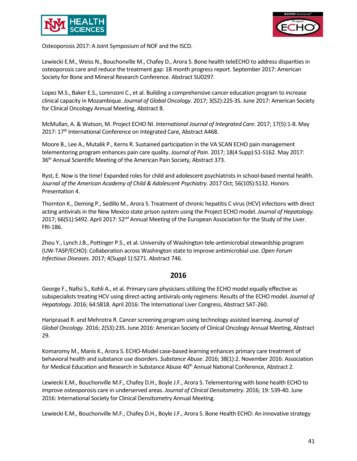



Osteoporosis 2017: A Joint Symposium of NOF and the ISCD.

Lewiecki E.M., Weiss N., Bouchonville M., Chafey D., Arora S. Bone health teleECHO to address disparities in osteoporosis care and reduce the treatment gap: 18 month progress report. September 2017: American Society for Bone and Mineral Research Conference. Abstract SU0297.

Lopez M.S., Baker E.S., Lorenzoni C., et al. Building a comprehensive cancer education program to increase clinical capacity in Mozambique. *Journal of Global Oncology*. 2017; 3(S2):22S-3S. June 2017: American Society for Clinical Oncology Annual Meeting, Abstract 8.

McMullan, A. & Watson, M. Project ECHO NI. *International Journal of Integrated Care*. 2017; 17(5):1-8. May 2017: 17<sup>th</sup> International Conference on Integrated Care, Abstract A468.

Moore B., Lee A., Mutalik P., Kerns R. Sustained participation in the VA SCAN ECHO pain management telementoring program enhances pain care quality. *Journal of Pain*. 2017; 18(4 Supp):S1-S162. May 2017: 36<sup>th</sup> Annual Scientific Meeting of the American Pain Society, Abstract 373.

Ryst, E. Now is the time! Expanded roles for child and adolescent psychiatrists in school-based mental health. *Journal of the American Academy of Child & Adolescent Psychiatry*. 2017 Oct; 56(10S):S132. Honors Presentation 4.

Thornton K., Deming P., Sedillo M., Arora S. Treatment of chronic hepatitis C virus (HCV) infections with direct acting antivirals in the New Mexico state prison system using the Project ECHO model. *Journal of Hepatology*. 2017; 66(S1):S492. April 2017: 52<sup>nd</sup> Annual Meeting of the European Association for the Study of the Liver. FRI-186.

Zhou Y., Lynch J.B., Pottinger P.S., et al. University of Washington tele-antimicrobial stewardship program (UW-TASP/ECHO): Collaboration across Washington state to improve antimicrobial use. *Open Forum Infectious Diseases*. 2017; 4(Suppl 1):S271. Abstract 746.

#### **2016**

George F., Nafisi S., Kohli A., et al. Primary care physicians utilizing the ECHO model equally effective as subspecialists treating HCV using direct-acting antivirals-only regimens: Results of the ECHO model. *Journal of Hepatology*. 2016; 64:S818. April 2016: The International Liver Congress, Abstract SAT-260.

Hariprasad R. and Mehrotra R. Cancer screening program using technology assisted learning. *Journal of Global Oncology*. 2016; 2(S3):23S. June 2016: American Society of Clinical Oncology Annual Meeting, Abstract 29.

Komaromy M., Manis K., Arora S. ECHO-Model case-based learning enhances primary care treatment of behavioral health and substance use disorders. *Substance Abuse*. 2016; 38(1):2. November 2016: Association for Medical Education and Research in Substance Abuse 40<sup>th</sup> Annual National Conference, Abstract 2.

Lewiecki E.M., Bouchonville M.F., Chafey D.H., Boyle J.F., Arora S. Telementoring with bone health ECHO to improve osteoporosis care in underserved areas. *Journal of Clinical Densitometry*. 2016; 19: 539-40. June 2016: International Society for Clinical Densitometry Annual Meeting.

Lewiecki E.M., Bouchonville M.F., Chafey D.H., Boyle J.F., Arora S. Bone Health ECHO: An innovative strategy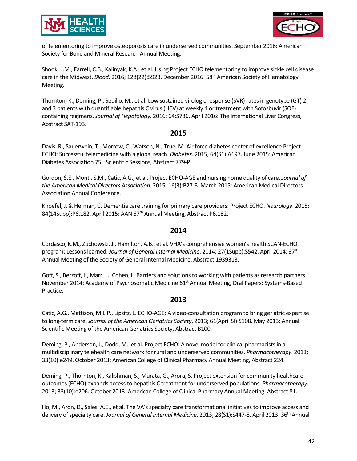



of telementoring to improve osteoporosis care in underserved communities. September 2016: American Society for Bone and Mineral Research Annual Meeting.

Shook, L.M., Farrell, C.B., Kalinyak, K.A., et al. Using Project ECHO telementoring to improve sickle cell disease care in the Midwest. *Blood*. 2016; 128(22):5923. December 2016: 58th American Society of Hematology Meeting.

Thornton, K., Deming, P., Sedillo, M., et al. Low sustained virologic response (SVR) rates in genotype (GT) 2 and 3 patients with quantifiable hepatitis C virus (HCV) at weekly 4 or treatment with Sofosbuvir (SOF) containing regimens. *Journal of Hepatology*. 2016; 64:S786. April 2016: The International Liver Congress, Abstract SAT-193.

#### **2015**

Davis, R., Sauerwein, T., Morrow, C., Watson, N., True, M. Air force diabetes center of excellence Project ECHO: Successful telemedicine with a global reach. *Diabetes*. 2015; 64(S1):A197. June 2015: American Diabetes Association 75th Scientific Sessions, Abstract 779-P.

Gordon, S.E., Monti, S.M., Catic, A.G., et al. Project ECHO-AGE and nursing home quality of care. *Journal of the American Medical Directors Association*. 2015; 16(3):B27-8. March 2015: American Medical Directors Association Annual Conference.

Knoefel, J. & Herman, C. Dementia care training for primary care providers: Project ECHO. *Neurology*. 2015; 84(14Supp):P6.182. April 2015: AAN 67<sup>th</sup> Annual Meeting, Abstract P6.182.

#### **2014**

Cordasco, K.M., Zuchowski, J., Hamilton, A.B., et al. VHA's comprehensive women's health SCAN-ECHO program: Lessons learned. *Journal of General Internal Medicine*. 2014; 27(1Supp):S542. April 2014: 37th Annual Meeting of the Society of General Internal Medicine, Abstract 1939313.

Goff, S., Berzoff, J., Marr, L., Cohen, L. Barriers and solutions to working with patients as research partners. November 2014: Academy of Psychosomatic Medicine 61<sup>st</sup> Annual Meeting, Oral Papers: Systems-Based Practice.

#### **2013**

Catic, A.G., Mattison, M.L.P., Lipsitz, L. ECHO-AGE: A video-consultation program to bring geriatric expertise to long-term care. *Journal of the American Geriatrics Society*. 2013; 61(April SI):S108. May 2013: Annual Scientific Meeting of the American Geriatrics Society, Abstract B100.

Deming, P., Anderson, J., Dodd, M., et al. Project ECHO: A novel model for clinical pharmacists in a multidisciplinary telehealth care network for rural and underserved communities. *Pharmacotherapy*. 2013; 33(10):e249. October 2013: American College of Clinical Pharmacy Annual Meeting, Abstract 224.

Deming, P., Thornton, K., Kalishman, S., Murata, G., Arora, S. Project extension for community healthcare outcomes (ECHO) expands access to hepatitis C treatment for underserved populations. *Pharmacotherapy*. 2013; 33(10):e206. October 2013: American College of Clinical Pharmacy Annual Meeting, Abstract 81.

Ho, M., Aron, D., Sales, A.E., et al. The VA's specialty care transformational initiatives to improve access and delivery of specialty care. *Journal of General Internal Medicine*. 2013; 28(S1):S447-8. April 2013: 36th Annual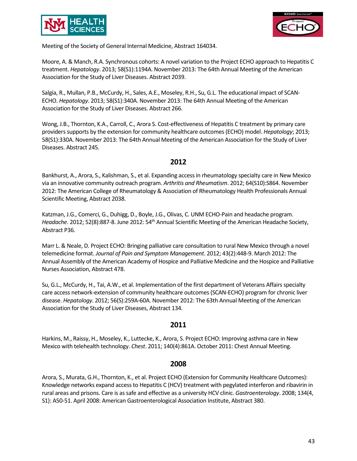



Meeting of the Society of General Internal Medicine, Abstract 164034.

Moore, A. & Manch, R.A. Synchronous cohorts: A novel variation to the Project ECHO approach to Hepatitis C treatment. *Hepatology*. 2013; 58(S1):1194A. November 2013: The 64th Annual Meeting of the American Association for the Study of Liver Diseases. Abstract 2039.

Salgia, R., Mullan, P.B., McCurdy, H., Sales, A.E., Moseley, R.H., Su, G.L. The educational impact of SCAN-ECHO. *Hepatology*. 2013; 58(S1):340A. November 2013: The 64th Annual Meeting of the American Association for the Study of Liver Diseases. Abstract 266.

Wong, J.B., Thornton, K.A., Carroll, C., Arora S. Cost-effectiveness of Hepatitis C treatment by primary care providers supports by the extension for community healthcare outcomes (ECHO) model. *Hepatology*; 2013; 58(S1):330A. November 2013: The 64th Annual Meeting of the American Association for the Study of Liver Diseases. Abstract 245.

#### **2012**

Bankhurst, A., Arora, S., Kalishman, S., et al. Expanding access in rheumatology specialty care in New Mexico via an innovative community outreach program. *Arthritis and Rheumatism*. 2012; 64(S10):S864. November 2012: The American College of Rheumatology & Association of Rheumatology Health Professionals Annual Scientific Meeting, Abstract 2038.

Katzman, J.G., Comerci, G., Duhigg, D., Boyle, J.G., Olivas, C. UNM ECHO-Pain and headache program. Headache. 2012; 52(8):887-8. June 2012: 54<sup>th</sup> Annual Scientific Meeting of the American Headache Society, Abstract P36.

Marr L. & Neale, D. Project ECHO: Bringing palliative care consultation to rural New Mexico through a novel telemedicine format. *Journal of Pain and Symptom Management*. 2012; 43(2):448-9. March 2012: The Annual Assembly of the American Academy of Hospice and Palliative Medicine and the Hospice and Palliative Nurses Association, Abstract 478.

Su, G.L., McCurdy, H., Tai, A.W., et al. Implementation of the first department of Veterans Affairs specialty care access network-extension of community healthcare outcomes (SCAN-ECHO) program for chronic liver disease. *Hepatology*. 2012; 56(S):259A-60A. November 2012: The 63th Annual Meeting of the American Association for the Study of Liver Diseases, Abstract 134.

#### **2011**

Harkins, M., Raissy, H., Moseley, K., Luttecke, K., Arora, S. Project ECHO: Improving asthma care in New Mexico with telehealth technology. *Chest*. 2011; 140(4):861A. October 2011: Chest Annual Meeting.

#### **2008**

Arora, S., Murata, G.H., Thornton, K., et al. Project ECHO (Extension for Community Healthcare Outcomes): Knowledge networks expand access to Hepatitis C (HCV) treatment with pegylated interferon and ribavirin in rural areas and prisons. Care is as safe and effective as a university HCV clinic. *Gastroenterology*. 2008; 134(4, S1): A50-51. April 2008: American Gastroenterological Association Institute, Abstract 380.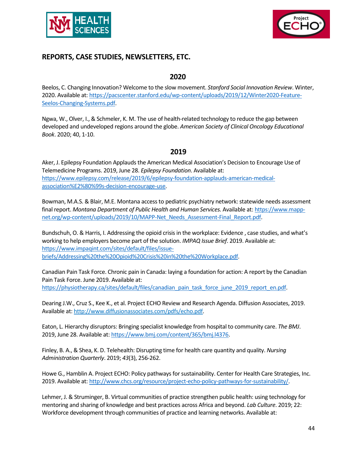



# **REPORTS, CASE STUDIES, NEWSLETTERS, ETC.**

#### **2020**

Beelos, C. Changing Innovation? Welcome to the slow movement. *Stanford Social Innovation Review*. Winter, 2020. Available at: [https://pacscenter.stanford.edu/wp-content/uploads/2019/12/Winter2020-Feature-](https://pacscenter.stanford.edu/wp-content/uploads/2019/12/Winter2020-Feature-Seelos-Changing-Systems.pdf)[Seelos-Changing-Systems.pdf.](https://pacscenter.stanford.edu/wp-content/uploads/2019/12/Winter2020-Feature-Seelos-Changing-Systems.pdf)

Ngwa, W., Olver, I., & Schmeler, K. M. The use of health-related technology to reduce the gap between developed and undeveloped regions around the globe. *American Society of Clinical Oncology Educational Book*. 2020; 40, 1-10.

# **2019**

Aker, J. Epilepsy Foundation Applauds the American Medical Association's Decision to Encourage Use of Telemedicine Programs. 2019, June 28. *Epilepsy Foundation*. Available at: [https://www.epilepsy.com/release/2019/6/epilepsy-foundation-applauds-american-medical](https://www.epilepsy.com/release/2019/6/epilepsy-foundation-applauds-american-medical-association%E2%80%99s-decision-encourage-use)[association%E2%80%99s-decision-encourage-use.](https://www.epilepsy.com/release/2019/6/epilepsy-foundation-applauds-american-medical-association%E2%80%99s-decision-encourage-use)

Bowman, M.A.S. & Blair, M.E. Montana access to pediatric psychiatry network: statewide needs assessment final report. *Montana Department of Public Health and Human Services.* Available at: [https://www.mapp](https://www.mapp-net.org/wp-content/uploads/2019/10/MAPP-Net_Needs_Assessment-Final_Report.pdf)[net.org/wp-content/uploads/2019/10/MAPP-Net\\_Needs\\_Assessment-Final\\_Report.pdf.](https://www.mapp-net.org/wp-content/uploads/2019/10/MAPP-Net_Needs_Assessment-Final_Report.pdf)

Bundschuh, O. & Harris, I. Addressing the opioid crisis in the workplace: Evidence , case studies, and what's working to help employers become part of the solution. *IMPAQ Issue Brief*. 2019. Available at: [https://www.impaqint.com/sites/default/files/issue](https://www.impaqint.com/sites/default/files/issue-briefs/Addressing%20the%20Opioid%20Crisis%20in%20the%20Workplace.pdf)[briefs/Addressing%20the%20Opioid%20Crisis%20in%20the%20Workplace.pdf.](https://www.impaqint.com/sites/default/files/issue-briefs/Addressing%20the%20Opioid%20Crisis%20in%20the%20Workplace.pdf) 

Canadian Pain Task Force. Chronic pain in Canada: laying a foundation for action: A report by the Canadian Pain Task Force. June 2019. Available at: [https://physiotherapy.ca/sites/default/files/canadian\\_pain\\_task\\_force\\_june\\_2019\\_report\\_en.pdf.](https://physiotherapy.ca/sites/default/files/canadian_pain_task_force_june_2019_report_en.pdf)

Dearing J.W., Cruz S., Kee K., et al. Project ECHO Review and Research Agenda. Diffusion Associates, 2019. Available at: [http://www.diffusionassociates.com/pdfs/echo.pdf.](http://www.diffusionassociates.com/pdfs/echo.pdf)

Eaton, L. Hierarchy disruptors: Bringing specialist knowledge from hospital to community care. *The BMJ*. 2019, June 28. Available at[: https://www.bmj.com/content/365/bmj.l4376.](https://www.bmj.com/content/365/bmj.l4376)

Finley, B. A., & Shea, K. D. Telehealth: Disrupting time for health care quantity and quality. *Nursing Administration Quarterly*. 2019; *43*(3), 256-262.

Howe G., Hamblin A. Project ECHO: Policy pathways for sustainability. Center for Health Care Strategies, Inc. 2019. Available at: [http://www.chcs.org/resource/project-echo-policy-pathways-for-sustainability/.](http://www.chcs.org/resource/project-echo-policy-pathways-for-sustainability/)

Lehmer, J. & Struminger, B. Virtual communities of practice strengthen public health: using technology for mentoring and sharing of knowledge and best practices across Africa and beyond. *Lab Culture*. 2019; 22: Workforce development through communities of practice and learning networks. Available at: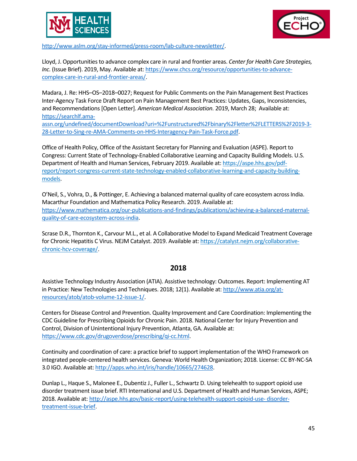



[http://www.aslm.org/stay-informed/press-room/lab-culture-newsletter/.](http://www.aslm.org/stay-informed/press-room/lab-culture-newsletter/)

Lloyd, J. Opportunities to advance complex care in rural and frontier areas. *Center for Health Care Strategies, Inc.* (Issue Brief). 2019, May. Available at[: https://www.chcs.org/resource/opportunities-to-advance](https://www.chcs.org/resource/opportunities-to-advance-complex-care-in-rural-and-frontier-areas/)[complex-care-in-rural-and-frontier-areas/.](https://www.chcs.org/resource/opportunities-to-advance-complex-care-in-rural-and-frontier-areas/)

Madara, J. Re: HHS–OS–2018–0027; Request for Public Comments on the Pain Management Best Practices Inter-Agency Task Force Draft Report on Pain Management Best Practices: Updates, Gaps, Inconsistencies, and Recommendations [Open Letter]. *American Medical Association.* 2019, March 28; Available at: [https://searchlf.ama-](https://searchlf.ama-assn.org/undefined/documentDownload?uri=%2Funstructured%2Fbinary%2Fletter%2FLETTERS%2F2019-3-28-Letter-to-Sing-re-AMA-Comments-on-HHS-Interagency-Pain-Task-Force.pdf)

[assn.org/undefined/documentDownload?uri=%2Funstructured%2Fbinary%2Fletter%2FLETTERS%2F2019-3-](https://searchlf.ama-assn.org/undefined/documentDownload?uri=%2Funstructured%2Fbinary%2Fletter%2FLETTERS%2F2019-3-28-Letter-to-Sing-re-AMA-Comments-on-HHS-Interagency-Pain-Task-Force.pdf) [28-Letter-to-Sing-re-AMA-Comments-on-HHS-Interagency-Pain-Task-Force.pdf.](https://searchlf.ama-assn.org/undefined/documentDownload?uri=%2Funstructured%2Fbinary%2Fletter%2FLETTERS%2F2019-3-28-Letter-to-Sing-re-AMA-Comments-on-HHS-Interagency-Pain-Task-Force.pdf)

Office of Health Policy, Office of the Assistant Secretary for Planning and Evaluation (ASPE). Report to Congress: Current State of Technology-Enabled Collaborative Learning and Capacity Building Models. U.S. Department of Health and Human Services, February 2019. Available at[: https://aspe.hhs.gov/pdf](https://aspe.hhs.gov/pdf-report/report-congress-current-state-technology-enabled-collaborative-learning-and-capacity-building-models)[report/report-congress-current-state-technology-enabled-collaborative-learning-and-capacity-building](https://aspe.hhs.gov/pdf-report/report-congress-current-state-technology-enabled-collaborative-learning-and-capacity-building-models)[models.](https://aspe.hhs.gov/pdf-report/report-congress-current-state-technology-enabled-collaborative-learning-and-capacity-building-models)

O'Neil, S., Vohra, D., & Pottinger, E. Achieving a balanced maternal quality of care ecosystem across India. Macarthur Foundation and Mathematica Policy Research. 2019. Available at: [https://www.mathematica.org/our-publications-and-findings/publications/achieving-a-balanced-maternal](https://www.mathematica.org/our-publications-and-findings/publications/achieving-a-balanced-maternal-quality-of-care-ecosystem-across-india)[quality-of-care-ecosystem-across-india.](https://www.mathematica.org/our-publications-and-findings/publications/achieving-a-balanced-maternal-quality-of-care-ecosystem-across-india)

Scrase D.R., Thornton K., Carvour M.L., et al. A Collaborative Model to Expand Medicaid Treatment Coverage for Chronic Hepatitis C Virus. NEJM Catalyst. 2019. Available at[: https://catalyst.nejm.org/collaborative](https://catalyst.nejm.org/collaborative-chronic-hcv-coverage/)[chronic-hcv-coverage/.](https://catalyst.nejm.org/collaborative-chronic-hcv-coverage/)

#### **2018**

Assistive Technology Industry Association (ATIA). Assistive technology: Outcomes. Report: Implementing AT in Practice: New Technologies and Techniques. 2018; 12(1). Available at: [http://www.atia.org/at](http://www.atia.org/at-resources/atob/atob-volume-12-issue-1/)[resources/atob/atob-volume-12-issue-1/.](http://www.atia.org/at-resources/atob/atob-volume-12-issue-1/)

Centers for Disease Control and Prevention. Quality Improvement and Care Coordination: Implementing the CDC Guideline for Prescribing Opioids for Chronic Pain. 2018. National Center for Injury Prevention and Control, Division of Unintentional Injury Prevention, Atlanta, GA. Available at: [https://www.cdc.gov/drugoverdose/prescribing/qi-cc.html.](https://www.cdc.gov/drugoverdose/prescribing/qi-cc.html)

Continuity and coordination of care: a practice brief to support implementation of the WHO Framework on integrated people-centered health services. Geneva: World Health Organization; 2018. License: CC BY-NC-SA 3.0 IGO. Available at[: http://apps.who.int/iris/handle/10665/274628.](http://apps.who.int/iris/handle/10665/274628)

Dunlap L., Haque S., Malonee E., Dubentiz J., Fuller L., Schwartz D. Using telehealth to support opioid use disorder treatment issue brief. RTI International and U.S. Department of Health and Human Services, ASPE; 2018. Available at: [http://aspe.hhs.gov/basic-report/using-telehealth-support-opioid-use-](http://aspe.hhs.gov/basic-report/using-telehealth-support-opioid-use-disorder-treatment-issue-brief) [disorder](http://aspe.hhs.gov/basic-report/using-telehealth-support-opioid-use-disorder-treatment-issue-brief)[treatment-issue-brief.](http://aspe.hhs.gov/basic-report/using-telehealth-support-opioid-use-disorder-treatment-issue-brief)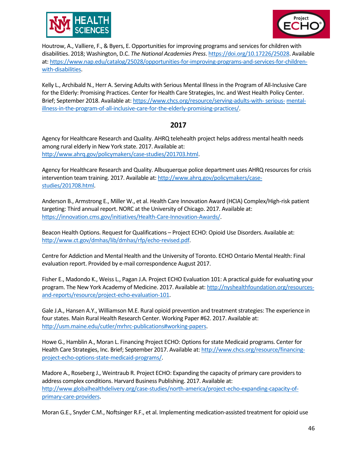



Houtrow, A., Valliere, F., & Byers, E. Opportunities for improving programs and services for children with disabilities. 2018; Washington, D.C. *The National Academies Press*[. https://doi.org/10.17226/25028.](https://doi.org/10.17226/25028) Available at[: https://www.nap.edu/catalog/25028/opportunities-for-improving-programs-and-services-for-children](https://www.nap.edu/catalog/25028/opportunities-for-improving-programs-and-services-for-children-with-disabilities)[with-disabilities.](https://www.nap.edu/catalog/25028/opportunities-for-improving-programs-and-services-for-children-with-disabilities)

Kelly L., Archibald N., Herr A. Serving Adults with Serious Mental Illness in the Program of All-Inclusive Care for the Elderly: Promising Practices. Center for Health Care Strategies, Inc. and West Health Policy Center. Brief; September 2018. Available at: [https://www.chcs.org/resource/serving-adults-with-serious-](https://www.chcs.org/resource/serving-adults-with-serious-mental-illness-in-the-program-of-all-inclusive-care-for-the-elderly-promising-practices/) [mental](https://www.chcs.org/resource/serving-adults-with-serious-mental-illness-in-the-program-of-all-inclusive-care-for-the-elderly-promising-practices/)[illness-in-the-program-of-all-inclusive-care-for-the-elderly-promising-practices/.](https://www.chcs.org/resource/serving-adults-with-serious-mental-illness-in-the-program-of-all-inclusive-care-for-the-elderly-promising-practices/)

# **2017**

Agency for Healthcare Research and Quality. AHRQ telehealth project helps address mental health needs among rural elderly in New York state. 2017. Available at: [http://www.ahrq.gov/policymakers/case-studies/201703.html.](http://www.ahrq.gov/policymakers/case-studies/201703.html)

Agency for Healthcare Research and Quality. Albuquerque police department uses AHRQ resources for crisis intervention team training. 2017. Available at: [http://www.ahrq.gov/policymakers/case](http://www.ahrq.gov/policymakers/case-studies/201708.html)[studies/201708.html.](http://www.ahrq.gov/policymakers/case-studies/201708.html)

Anderson B., Armstrong E., Miller W., et al. Health Care Innovation Award (HCIA) Complex/High-risk patient targeting: Third annual report. NORC at the University of Chicago. 2017. Available at: [https://innovation.cms.gov/initiatives/Health-Care-Innovation-Awards/.](https://innovation.cms.gov/initiatives/Health-Care-Innovation-Awards/)

Beacon Health Options. Request for Qualifications – Project ECHO: Opioid Use Disorders. Available at: [http://www.ct.gov/dmhas/lib/dmhas/rfp/echo-revised.pdf.](http://www.ct.gov/dmhas/lib/dmhas/rfp/echo-revised.pdf)

Centre for Addiction and Mental Health and the University of Toronto. ECHO Ontario Mental Health: Final evaluation report. Provided by e-mail correspondence August 2017.

Fisher E., Madondo K., Weiss L., Pagan J.A. Project ECHO Evaluation 101: A practical guide for evaluating your program. The New York Academy of Medicine. 2017. Available at: [http://nyshealthfoundation.org/resources](http://nyshealthfoundation.org/resources-and-reports/resource/project-echo-evaluation-101)[and-reports/resource/project-echo-evaluation-101.](http://nyshealthfoundation.org/resources-and-reports/resource/project-echo-evaluation-101)

Gale J.A., Hansen A.Y., Williamson M.E. Rural opioid prevention and treatment strategies: The experience in four states. Main Rural Health Research Center. Working Paper #62. 2017. Available at: [http://usm.maine.edu/cutler/mrhrc-publications#working-papers.](http://usm.maine.edu/cutler/mrhrc-publications#working-papers)

Howe G., Hamblin A., Moran L. Financing Project ECHO: Options for state Medicaid programs. Center for Health Care Strategies, Inc. Brief; September 2017. Available at[: http://www.chcs.org/resource/financing](http://www.chcs.org/resource/financing-project-echo-options-state-medicaid-programs/)[project-echo-options-state-medicaid-programs/.](http://www.chcs.org/resource/financing-project-echo-options-state-medicaid-programs/)

Madore A., Roseberg J., Weintraub R. Project ECHO: Expanding the capacity of primary care providers to address complex conditions. Harvard Business Publishing. 2017. Available at: [http://www.globalhealthdelivery.org/case-studies/north-america/project-echo-expanding-capacity-of](http://www.globalhealthdelivery.org/case-studies/north-america/project-echo-expanding-capacity-of-primary-care-providers)[primary-care-providers.](http://www.globalhealthdelivery.org/case-studies/north-america/project-echo-expanding-capacity-of-primary-care-providers)

Moran G.E., Snyder C.M., Noftsinger R.F., et al. Implementing medication-assisted treatment for opioid use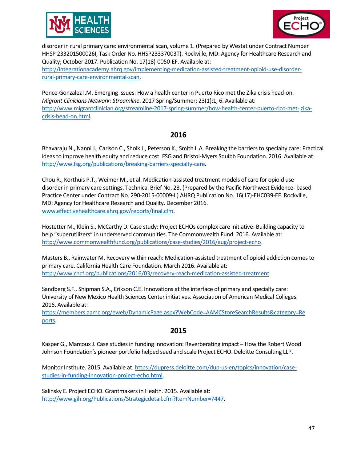



disorder in rural primary care: environmental scan, volume 1. (Prepared by Westat under Contract Number HHSP 233201500026I, Task Order No. HHSP23337003T). Rockville, MD: Agency for Healthcare Research and Quality; October 2017. Publication No. 17(18)-0050-EF. Available at:

[http://integrationacademy.ahrq.gov/implementing-medication-assisted-treatment-opioid-use-disorder](http://integrationacademy.ahrq.gov/implementing-medication-assisted-treatment-opioid-use-disorder-rural-primary-care-environmental-scan)[rural-primary-care-environmental-scan.](http://integrationacademy.ahrq.gov/implementing-medication-assisted-treatment-opioid-use-disorder-rural-primary-care-environmental-scan)

Ponce-Gonzalez I.M. Emerging Issues: How a health center in Puerto Rico met the Zika crisis head-on. *Migrant Clinicians Network: Streamline*. 2017 Spring/Summer; 23(1):1, 6. Available at: [http://www.migrantclinician.org/streamline-2017-spring-summer/how-health-center-puerto-rico-met-zika](http://www.migrantclinician.org/streamline-2017-spring-summer/how-health-center-puerto-rico-met-zika-crisis-head-on.html)[crisis-head-on.html.](http://www.migrantclinician.org/streamline-2017-spring-summer/how-health-center-puerto-rico-met-zika-crisis-head-on.html)

# **2016**

Bhavaraju N., Nanni J., Carlson C., Sholk J., Peterson K., Smith L.A. Breaking the barriers to specialty care: Practical ideas to improve health equity and reduce cost. FSG and Bristol-Myers Squibb Foundation. 2016. Available at: [http://www.fsg.org/publications/breaking-barriers-specialty-care.](http://www.fsg.org/publications/breaking-barriers-specialty-care)

Chou R., Korthuis P.T., Weimer M., et al. Medication-assisted treatment models of care for opioid use disorder in primary care settings. Technical Brief No. 28. (Prepared by the Pacific Northwest Evidence- based Practice Center under Contract No. 290-2015-00009-I.) AHRQ Publication No. 16(17)-EHC039-EF. Rockville, MD: Agency for Healthcare Research and Quality. December 2016. [www.effectivehealthcare.ahrq.gov/reports/final.cfm.](http://www.effectivehealthcare.ahrq.gov/reports/final.cfm)

Hostetter M., Klein S., McCarthy D. Case study: Project ECHOs complex care initiative: Building capacity to help "superutilizers" in underserved communities. The Commonwealth Fund. 2016. Available at: [http://www.commonwealthfund.org/publications/case-studies/2016/aug/project-echo.](http://www.commonwealthfund.org/publications/case-studies/2016/aug/project-echo)

Masters B., Rainwater M. Recovery within reach: Medication-assisted treatment of opioid addiction comes to primary care. California Health Care Foundation. March 2016. Available at: [http://www.chcf.org/publications/2016/03/recovery-reach-medication-assisted-treatment.](http://www.chcf.org/publications/2016/03/recovery-reach-medication-assisted-treatment)

Sandberg S.F., Shipman S.A., Erikson C.E. Innovations at the interface of primary and specialty care: University of New Mexico Health Sciences Center initiatives. Association of American Medical Colleges. 2016. Available at:

[https://members.aamc.org/eweb/DynamicPage.aspx?WebCode=AAMCStoreSearchResults&category=Re](https://members.aamc.org/eweb/DynamicPage.aspx?WebCode=AAMCStoreSearchResults&amp%3Bcategory=Reports) [ports.](https://members.aamc.org/eweb/DynamicPage.aspx?WebCode=AAMCStoreSearchResults&amp%3Bcategory=Reports)

# **2015**

Kasper G., Marcoux J. Case studies in funding innovation: Reverberating impact – How the Robert Wood Johnson Foundation's pioneer portfolio helped seed and scale Project ECHO. Deloitte Consulting LLP.

Monitor Institute. 2015. Available at[: https://dupress.deloitte.com/dup-us-en/topics/innovation/case](https://dupress.deloitte.com/dup-us-en/topics/innovation/case-studies-in-funding-innovation-project-echo.html)[studies-in-funding-innovation-project-echo.html.](https://dupress.deloitte.com/dup-us-en/topics/innovation/case-studies-in-funding-innovation-project-echo.html)

Salinsky E. Project ECHO. Grantmakers in Health. 2015. Available at: [http://www.gih.org/Publications/Strategicdetail.cfm?ItemNumber=7447.](http://www.gih.org/Publications/Strategicdetail.cfm?ItemNumber=7447)